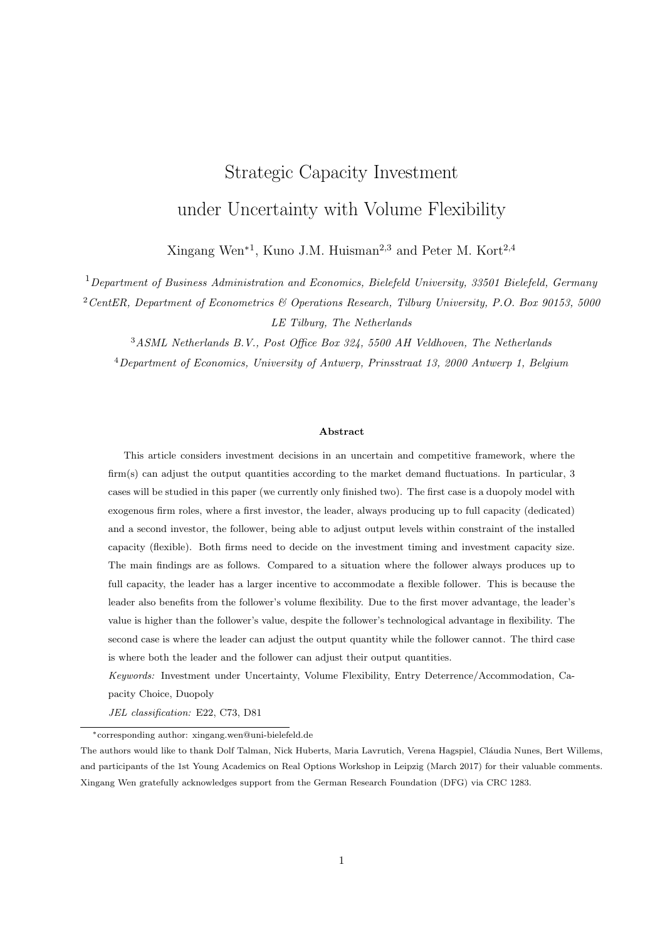# Strategic Capacity Investment under Uncertainty with Volume Flexibility

Xingang Wen<sup>∗1</sup>, Kuno J.M. Huisman<sup>2,3</sup> and Peter M. Kort<sup>2,4</sup>

 $1$ Department of Business Administration and Economics, Bielefeld University, 33501 Bielefeld, Germany  $2$ CentER, Department of Econometrics & Operations Research, Tilburg University, P.O. Box 90153, 5000 LE Tilburg, The Netherlands

<sup>3</sup>ASML Netherlands B.V., Post Office Box 324, 5500 AH Veldhoven, The Netherlands <sup>4</sup>Department of Economics, University of Antwerp, Prinsstraat 13, 2000 Antwerp 1, Belgium

#### Abstract

This article considers investment decisions in an uncertain and competitive framework, where the firm(s) can adjust the output quantities according to the market demand fluctuations. In particular, 3 cases will be studied in this paper (we currently only finished two). The first case is a duopoly model with exogenous firm roles, where a first investor, the leader, always producing up to full capacity (dedicated) and a second investor, the follower, being able to adjust output levels within constraint of the installed capacity (flexible). Both firms need to decide on the investment timing and investment capacity size. The main findings are as follows. Compared to a situation where the follower always produces up to full capacity, the leader has a larger incentive to accommodate a flexible follower. This is because the leader also benefits from the follower's volume flexibility. Due to the first mover advantage, the leader's value is higher than the follower's value, despite the follower's technological advantage in flexibility. The second case is where the leader can adjust the output quantity while the follower cannot. The third case is where both the leader and the follower can adjust their output quantities.

Keywords: Investment under Uncertainty, Volume Flexibility, Entry Deterrence/Accommodation, Capacity Choice, Duopoly

JEL classification: E22, C73, D81

<sup>∗</sup>corresponding author: xingang.wen@uni-bielefeld.de

The authors would like to thank Dolf Talman, Nick Huberts, Maria Lavrutich, Verena Hagspiel, Cláudia Nunes, Bert Willems, and participants of the 1st Young Academics on Real Options Workshop in Leipzig (March 2017) for their valuable comments. Xingang Wen gratefully acknowledges support from the German Research Foundation (DFG) via CRC 1283.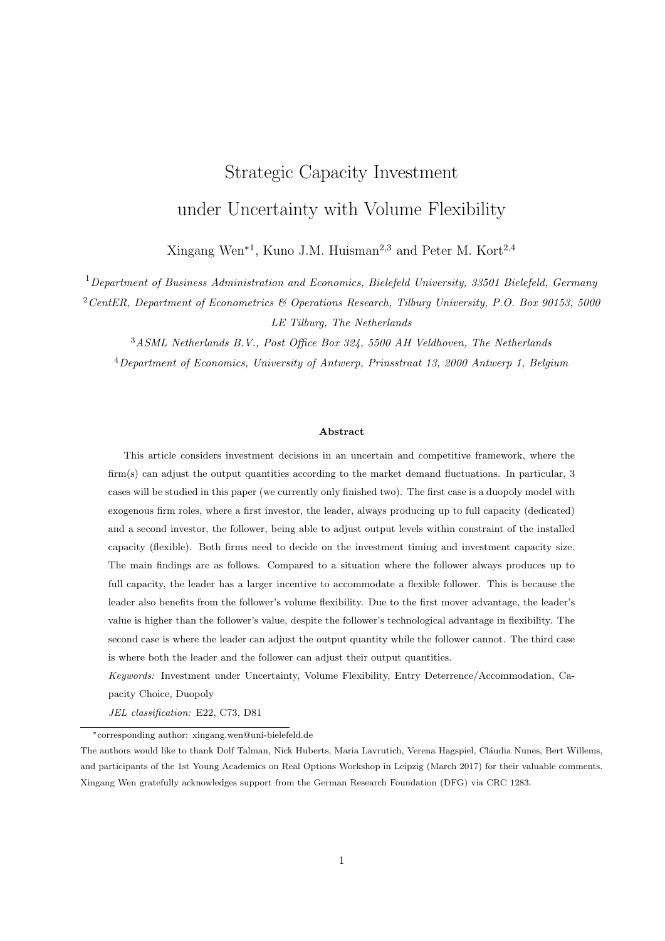# 1 Introduction

Uncertainty is a main characteristic of the business environment nowadays. The technology advancement has shortened product life cycles, increased product variety, and indulged more demanding consumers. This contributes to the uncertainty in consumer demand and poses challenges on the manufacturing firms. The ability to produce to the least cost is no longer enough. The capability to absorb demand fluctuations has become an important competitive issue. Flexibility is considered an adaptive response to the environmental uncertainty (Gupta and Goyal, 1989). Browne et al. (1984) have defined eight different flexibility types, among which, the volume flexibility is described as "the ability to operate an FMS (Flexible Manufacturing Systems) profitably at different production volumes." Later on, Sethi and Sethi (1990) further describe volume flexibility as "the ability to be operated profitably at different overall output levels." According to Beach et al. (2000), utilizing flexibility presents performance-related benefits. Numerous studies have supported the importance of volume flexibility (Jack and Raturi, 2002). For instance, Goyal and Netessine (2011) show that volume flexibility may help the firm combat the product demand uncertainty. In a monopolistic market, Hagspiel et al. (2016) and Wen et al. (2017) analyze the volume flexibility's influences on a monopolistic investor's investment decision and show that it increases the value of the investment. In a competitive setting, an important question for the investors would be how the volume flexibility influences investment decisions and the investors' strategic interactions.

This article considers volume flexibility in a homogenous good market. Demand is linear and subject to stochastic shocks, which follow a geometric Brownian motion process. There are two firms that decide on entering the market by investing in a production plant. More specifically, they have to decide about the investment timing and the investment capacity. As an extension to Huisman and Kort (2015), where the strategic interaction of two dedicated firms is studied, we plan to study several cases in order to gain insight about the volume flexibility. These cases, together with Huisman and Kort (2015) are summarized in the following table 1.

|                   | Dedicated Leader                             | Flexible Leader |
|-------------------|----------------------------------------------|-----------------|
|                   | Dedicated Follower   Huisman and Kort (2015) | Case 2          |
| Flexible Follower | Case 1                                       | Case 3          |

Table 1: Overview of the cases for exogenous firm roles

Case 1: exogenous duopoly with volume-dedicated leader and volume-flexible follower

Case 1 is such that, the first investor, the leader, has dedicated technology. The follower, i.e., the firm that invests secondly, has volume flexibility. The leader always produces up to capacity and has a first mover advantage. The follower can adjust output levels according to market demand. A surprising outcome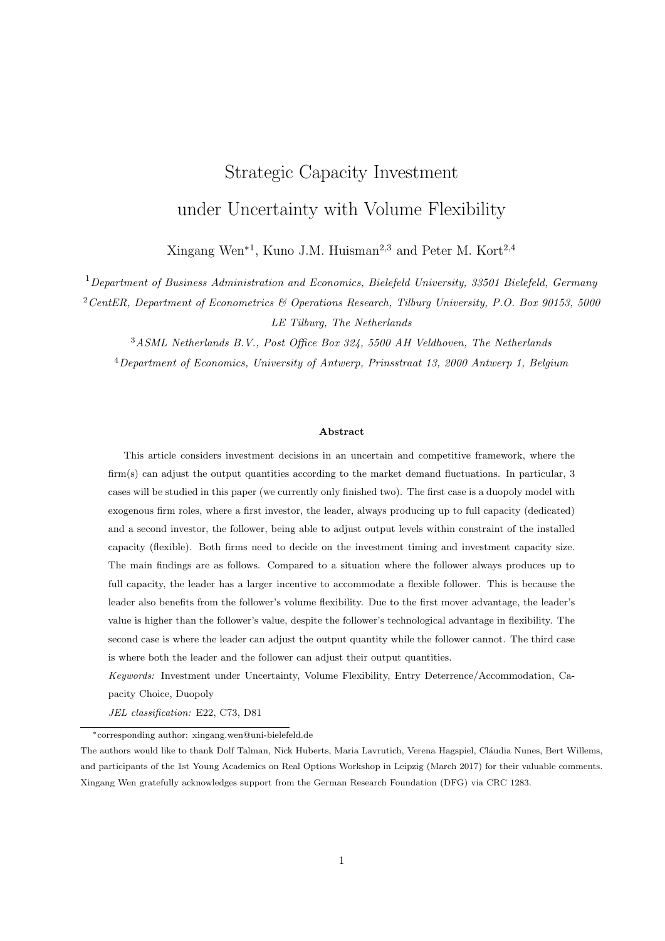is that, because the market price is affected by the follower's flexible output, the leader benefits from the follower's flexibility when market demand is low. This is because the follower reduces the output quantity in such a case. The analysis in this case starts with a market where no firms are active. Then two intervals on market demand are identified for the leader, with one interval where it is optimal to deter the entry of the flexible follower and the other one where it is optimal to accommodate the entry. We find that compared to a dedicated follower, the leader is less likely to deter a flexible follower. This is because when there is demand uncertainty, both the leader and the flexible follower tend to wait for more information about the future market and invest later. For the entry deterrence strategy, the leader has an incentive to overinvest to deter the entry of the follower<sup>1</sup>. Being dedicated and unable to the instant market demand, the leader is more vulnerable to the negative demand shocks. For the follower, the volume flexibility yields higher values and thus motivates to invest earlier compared with a dedicated follower. This results in a shorter monopoly period for the leader and diminishes the attractiveness of entry deterrence compared to the case where the follower is dedicated. Furthermore, compared to a dedicated follower, it is more likely for the leader to accommodate a flexible follower. For the accommodation strategy, the two firms invest at the same time, so the incentive to overinvest in order to deter the follower's entry disappears. The market price reacts to the follower's output adjustment, and this diminishes the leader's vulnerability to demand uncertainty. The incentive to overinvest in order to reduce the capacity size of the flexible follower and to benefit from the follower's output adjustment is still strong. This makes accommodation of the flexible follower more attractive to the leader.

We also find that in a fast growing market, the flexible follower produces below capacity right after investment. While in a slowly growing or shrinking market, the flexible follower produces up to capacity right after investment. In the intermediate case, the flexible follower produces up to capacity right after investment when uncertainty is low and below capacity when uncertainty is high. These findings are the same as that for the flexible monopolist by Wen et al. (2017). The strategic interactions between the leader and the flexible follower do not influence these results. Moreover, there is "free riding"on the follower's flexibility since the volume flexibility affects market prices, and thus enlarges the profitability of the leader. So, the flexible follower cannot fully capture the innovative benefits from the technology advancement. However, this does not diminish the follower's incentive to invest in the volume flexibility technology, because it still generates a larger value for the follower regardless the leader chooses and entry deterrence or entry accommodation strategy.

Case 2: exogenous duopoly with volume-flexible leader and volume-dedicated follower

Case 3: exogenous duopoly with volume-flexible leader and volume-flexible follower

 $1$ Overinvesting refers to that a firm invests more capacity as the first investor than when investing simultaneously with the other firm at a predetermined point of time.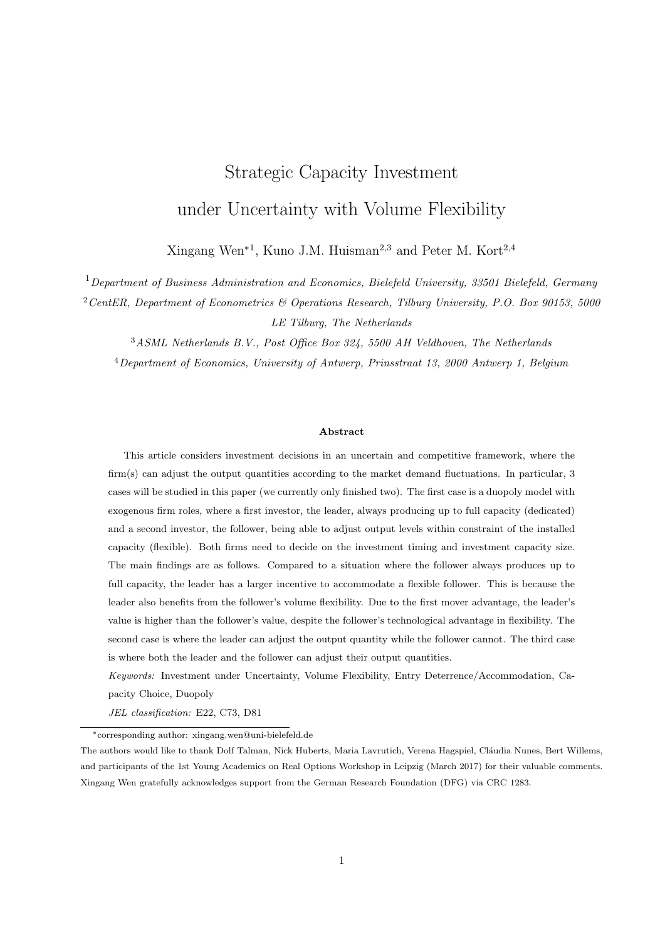# 2 Dedicated leader and flexible follower

## 2.1 Model Setup

Consider a framework where two firms can invest in production capacity to enter a market or serve a particular demand. Of the two firms, the follower (second investor) has volume flexibility technology and adjust output levels up to the installed capacity after the investment. The leader (first investor) has no such technology and can only produce at full capacity level. Denote by  $K_D$  0 and  $K_F$  0 the capacity of the dedicated leader and the flexible follower, respectively. For both firms, the unit cost for capacity investment is  $\delta > 0$  and the unit cost for production is  $c > 0$ . The price at time t 0 is  $p(t)$ , given by the inverse demand function

$$
p(t) = X(t) \left[1 \quad \gamma (q_D(t) + q_F(t))\right],
$$

where  $\gamma > 0$  is a constant,  $q_D(t)$ , equal to  $K_D$ , and  $q_F(t)$ , no larger than  $K_F$ , denote the production output for the dedicated and flexible firm at time t, respectively, and the uncertainty in demand,  $fX(t)/t = 0g$ , follows a geometric Brownian Motion (GBM) process

$$
dX(t) = \alpha X(t)dt + \sigma X(t)dW_t,
$$

in which  $X(0) > 0$ ,  $\alpha$  is the trend parameter,  $\sigma > 0$  is the volatility parameter, and  $dW_t$  is the increment of a Wiener process. The inverse linear demand function has among others been adopted by Pindyck (1988) and Huisman and Kort (2015). Both firms are risk neutral and have a discount rate of r, which is assumed to be larger than  $\alpha$ , the trend of GBM  $X(t)$ . This is to prevent that it is optimal for the firms to always delay the investment (see Dixit and Pindyck, 1994). From now on I drop the argument of time whenever there can be no misunderstanding.

# 2.2 Flexible Follower's Optimal Investment Decision

The leader is assumed to be already in the market when the flexible follower makes investment decisions. Given  $X(t) = X$  and the leader's investment capacity  $K_D$ , denote  $\pi_F(X, K_D, K_F)$  as the profit for the flexible follower after investing in capacity  $K_F$ . The follower is flexible and can adjust its output quantity between 0 and the invested capacity  $K_F$ . The output maximizes the follower's profit flow, which is equal to

$$
\pi_F(X, K_D, K_F) = \max_{0 \ q_F \ K_F} fX \left[1 \quad \gamma(K_D + q_F)\right] \quad c g q_F.
$$

Given  $0$  K<sub>D</sub> <  $1/\gamma$ , the optimal output level for the follower is

$$
q_F(X, K_D, K_F) = \begin{cases} 0 & 0 < X < \frac{c}{1 - \gamma K_D}, \\ \frac{X - c}{2\gamma X} & \frac{K_D}{2} & X - \frac{c}{1 - \gamma K_D} \text{ and } K_F > \frac{X - c}{2\gamma X} & \frac{K_D}{2}, \\ K_F & X - \frac{c}{1 - \gamma K_D} \text{ and } K_F - \frac{X - c}{2\gamma X} & \frac{K_D}{2}. \end{cases}
$$
(1)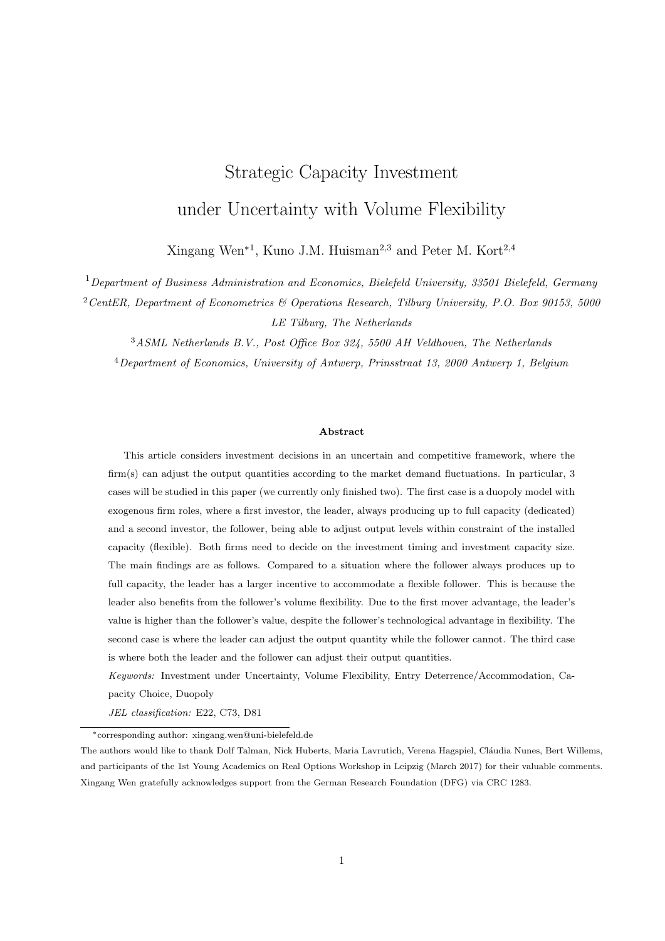The corresponding profit flow is given by

$$
\pi_F(X, K_D, K_F) = \begin{cases}\n0 & 0 < X < \frac{c}{1 - \gamma K_D}, \\
\frac{(X - c - \gamma X K_D)^2}{4\gamma X} & X - \frac{c}{1 - \gamma K_D} \text{ and } K_F > \frac{X - c}{2\gamma X} - \frac{K_D}{2}, \\
(X - c - \gamma X K_D) K_F & K_F^2 \gamma X & X - \frac{c}{1 - \gamma K_D} \text{ and } K_F - \frac{X - c}{2\gamma X} - \frac{K_D}{2}.\n\end{cases}
$$
\n(2)

The flexible follower's investment decision is solved as an optimal stopping problem and can be formalized as

$$
\sup_{T=0,K_F=0} E\left[\int_T^{\tau} \pi_F(X(t),K_D,K_F) \exp(-rt)dt - \delta K_F \exp(-rT)\middle| X(0)\right],
$$

conditional on the available information at time 0, where  $T$  is the time when the flexible follower invests, and  $K_F$  is the acquired capacity at time T. Denote by  $V_F(X, K_D, K_F)$  the value for the flexible follower, and it satisfies the Bellman equation

$$
rV_F = \pi_F + \frac{1}{dt}E[dV_F].
$$
\n(3)

Applying Ito's Lemma, substituting and rewriting lead to the following differential equation (see also, e.g., Dixit and Pindyck (1994))

$$
\frac{1}{2}\sigma^2 X^2 \frac{\partial^2 V_F(X, K_D, K_F)}{\partial X^2} + \alpha X \frac{\partial V_F(X, K_D, K_F)}{\partial X} \quad rV_F(X, K_D, K_F) + \pi_F(X, K_D, K_F) = 0. \tag{4}
$$

Substituting (2) into (4) and employing value matching and smooth pasting for  $X = c/(1 - \gamma K_D)$  and  $X = c/(1 - \gamma K_D - 2\gamma K_F)$  yield the follower's value after investment as given by

$$
V_F(X, K_D, K_F) = \begin{cases} L(K_D, K_F) X^{\beta_1} & 0 < X < \frac{c}{1 - \gamma K_D}, \\ M_1(K_D, K_F) X^{\beta_1} + M_2(K_D) X^{\beta_2} & K_1 + \frac{(1 - \gamma K_D)^2 X}{4 \gamma (r - \alpha)} & \frac{c(1 - \gamma K_D)}{2 \gamma r} + \frac{c^2}{4 \gamma X (r + \alpha - \sigma^2)} & X - \frac{c}{1 - \gamma K_D} \text{ and } K_F > \frac{X - c}{2 \gamma X} & \frac{K_D}{2}, \\ N(K_D, K_F) X^{\beta_2} & \frac{cK_F}{r} + \frac{X K_F(1 - \gamma K_D - \gamma K_F)}{r - \alpha} & X - \frac{c}{1 - \gamma K_D} \text{ and } K_F - \frac{X - c}{2 \gamma X} & \frac{K_D}{2}, \\ 0, & (5) \end{cases}
$$

in which

$$
\beta_1 = \frac{1}{2} \quad \frac{\alpha}{\sigma^2} + \sqrt{\left(\frac{1}{2} \quad \frac{\alpha}{\sigma^2}\right)^2 + \frac{2r}{\sigma^2}} > 1,\tag{6}
$$

$$
\beta_2 = \frac{1}{2} \quad \frac{\alpha}{\sigma^2} \quad \sqrt{\left(\frac{1}{2} \quad \frac{\alpha}{\sigma^2}\right)^2 + \frac{2r}{\sigma^2}} < 1. \tag{7}
$$

The expressions of  $L(K_D, K_F)$ ,  $M_1(K_D, K_F)$ ,  $M_2(K_D)$ ,  $N(K_D, K_F)$  can be found in Appendix A.1. If  $K_D = 0$ , the model reduces to the monopoly case.

The follower does not produce right after the investment for  $0 < X < c/(1 - \gamma K_D)$ . Thus,  $L(K_D, K_F) X^{\beta_1}$ is positive and represents the option value to start producing in the future as soon as X reaches  $c/(1 \gamma K_D)$ .  $M_1(K_D, K_F)X^{\beta_1}$  is negative and corrects for the fact that if X reaches  $c/(1-\gamma K_D - 2\gamma K_F)$ , the follower's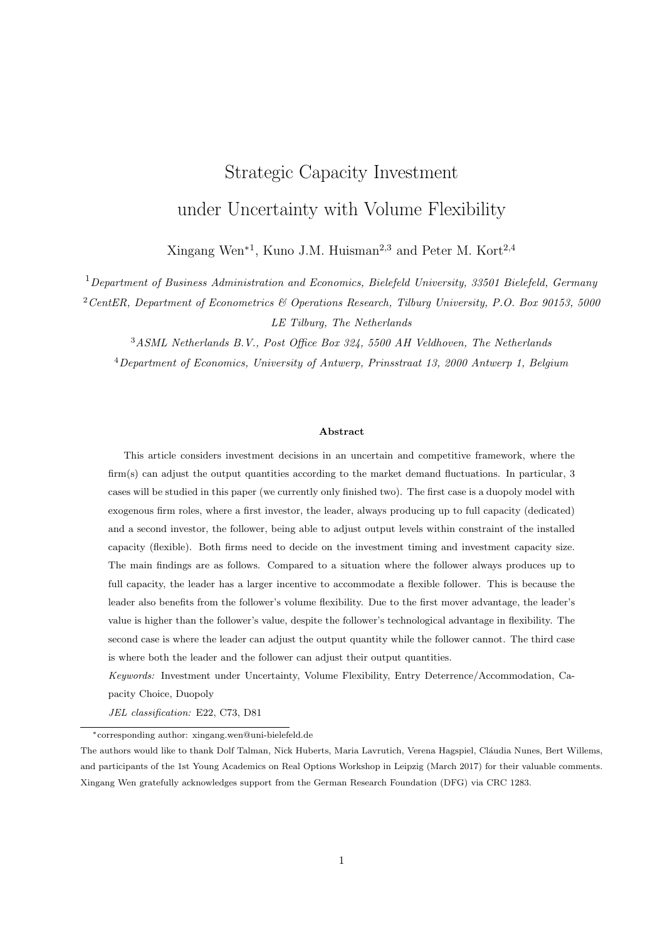output will be constrained by the installed capacity level.  $M_2(K_D)X^{\beta_2}$  has both a negative and a positive effect. The negative effect corrects for the positive quadratic form of cash flows even when  $X$  drops below  $c/(1 - \gamma K_D)$ . The positive effect comes from the option that the follower would temporarily suspend production for a too small market demand. When  $\sigma^2 < r + \alpha$ , the negative effect dominates the positive effect, and if  $\sigma^2 > r + \alpha$  the positive effect dominates<sup>2</sup>.  $N(K_D, K_F)X^{\beta_2}$  is positive and describes the option value that if demand decreases, i.e., X drops below  $c/(1 \gamma K_D - 2\gamma K_D)$ , the follower produces below full capacity. The optimal investment decision is found in two steps. First, given  $K_D$  and the level of  $X$ , the optimal value of  $K_F$  is found by maximizing  $V_F(X, K_D, K_F)$   $\delta K_F$ , which yields  $K_F(X, K_D)$ . Second, the optimal investment threshold  $X_F(K_D)$  for the follower can be derived. The two steps are summarized in the following proposition, where

$$
F(\beta) = \frac{2\beta}{r} \frac{\beta}{r} \frac{1}{\alpha} \frac{\beta+1}{r+\alpha \sigma^2}.
$$
 (8)

and  $\bar{\sigma}$  is such that

$$
\bar{\sigma}^2 = \frac{2(\Lambda - \alpha^2)(2r - \alpha) + 4\sqrt{r\Lambda(\Lambda - \alpha^2)(r - \alpha)}}{\Lambda (2r - \alpha)^2},
$$
\n(9)

with  $\Lambda = \begin{pmatrix} \frac{2\delta r(r-\alpha) - \alpha c}{c} \end{pmatrix}$  $\left(\frac{\alpha}{c}\right)^2$ .  $\bar{\sigma} > 0$  is a value of the drift parameter that determines if the follower produces below or up to capacity right after investment.  $\bar{\sigma}$  is only defined for  $r - c/\delta < \alpha - \delta r^2/(c + \delta r)$ .

**Proposition 1** Given that the dedicated firm has already invested capacity  $K_D \supseteq [0, 1/\gamma)$ , there are two possibilities for the follower's investment decisions:

1. Suppose  $\alpha > \delta r^2/(c + \delta r)$ , or both  $r - c/\delta < \alpha$   $\delta r^2/(c + \delta r)$  and  $\sigma > \bar{\sigma}$ . The follower produces below capacity right after investment. For any X c/(1  $\gamma K_D$ ), the optimal capacity  $K_F(X, K_D)$ that maximizes  $V(X, K_D, K_F)$   $\delta K_F$  is given by

$$
K_F(X, K_D) = \frac{1}{2\gamma} \left( 1 \quad \gamma K_D \quad \frac{c}{X} \left[ \frac{2\delta \left( \beta_1 \quad \beta_2 \right)}{c \left( 1 + \beta_1 \right) F \left( \beta_2 \right)} \right]^{\frac{1}{\beta_1}} \right),\tag{10}
$$

and the optimal investment threshold  $X_F(K_D)$  satisfies

$$
\frac{c(1-\gamma K_D)F(\beta_1)}{4\gamma \beta_1} \left(\frac{X(1-\gamma K_D)}{c}\right)^{\beta_2} + \frac{1}{4\gamma} \left[\frac{\beta_1}{\beta_1} \frac{1}{r} \frac{X(1-\gamma K_D)^2}{r} - \frac{2c(1-\gamma K_D)}{r} + \frac{\beta_1 + 1}{\beta_1} \frac{c^2}{X(r+\alpha - \sigma^2)}\right] \delta K_F(X, K_D) = 0.
$$
 (11)

If  $X(0) < X_F(K_D)$ , then the optimal capacity of the follower is  $K_F(K_D) = K_F(X_F(K_D), K_D)$ . If  $X(0)$  $(K_D)$ , then the follower invests at  $t = 0$  with capacity  $K_F(K_D) = K_F(X(0), K_D)$ .

 $2$ Compared to Hagspiel et al. (2016), the dominance of positive and negative effect can be determined in this paper. This is probably due to the fact that I adopt a multiplicative inverse demand structure, and they study an additive inverse demand function.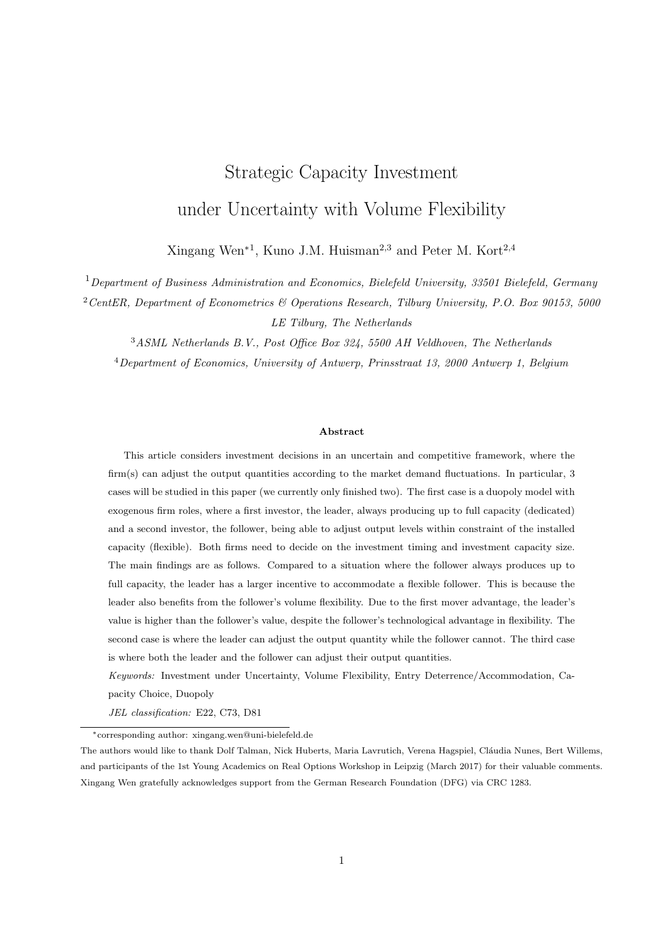2. Suppose  $\alpha$  r c/ $\delta$ , or both r c/ $\delta < \alpha$   $\delta r^2/(c + \delta r)$  and  $\sigma$   $\bar{\sigma}$ . Then the follower produces up to capacity right after investment. For any X c/(1  $\gamma K_D$ ), the optimal capacity  $K_F(X, K_D)$  satisfies

$$
\frac{c\left(1+\beta_2\right)F\left(\beta_1\right)}{2\left(\beta_1-\beta_2\right)}\left(\frac{X(1-2\gamma K_F-\gamma K_D)}{c}\right)^{\beta_2}+\frac{X(1-2\gamma K_F-\gamma K_D)}{r-\alpha}-\frac{c}{r}-\delta=0,\qquad(12)
$$

and the optimal investment threshold  $X_F(K_D)$  satisfies

$$
\frac{cF(\beta_1)}{4\gamma\beta_1} \left(\frac{X}{c}\right)^{\beta_2} \left((1 - \gamma K_D)^{1+\beta_2} \quad (1 - 2\gamma K_F \quad \gamma K_D)^{1+\beta_2}\right) \n+ \frac{(\beta_1 - 1)X}{\beta_1} \frac{K_F}{r} \frac{\gamma K_D K_F}{\gamma \alpha} \frac{\gamma K_F^2}{r} \frac{cK_F}{\delta K_F} \quad \delta K_F = 0,
$$
\n(13)

with  $K_F = K_F(X, K_D)$ . If  $X(0) < X_F(K_D)$ , then the optimal capacity of the follower is  $K_F(K_D)$  $K_F(X_F(K_D), K_D)$ . If  $X(0)$   $X_F(K_D)$ , then the follower invests at  $t = 0$  with capacity  $K_F(K_D) =$  $K_F(X(0), K_D)$ .

From Proposition 1, the influence of the leader's investment capacity on the follower's investment decision is concluded in Corollary 1. Their proof can be found in Appendix A.2 and A.3.

**Corollary 1** The dedicated leader's capacity level  $K_D$  influences the follower's investment decision such that if the leader invests more, then the follower invests later and invests less.

This result is intuitive because the leader always produces up to capacity after investment, and the more the leader invests, the smaller market share is left for the flexible follower. When deciding on the capacity, the follower takes the future market demand into consideration. Thus, a smaller market share decreases the follower's investment capacity. Moreover, given the current market demand level, the market price decreases if the leader invests more. This would lower the follower's potential profits and delay the follower's entry because the follower prefers to wait for a higher market price.

## 2.3 Dedicated Leader's Optimal Investment Decision

The leader also takes the follower's decisions into consideration when deciding on the market entry. Suppose the leader invests at t with capacity size  $K_D$  and  $X(t) = X$ . Corollary 1 shows that the leader's capacity influences the follower investment timing. Assume there exists a capacity size for the leader,  $\tilde{K}_D(X)$ , such that the follower's optimal threshold satisfies  $X_F(\hat{K}_D) = X$ , and when the follower produces below capacity right after investment,  $\hat{K}_D(X)$  can be derived from (11) as to satisfy

$$
\frac{c(1 - \gamma K_D)F(\beta_1)}{2\beta_1} \left(\frac{X(1 - \gamma K_D)}{c}\right)^{\beta_2} + \frac{\beta_1}{2\beta_1} \frac{X(1 - \gamma K_D)^2}{r \alpha} \frac{c(1 - \gamma K_D)}{r} + \frac{\beta_1 + 1}{2\beta_1} \frac{c^2}{X(r + \alpha - \sigma^2)}
$$

$$
\delta(1 - \gamma K_D) + \frac{c\delta}{X} \left(\frac{2\delta(\beta_1 - \beta_2)}{c(1 + \beta_1)F(\beta_2)}\right)^{\frac{1}{\beta_1}} = 0. \quad (14)
$$

From Corollary 1 it can be concluded that if  $K_D$   $\hat{K}_D(X)$ , then  $X$   $X_F(K_D)$ , implying that the follower invests at the same time with the leader. If  $K_D > \hat{K}_D(X)$ , then  $X < X_F(K_D)$ , implying that the follower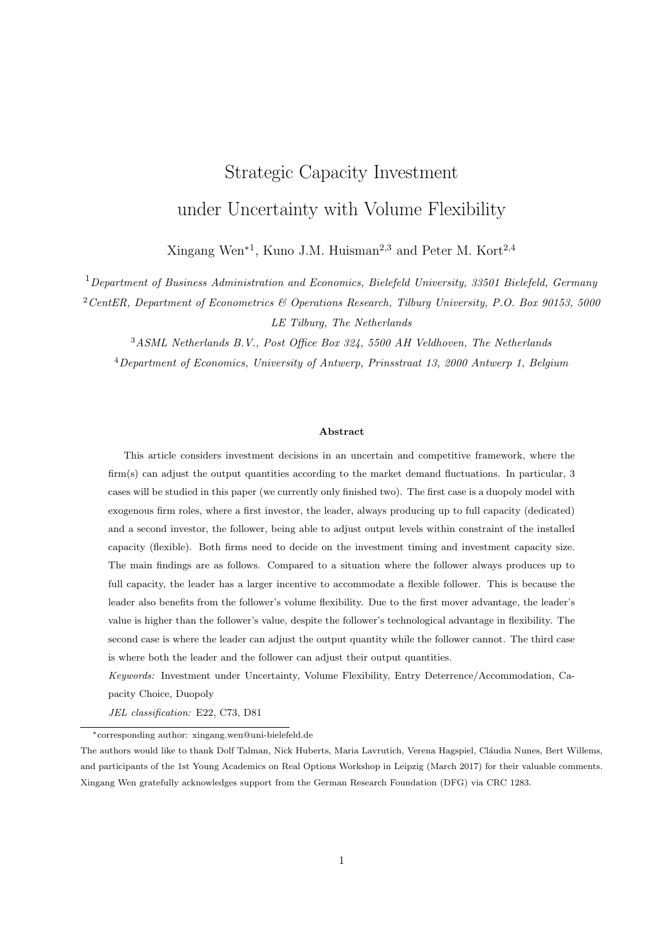invests later than the leader. The former corresponds to the leader's entry accommodation strategy and the latter corresponds to the entry deterrence strategy, as described by Huisman and Kort (2015). In the following analysis, the leader's entry accommodation and entry deterrence strategy are characterized as the local optimum for the leader's value maximization problem given by

$$
\sup_{K_D} E\left[\int\limits_0^T (K_D(1 \ \gamma K_D)X(t) \ c_D K_D)e^{-rt}dt\right] + \int\limits_T^1 (K_D(1 \ \gamma K_D \ \gamma q_F(X, K_D, K_F))X(t) \ c_D K_D)e^{-rt}dt \ \delta_D K_D\right]X(0) = X\Bigg],
$$

where T is the moment that the flexible follower invests. Note that  $T > 0$  under the entry deterrence strategy and  $T = 0$  under the entry accommodation strategy.

The leader's investment value is generated by the leader's profit flow. Before the follower's entry, the leader is the only producer in the market. After the follower's entry, both firms are active in the market. The follower might not produce, produce below, and produces up to capacity after investment. Thus there are three cases for the leader's profit flow. For the given GBM level X and the leader's capacity size  $K_D$ , the leader's profit flow  $\pi_D(X, K_D)$  is given by

$$
\pi_D(X, K_D) = \begin{cases}\nK_D(1 \quad \gamma K_D)X & c_D K_D & \text{if } 0 < X < \frac{c}{1 - \gamma K_D}, \\
\frac{K_D}{2}(X \quad \gamma X K_D + c \quad 2c_D) & \text{if } X & \frac{c}{1 - \gamma K_D} \text{ and } K_F(K_D) > \frac{X - c}{2\gamma X} \\
X K_D[1 \quad \gamma (K_D + K_F(K_D))] & c_D K_D & \text{if } X & \frac{c}{1 - \gamma K_D} \text{ and } K_F(K_D) & \frac{X - c}{2\gamma X} & \frac{K_D}{2}.\n\end{cases}
$$

Applying Ito's Lemma, substituting and rewriting leads to the following differential equation (see, e.g., Dixit and Pindyck (1994))

$$
\frac{1}{2}\sigma^2 X^2 \frac{\partial^2 V_D(X, K_D)}{\partial X^2} + \alpha X \frac{\partial V_D(X, K_D)}{\partial X} \quad rV_D(X, K_D) + \pi_D(X, K_D) = 0.
$$

Substituting  $\pi_D$  into this differential equation and employing value matching and smooth pasting at X =  $c/(1 \gamma K_D)$  and  $X = c/(1 \gamma K_D 2 \gamma K_F(K_D))$  give the value of the leader after the follower's investment as

$$
V_D(X, K_D) = \begin{cases} L(K_D)X^{\beta_1} + \frac{K_D(1 - \gamma K_D)}{r - \alpha}X & \frac{c_D K_D}{r} \quad \text{if } 0 & X < \frac{c}{1 - \gamma K_D}, \\ M_1(K_D)X^{\beta_1} + M_2(K_D)X^{\beta_2} \\ + \frac{X K_D(1 - \gamma K_D)}{2(r - \alpha)} + \frac{(c - 2c_D)K_D}{2r} & \text{if } X & \frac{c}{1 - \gamma K_D} \text{ and } K_F(K_D) > \frac{X - c}{2\gamma X} & \frac{K_D}{2}, \\ N(K_D)X^{\beta_2} & \frac{c_D K_D}{r} \\ + \frac{K_D(1 - \gamma K_D - \gamma K_F(K_D))}{r - \alpha}X & \text{if } X & \frac{c}{1 - \gamma K_D} \text{ and } K_F(K_D) & \frac{X - c}{2\gamma X} & \frac{K_D}{2}. \end{cases} \tag{15}
$$

The derivation and expressions of  $L(K_D)$ ,  $\mathcal{M}_1(K_D)$ ,  $\mathcal{M}_2(K_D)$ ,  $\mathcal{N}(K_D)$ , and their signs can be found in Appendix A.4. For  $0 \tX < c/(1 \gamma K_D)$ , the demand is so low that the follower's production is temporarily suspended. However, the dedicated leader still produces at full capacity. In the leader's value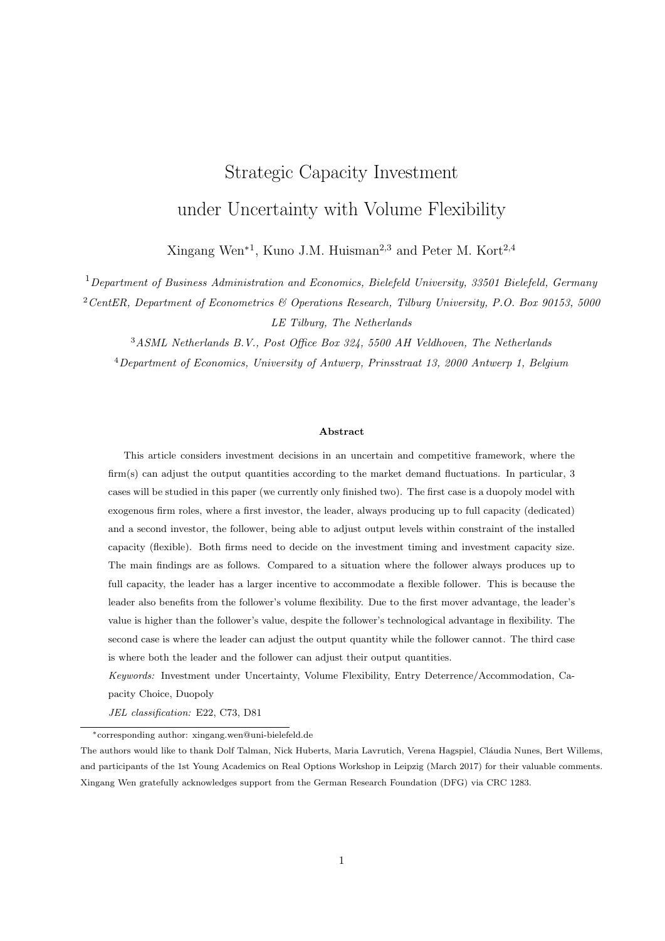function,  $L(K_D)X^{\beta_1}$  measures the decrease in the leader's value when the follower resumes production in the future. This happens as soon as X becomes larger than  $c/(1 \gamma K_D)$ . For  $X = c/(1 \gamma K_D)$ and  $K_F(K_D) > (X - c)/(2\gamma X)$   $K_D/2$ , i.e.,  $c/(1 - \gamma K_D)$   $X < c/(1 - \gamma K_D - 2\gamma K_F(K_D))$ , the follower produces below capacity right after investment.  $\mathcal{M}_1(K_D)X^{\beta_1}$  corrects for the fact that if X reaches  $c/(1-\gamma K_D - 2\gamma K_F(K_D))$ , then the production of the follower is constrained by the installed capacity, hence the value of the leader increases. The term  $\mathcal{M}_2(K_D)X^{\beta_2}$  denotes the decrease in the leader's option value, due to the fact that when X falls below  $c/(1 \gamma K_D)$ , the market demand becomes so small that the follower suspends production, whereas the leader still produces at full capacity, which results in negative profit. For  $X = c/(1 - \gamma K_D)$  and  $K_F(K_D) = (X - c)/(2\gamma X)$   $K_D/2$ , i.e.,  $X = c/(1 - \gamma K_D - 2\gamma K_F(K_D))$ , the follower produces up to capacity right after investment. The term  $N(K_D)X^{\beta_2}$  corrects for the fact that when X drops below  $c/(1 - \gamma K_D - 2\gamma K_F(K_D))$ , the follower produces below capacity, and the value of the leader would increase.

The leader's strategies are analyzed for two cases, i.e., the follower produces below and up to capacity right after investment. This is because according to Wen et al. (2017), the flexible firm always produces right after investment. Before the follower invests, the leader's value function consists of two parts with one part from the monopolistic profit flow, and the other part correcting for the fact that the leader loses its monopoly privilege when the follower invests. Given that the leader invests at  $X$ , let the leader's value before the follower's entry be

$$
V_D(X, K_D) = B(K_D)X^{\beta_1} + \frac{K_D(1 - \gamma K_D)}{r - \alpha}X - \frac{c_D K_D}{r},
$$

where  $B(K_D)$  has different expressions and will be derived for the two cases<sup>3</sup>. The leader's value function after the follower's investment is shown in (15). Then in every case both the entry deterrence and the entry accommodation strategy are analyzed.

The flexible follower produces below capacity right after investment when  $\alpha > \delta r^2/(c + \delta r)$ , or both  $r \frac{c}{\delta} < \alpha \frac{\delta r^2}{(c + \delta r)}$  and  $\sigma > \bar{\sigma}$ .

Given that the leader invests at  $X$ , the value function before and after the follower's entry is as follows

$$
V_D(X, K_D) = \begin{cases} B_1(K_D)X^{\beta_1} + \frac{K_D(1 - \gamma K_D)}{r - \alpha} X & \frac{c_D K_D}{r} \\ \mathcal{M}_1(K_D)X^{\beta_1} + \mathcal{M}_2(K_D)X^{\beta_2} + \frac{K_D(1 - \gamma K_D)}{2(r - \alpha)} X + \frac{(c - 2c_D)K_D}{2r} & X & X_F(K_D), \end{cases} \tag{16}
$$

with

$$
B_1(K_D) = \mathcal{M}_1(K_D) + \mathcal{M}_2(K_D) X_F^{\beta_2 \beta_1}(K_D) \quad \frac{K_D(1 - \gamma K_D)}{2(r - \alpha)} X_F^{-1 \beta_1}(K_D) + \frac{cK_D}{2r} X_F^{-\beta_1}(K_D), \tag{17}
$$

 $\frac{3\mathcal{B}(K_D)$  and  $\mathcal{L}(K_D)$  are different. According to Dixit and Pindyck (1994), the fundamental component in the leader's value function, i.e.,  $\frac{K_D(1-\gamma K_D)}{r}X - \frac{K_D}{r}$ , is generated by the profit flows.  $\mathcal{L}(K_D)X^{\beta_1}$  describes the deviation of  $V_D(X;K_D)$  from the fundamental component due to the possibility that X will move across the boundary  $\frac{c}{1-\gamma K_D}$ .  $\mathcal{B}(K_D)X^{\beta_1}$  describes the deviation of  $V_D(X; K_D)$  from the fundamental component due to the possibility that X will move across the follower's optimal investment threshold  $X^*_{F}$ .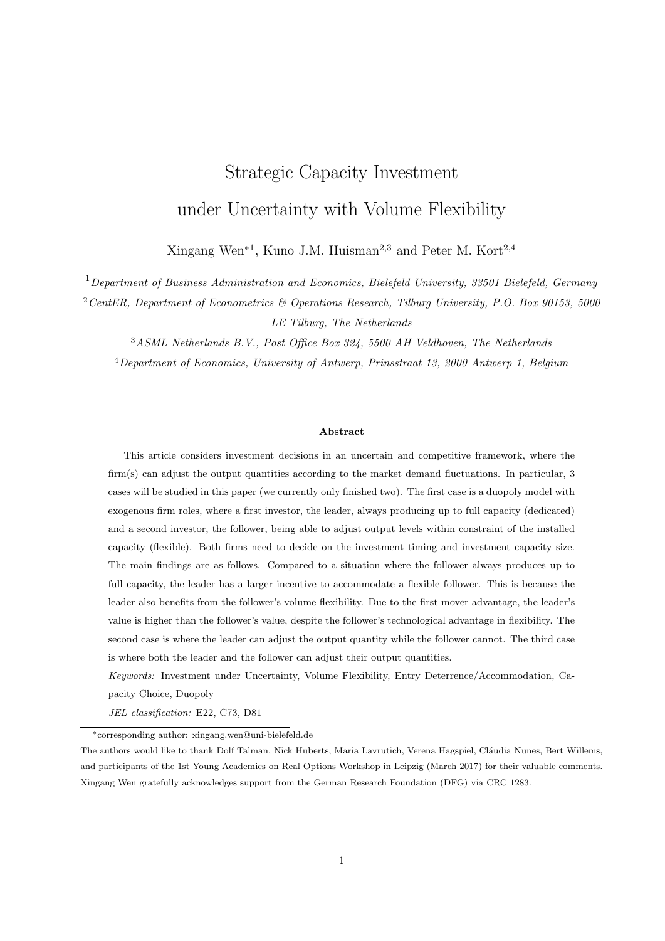according to value matching condition at  $X_F(K_D)$ , which is defined by (11). Intuitively,  $B_1(K_D)$  is negative (see Appendix A.5). It corrects for the fact that when  $X(t)$  reaches  $X_F(K_D)$ , the follower enters the market, putting an end to the leader's monopolistic privilege. The leader's entry deterrence and accommodation strategies, when the follower produces below capacity right after investment, are described in the following proposition (see also Appendix A.5 for the proof).

**Proposition 2** Suppose  $\alpha > \delta r^2/(c + \delta r)$ , or both  $r - c/\delta < \alpha - \delta r^2/(c + \delta r)$  and  $\sigma > \bar{\sigma}$ .

#### (a) Entry Deterrence Strategy

The entry deterrence strategy will be considered whenever  $X \n\supseteq (X_1^{\text{det}}, X_2^{\text{det}})$ , where  $X_1^{\text{det}}$  satisfies

$$
\left(\frac{X^{det}}{X_F(0)}\right)^{\beta_1} \left[\begin{array}{cc} \frac{\delta}{(1+\beta_1)F(\beta_2)} \left(\frac{\beta_2}{r} - \frac{1}{\alpha} - \frac{\beta_2}{r}\right) + \frac{c^1}{2(\beta_1 - \beta_2)} \left(\frac{\beta_1}{r} - \frac{1}{\alpha} - \frac{\beta_1}{r}\right) - \frac{X_F(0)}{2(r - \alpha)} + \frac{c}{2r} \right] + \frac{X^{det}}{r - \alpha} - \frac{c_D}{r} - \delta_D = 0, \ (18)
$$

where  $X_F(0)$  can be derived from (10) and (11) given that  $K_D = 0$ , and  $X_2^{det}$  together with  $K_D^{det}(X_2^{det})$ satisfy (14) and

$$
\frac{1-\gamma K_D - \beta_1 \gamma K_D}{K_D(1-\gamma K_D)} B_1(K_D) (X^{det})^{\beta_1} + \frac{1-2\gamma K_D}{r} X^{det} \frac{c_D}{r} \delta_D = 0.
$$
\n(19)

The optimal investment threshold  $X_D^{det}$  and investment capacity  $K_D^{det}$  are

$$
X_D^{det} = \frac{(\beta_1 + 1)(r - \alpha)}{\beta_1 - 1} \left(\frac{c_D}{r} + \delta_D\right),
$$
  

$$
K_D^{det} \qquad K_D^{det}(X_D^{det}) = \frac{1}{(\beta_1 + 1)\gamma},
$$

when  $X < X_D^{det}$  and  $X_D^{det} \geq [X_1^{det}, X_2^{det}]$ . If  $X_D^{det}$   $X$   $X_2^{det}$ , in order to implement the entry deterrence strategy, the leader invests immediately at X with capacity  $K_D^{det}(X)$  that satisfies (19). Then the value of the entry deterrence strategy is

$$
V_D^{det}(X) = B_1(K_D^{det}(X))X^{\beta_1} + \frac{K_D^{det}(X)\left(1 - \gamma K_D^{det}(X)\right)}{r - \alpha}X \qquad \frac{c_D K_D^{det}(X)}{r} \qquad \delta_D K_D^{det}(X). \tag{20}
$$

## (b) Entry Accommodation Strategy

The entry accommodation strategy will be considered if  $X$   $X_1^{acc}$ , where  $X_1^{acc}$  and the corresponding  $K_D^{acc}(X_1^{acc})$  satisfy (14) and

$$
\frac{1 - \gamma K_D}{K_D(1 - \gamma K_D)} \mathcal{M}_1(K_D) (X^{acc})^{\beta_1} + \frac{1 - \gamma K_D}{K_D(1 - \gamma K_D)} \mathcal{M}_2(K_D) (X^{acc})^{\beta_2} + \frac{1 - 2\gamma K_D}{2(r - \alpha)} X^{acc} + \frac{c - 2c_D}{2r} \delta_D = 0.
$$
 (21)

The optimal investment threshold  $X_D^{acc}$  satisfies

$$
\frac{c}{2\beta_1} \left(\frac{\beta_1}{r} \frac{1}{\alpha} \frac{\beta_1}{r}\right) \left(\frac{\beta_1 X^{acc}}{c(\beta_1 + 1)}\right)^{\beta_2} + \frac{(\beta_1}{2(r - \alpha)(\beta_1 + 1)} + \frac{c}{2r} \frac{2c_D}{2r} \delta_D = 0, \tag{22}
$$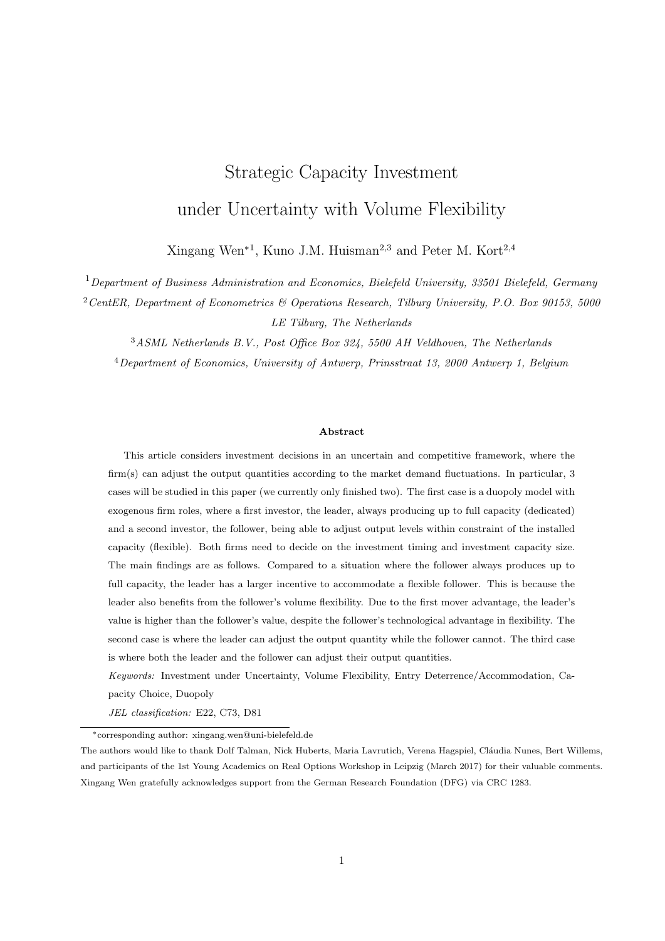when  $X < X_D^{acc}$  and  $X_D^{acc}$  $X_1^{acc}$   $X_1^{acc}$ . The optimal investment capacity for the entry accommodation strategy is

$$
K_D^{acc} \quad K_D^{acc}(X_D^{acc}) = \frac{1}{(\beta_1 + 1)\gamma}.
$$

If  $X$   $X_D^{acc}$ , in order to implement the entry accommodation strategy, the leader invests immediately at X with capacity  $K_D^{acc}(X)$  that satisfies (21). The value of the entry accommodation strategy is

$$
V_D^{acc}(X) = \mathcal{M}_1(K_D^{acc}(X))X^{\beta_1} + \mathcal{M}_2(K_D^{acc}(X))X^{\beta_2} + \frac{K_D^{acc}(X)(1 - \gamma K_D^{acc}(X))}{2(r - \alpha)}X + \frac{(c - 2c_D)K_D^{acc}(X)}{2r} \delta_D K_D^{acc}(X).
$$
 (23)

The flexible follower produces up to capacity right after the investment when  $\alpha$  r c/ $\delta$ , or both  $r - c/\delta < \alpha - \delta r^2/(c + \delta r)$  and  $\sigma - \bar{\sigma}$ .

Similar to where the follower produces below capacity right after investment, given that the leader invests at X, the value function before and after the follower's entry can be written as

$$
V_D(X, K_D) = \begin{cases} B_2(K_D)X^{\beta_1} + \frac{K_D(1 - \gamma K_D)}{r} X & \frac{c_D K_D}{r} & X < X_F(K_D), \\ N(K_D)X^{\beta_2} + \frac{K_D(1 - \gamma K_D - \gamma K_F(K_D))}{r} X & \frac{c_D K_D}{r} & X & X_F(K_D), \end{cases} \tag{24}
$$

with

$$
B_2(K_D) = N(K_D) X_F^{\beta_2 \beta_1}(K_D) \quad \frac{\gamma K_D K_F(K_D)}{r \alpha} X_F^{-1 \beta_1}(K_D), \tag{25}
$$

according to the value matching condition at the flexible follower's investment threshold  $X_F(K_D)$ , which is defined by (13).

Similar as  $B_1(K_D)$ ,  $B_2(K_D)$  corrects for the fact that when the follower enters the market, i.e. X reaches  $X_F(K_D)$ , it would put an end to the leader's monopoly privilege. Thus,  $B_2(K_D)$  is negative, shown in Appendix A.6. Because  $X_F(K_D)$  increases with  $K_D$  according to Corollary 1, it is possible for the dedicated leader to delay the entry of flexible follower through the entry deterrence strategy by investing  $K_D^{det}(X) > \hat{K}_D(X)$ . Otherwise, the two firms invest at the same time, implying the leader applies the entry accommodation strategy by investing  $K_D^{acc}$  $\hat{K}_D(X)$ . This critical size for the leader's capacity,  $\hat{K}_D(X)$ , can be derived from (13) with the follower's optimal investment capacity  $K_F(X)$   $K_F$  $K_F(K_D(X))$ satisfying (12).

The leader's investment decision under entry deterrence and accommodation strategies, when the follower produces up to capacity right after investment, are summarized in the following proposition with the proof in Appendix A.6.

**Proposition 3** Suppose  $\alpha$  r c/ $\delta$ , or both r c/ $\delta < \alpha$   $\delta r^2/(c + \delta r)$  and  $\sigma$   $\bar{\sigma}$ .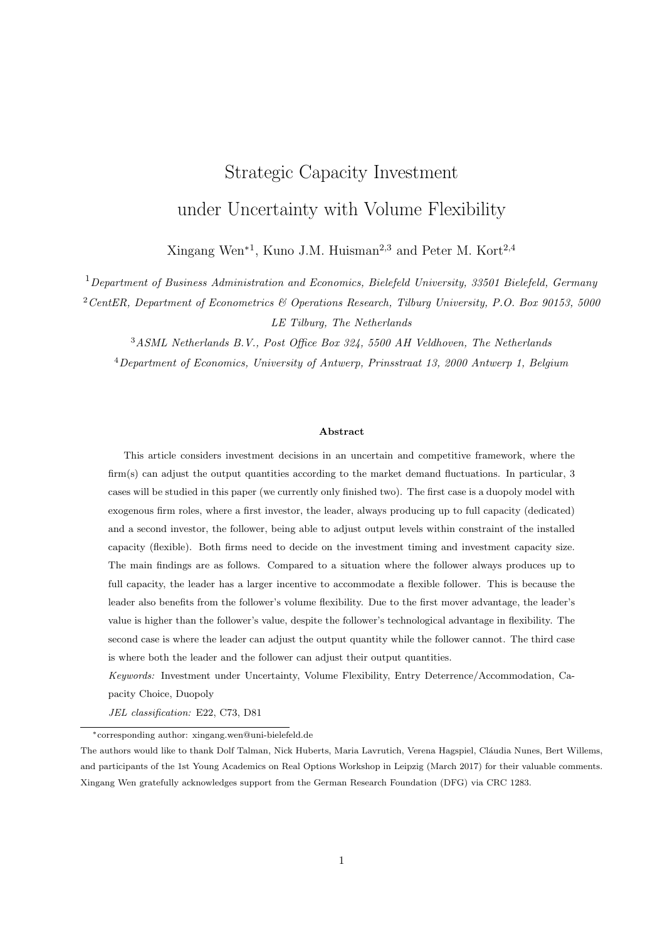## (a) Entry Deterrence Strategy

The entry deterrence strategy is possible if  $X \n\supseteq (X_1^{\text{det}}, X_2^{\text{det}})$ .  $X_1^{\text{det}}$  satisfies

$$
\frac{c}{2(\beta_1 - \beta_2)} \left(\frac{X^{det}}{X_F(0)}\right)^{\beta_1} \left(\left(\frac{\beta_1}{r - \alpha} - \frac{\beta_1}{r}\right) \left[\left(\frac{X_F(0)}{c}\right)^{\beta_2} - \left(\frac{X_F(0)(1 - 2\gamma K_F(0))}{c}\right)^{\beta_2}\right] \frac{\beta_1 - \beta_2}{r - \alpha} \frac{2\gamma X_F(0)K_F(0)}{c} + \frac{X^{det}}{r - \alpha} - \frac{c_D}{r} - \delta_D = 0, \qquad (26)
$$

where  $K_F(0)$  and  $X_F(0)$  can be derived from (12) and (13) given that  $K_D = 0$ .  $X_2^{det}$ ,  $K_D^{det}(X_2^{det})$  and  $K_F(X_2^{det})$  satisfy (12), (13), and

$$
\frac{1 - \gamma K_D}{K_D (1 - \gamma K_D)} B_2(K_D) (X^{det})^{\beta_1} + \frac{1 - 2\gamma K_D}{r} X^{det} \frac{c_D}{r} \delta_D = 0.
$$
 (27)

,

The optimal investment threshold  $X_D^{det}$  and the corresponding optimal capacity  $K_D^{det}$  are equal to

$$
X_D^{det} = \frac{(\beta_1 + 1)(r - \alpha)}{\beta_1 - 1} \left(\frac{c_D}{r} + \delta_D\right)
$$
  

$$
K_D^{det} \qquad K_D^{det}(X_D^{det}) = \frac{1}{(\beta_1 + 1)\gamma},
$$

if  $X < X_D^{det}$  and  $X_D^{det} \supseteq [X_1^{det}, X_2^{det}]$ . If  $X_D^{det} \subseteq X < X_2^{det}$ , in order to implement the entry deterrence strategy, the leader invests immediately at X with capacity  $K_D^{det}(X)$  that satisfies (27). The value of the entry deterrence strategy is

$$
V_D^{det}(X) = B_2(K_D^{det}(X))X^{\beta_1} + \frac{K_D^{det}(X)\left(1 - \gamma K_D^{det}(X)\right)}{r \alpha}X \quad \frac{c_D K_D^{det}(X)}{r} \quad \delta_D K_D^{det}(X). \tag{28}
$$

## (b) Entry Accommodation Strategy

The entry accommodation strategy is possible if  $X > X_1^{\text{acc}}$ .  $X_1^{\text{acc}}$ ,  $K_D^{\text{acc}}(X_1^{\text{acc}})$ , and  $K_F(X_1^{\text{acc}})$  satisfy (12), (13), and

$$
\frac{(1-\gamma K_D \beta_2 \gamma K_D)(X^{acc})^{\beta_2}}{K_D(1-\gamma K_D)} \mathcal{N}(K_D) + \frac{X^{acc}(1-\gamma K_D \gamma K_F(K_D))(1-2\gamma K_D)}{(r-\alpha)(1-\gamma K_D)} \frac{c_D}{r} \delta_D = 0.
$$
\n(29)

The optimal investment threshold  $X_D^{acc}$  satisfies

$$
\frac{c(X^{acc})^{\beta_2}}{2\beta_1} \left(\frac{\beta_1}{r} \frac{1}{\alpha} \frac{\beta_1}{r}\right) \left(\left(\frac{1 - \gamma K_D^{acc}}{c}\right)^{\beta_2} \left(\frac{1 - \gamma K_D^{acc}}{c} \frac{2\gamma K_F(K_D^{acc})}{c}\right)^{\beta_2}\right) + \frac{(\beta_1 - 1)X^{acc}}{\beta_1(r - \alpha)} (1 - \gamma K_D^{acc} - \gamma K_F(K_D^{acc})) \frac{c_D}{r} \delta_D = 0, \tag{30}
$$

if  $X < X^{acc}_{D}$  and  $X^{acc}_{D}$ . The optimal investment capacity for the entry accommodation strategy is

$$
K_D^{acc} \quad K_D^{acc}(X_D^{acc}) = \frac{1}{(\beta_1 + 1)\gamma}.
$$

If  $X$   $X_D^{acc}$ , in order to implement the entry accommodation strategy, the leader invests immediately at X and the corresponding capacity  $K_D^{acc}(X)$  satisfies (29). The value of the entry accommodation strategy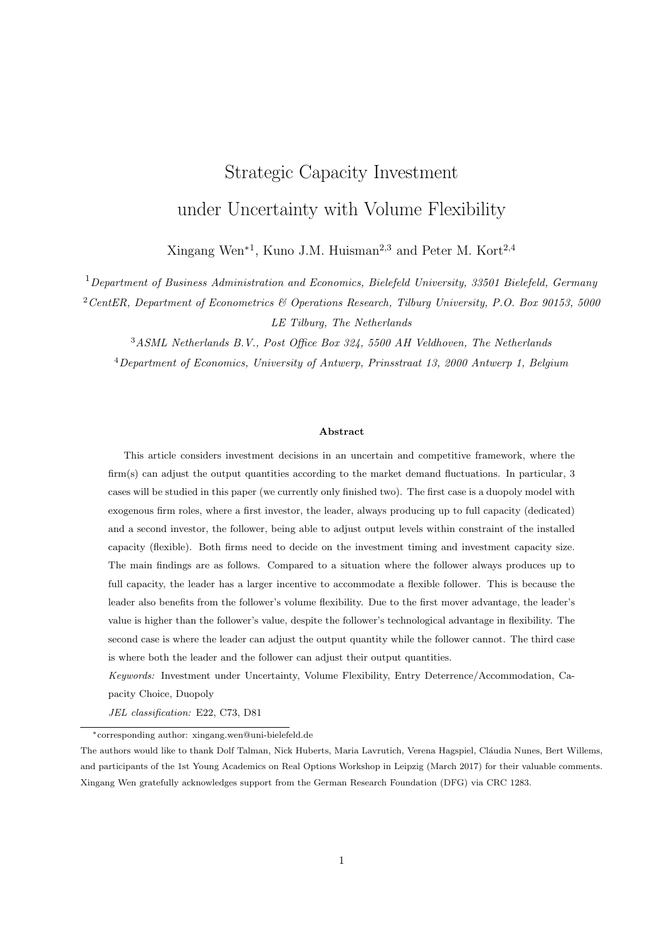$$
V_D^{acc}(X) = N(K_D^{acc}(X))X^{\beta_2} + \frac{K_D^{acc}(X)(1 - \gamma K_D - \gamma K_F(K_D^{acc}(X)))}{r \alpha}X - \frac{c_D K_D^{acc}(X)}{r} - \delta_D K_D^{acc}(X). \tag{31}
$$

A numerical example is provided to illustrate the possibility for the entry deterrence and accommodation strategies in Figure 1 and 2. Note that in this example the follower produces below capacity right after investment. Similar analysis can be conducted for the follower producing up to capacity right after investment.



Figure 1: Illustration of  $\hat{K}_D(X)$ ,  $K_D^{det}(X)$ , and  $K_D^{acc}(X)$  when the flexible follower produces below capacity right after investment. Parameter values are  $r = 0.1$ ,  $\alpha = 0.03$ ,  $\sigma = 0.2$ ,  $\gamma = 0.05$ ,  $c = 2$ ,  $\delta = 10$ .

Figure 1 illustrates the capacity levels  $\hat{K}_D$ ,  $K_D^{det}$ , and  $K_D^{acc}$  as functions of X. For the given parameter values, the leader implements the deterrence strategy for  $X \n\supseteq [X_1^{det}, X_2^{det}]$ , and the accommodation strategy for  $X$   $X_1^{acc}$ . When both strategies are implementable, the leader chooses the strategy that generates higher values. More specifically, for the given parameter values in Figure 1,  $X_1^{det} = 2.42$ ,  $X_2^{det} = 11.73$ . The optimal threshold for the entry deterrence strategy is  $X_D^{det} = 6.30$ . Suppose the current level of geometric Brownian motion is X. If  $X < 6.30$ , to delay the entry of the flexible follower, the leader waits until X reaches 6.30. For any X between 6.30 and 11.73, the leader needs to invest immediately to delay the flexible follower. For  $X > 11.73$ , the entry deterrence strategy is not possible because the market demand is large enough for both firms to be active. Moreover,  $X_{D}^{acc} = 8.50 \lt X_{1}^{acc} = 9.23$ , which makes  $X_{D}^{acc}$  have no meaning for the leader in this numerical example. This is because X has to reach  $X_1^{acc}$  to make the follower invest at the same time as the leader.

Figure 2 shows the value of the entry deterrence strategy  $V_D^{det}$  and accommodation strategy  $V_D^{acc}$  as functions of X, for the case that the flexible follower produces below capacity right after investment. Note that  $V_D^{det} = V_D^{acc}$  at  $X = \hat{X}$ . For  $X_1^{det} < X < \hat{X}$ , the deterrence strategy is chosen and the leader invests at  $X_D^{det} = 6.30$  with capacity  $K_D(X_D^{det}) = 6.67$ . For  $X \hat{X}$ , the leader implements the accommodation

is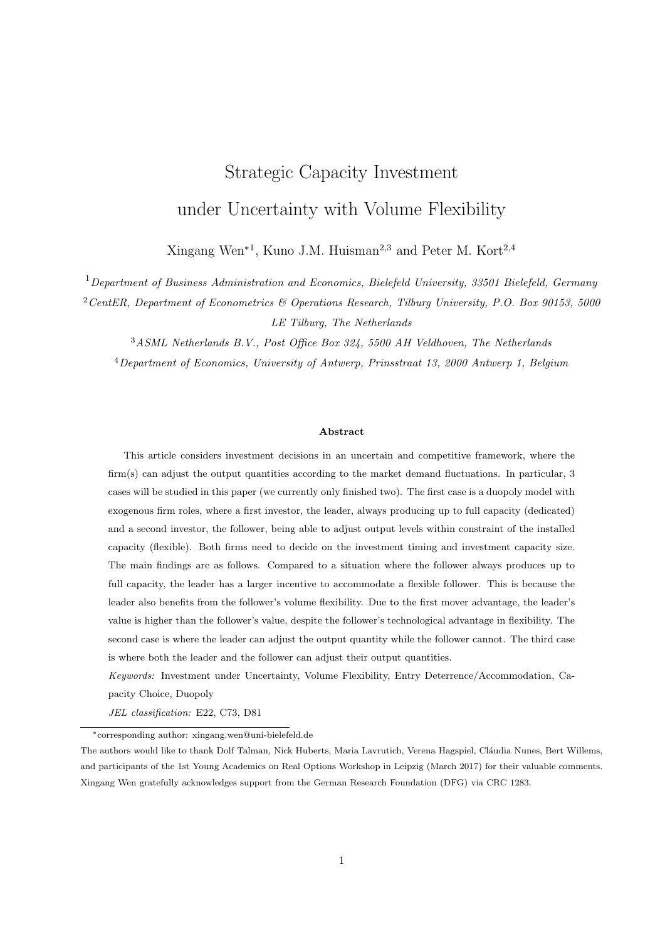

Figure 2: Illustration of  $V_D^{det}(X)$  and  $V_D^{acc}(X)$  when the flexible follower produces below capacity right after investment. Parameter values are  $r = 0.1$ ,  $\alpha = 0.03$ ,  $\sigma = 0.2$ ,  $\gamma = 0.05$ ,  $c = 2$ ,  $\delta = 10$ .

strategy. Given that  $\hat{X} > X_1^{acc}$ , the leader invests immediately with capacity level  $K_D^{acc}(X)$  if  $X - \hat{X}$ .

It can be concluded from Proposition 2 and 3 that the accommodation strategy is not possible if  $X < X_1^{acc}$ , and the deterrence strategy is not possible if  $X > X_2^{det}$ . When  $X_1^{acc} < X < X_2^{det}$ , the strategy that gives higher value will be chosen. Huisman and Kort (2015) have shown analytically that  $X_1^{acc} < X_2^{det}$  when there is no volume flexibility. Figure 3 checks numerically whether this still holds for a flexible follower. Departing from the default parameter values  $\alpha = 0.03$ ,  $\sigma = 0.2$ ,  $r = 0.1$ ,  $c = 2$ ,  $\delta = 10$ , and  $\gamma = 0.05$ , when changing  $\sigma$ ,  $\alpha$ , r, c,  $\delta$  and  $\gamma$ ,  $X_2^{det}$  is always larger than  $X_1^{acc}$ . Thus, it can be assumed that  $X_2^{det} > X_1^{acc}$  also holds for a flexible follower<sup>4</sup>. However, different from Huisman and Kort (2015), where  $X_D^{acc} < X_1^{acc}$  always holds, the numerical analysis in Figure 3 shows that for significantly small  $\alpha$  or  $\delta$ ,  $X_{D}^{acc} > X_{1}^{acc}$ . Note that  $X_{D}^{acc}$  implies that the market demand should be large enough to accommodate both firms. When  $\alpha$  is small or negative, and the follower produces up to full capacity right after investment, a larger market demand is required to accommodate two firms. This leads to  $X_{D}^{acc} > X_{1}^{acc}$ . When  $\delta$  is small, i.e., investing is less costly, both firms are encouraged to install larger capacities and a larger  $X_D^{acc}$  results. The above analysis is summarized in the following proposition.

# **Proposition 4** Denote  $\hat{X}$  as

$$
\hat{X} = \min fX \, X_1^{acc} < X < X_2^{det} \text{ and } V_D^{acc}(X) = V_D^{det}(X)g.
$$

<sup>&</sup>lt;sup>4</sup>Given that  $X_2^{det} > X_1^{acc}$ , there is no boundary solution when analyzing the entry deterrence and entry accommodation strategies, which are two local optimum for the leader's investment problem.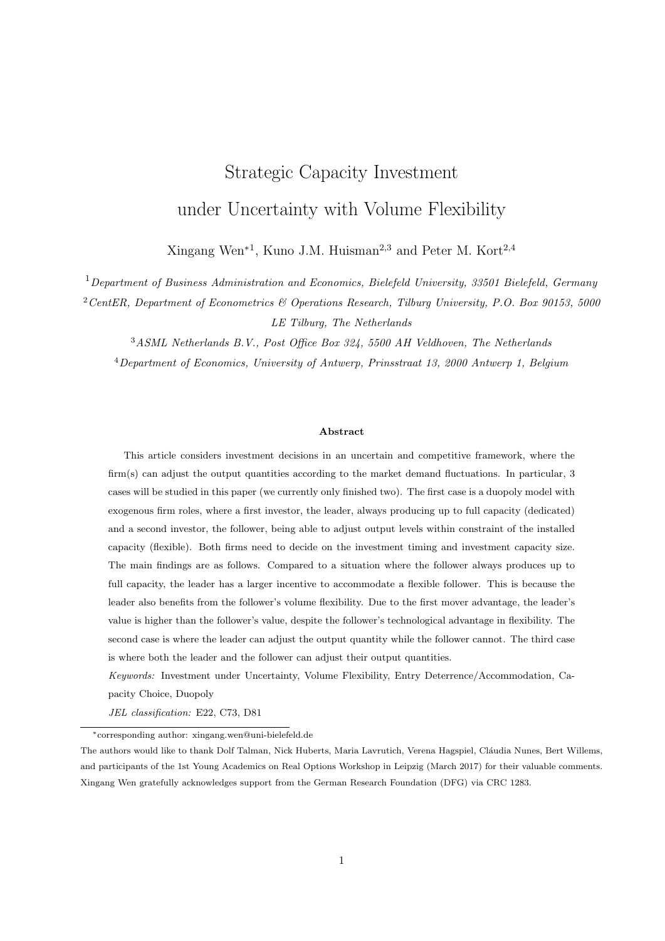

Figure 3: Illustration of  $X_1^{acc}$ ,  $X_2^{det}$ , and  $X_D^{acc}$ . Default parameter values are  $\alpha = 0.03$ ,  $\sigma = 0.2$ ,  $r = 0.1$ ,  $c = 2, \delta = 10, \gamma = 0.05.$ 

Let  $X(t) = X$ , the optimal investment capacity for the leader is

$$
K_D(X) = \begin{cases} K_D^{det}(X_D^{det}) & \text{if } 0 & X < X_D^{det}, \\ K_D^{det}(X) & \text{if } X_D^{det} & X < \hat{X}, \\ K_D^{acc}(X_D^{acc}) & \text{or } K_D^{det}(\hat{X}) & \text{if } \hat{X} & X < X_D^{acc}, \\ K_D^{acc}(X) & \text{if } X & \max \hat{X}, X_D^{acc} \hat{X} \end{cases} \tag{32}
$$

The optimal investment threshold for the leader is

$$
X_D = \begin{cases} X_D^{det} & \text{if } 0 \quad X < X_D^{det}, \\ X & \text{if } X_D^{det} \quad X < \hat{X}, \\ X_D^{acc} \text{ or } \hat{X} & \text{if } \hat{X} \quad X < X_D^{acc}, \\ X & \text{if } X \quad \max \hat{X}, X_D^{acc}, \end{cases} \tag{33}
$$

The leader's and the follower's optimal investment capacities,  $K_D(X)$  and  $K_F(X)$ , are demonstrated in Figure 4 when the follower produces below capacity right after investment. For given parameter values  $r = 0.1, \ \alpha = 0.03, \ \sigma = 0.2, \ \gamma = 0.05, \ c = 2, \text{ and } \ \delta = 0.5, \text{ then } X_D^{det} = 4.3050 \text{ and } \hat{X} = 4.4779. \text{ If } X < X_D^{det},$ the leader waits until X reaches  $X_{D}^{det}$  to implement the entry deterrence strategy. If  $X_{D}^{det}$  $X < \hat{X}$ , the entry deterrence strategy is implemented immediately at X. When  $X - \hat{X}$ , the leader chooses entry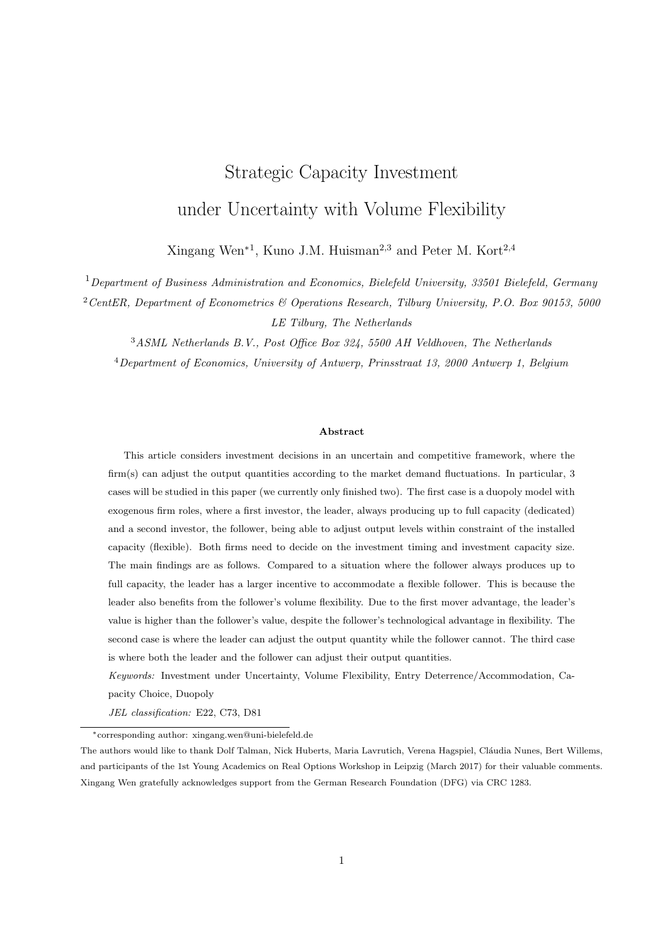accommodation strategy because it yields higher value. Different from Huisman and Kort (2015) that  $X_D^{acc} < \hat{X}$ , we have in this numerical example that  $X_1^{acc} = 4.4072 < \hat{X} < X_D^{acc} = 4.8238$ . For  $\hat{X}$   $X < X_D^{acc}$ , the leader waits until X reaches  $X_D^{acc}$ , i.e., the leader is holding an option to invest in the accommodation strategy. This is shown in Figure 4 as the void area for the interval  $\hat{X}$  $X < X_D^{acc}$ .



Figure 4: Illustration of  $K_D(X)$  and  $K_F(X)$  when the flexible follower produces below capacity right after investment. Parameter values are  $r = 0.1$ ,  $\alpha = 0.03$ ,  $\sigma = 0.2$ ,  $\gamma = 0.05$ ,  $c = 2$ ,  $\delta = 0.5$ .

Figure 5 demonstrates the values of the leader and the follower as functions of  $X$  when the follower produces below capacity right after investment. If  $X < X_{D}^{det}$ , the leader waits to invest with the entry deterrence strategy capacity. The follower is also waiting to invest, and expects the leader to invest at  $X_D^{det}$ with capacity  $K_{D}^{det}(X_{D}^{det})$ . If  $X_{D}^{det}$   $X < \hat{X}$ , the leader invests immediately at level X with deterrence capacity  $K_D^{det}(X)$ . When  $\hat{X}$   $X < X_D^{acc}$ , the leader implements entry accommodation strategy and waits to invest at  $X_{D}^{acc}$  with capacity  $K_{D}^{acc}(X_{D}^{acc})$ . The follower invests at the same time but with capacity  $K_F(K_D^{acc}(X_D^{acc}))$ . Because of the switch from the entry deterrence to accommodation, the leader's value function has a kink and the follower's value function is shown to jump at  $\hat{X}$ . When X  $X_D^{acc}$ , the leader invests immediately with the entry accommodation strategy capacity  $K_D^{acc}(X)$ . The follower also invests at the same time as the leader but with capacity  $K_F(K_D^{acc}(X))$ .

# 2.4 Influence of Flexibility

In order to analyze the influence of the follower's volume flexibility, the optimal investment decisions without flexibility are derived in Appendix B. By comparing the leader's investment decisions with a flexible and with a dedicated follower, we get the following proposition.

Proposition 5 Volume flexibility does not influence the leader's investment decisions under entry deterrence strategy. Moreover, it also does not influence the leader's optimal capacity under entry accommodation strategy.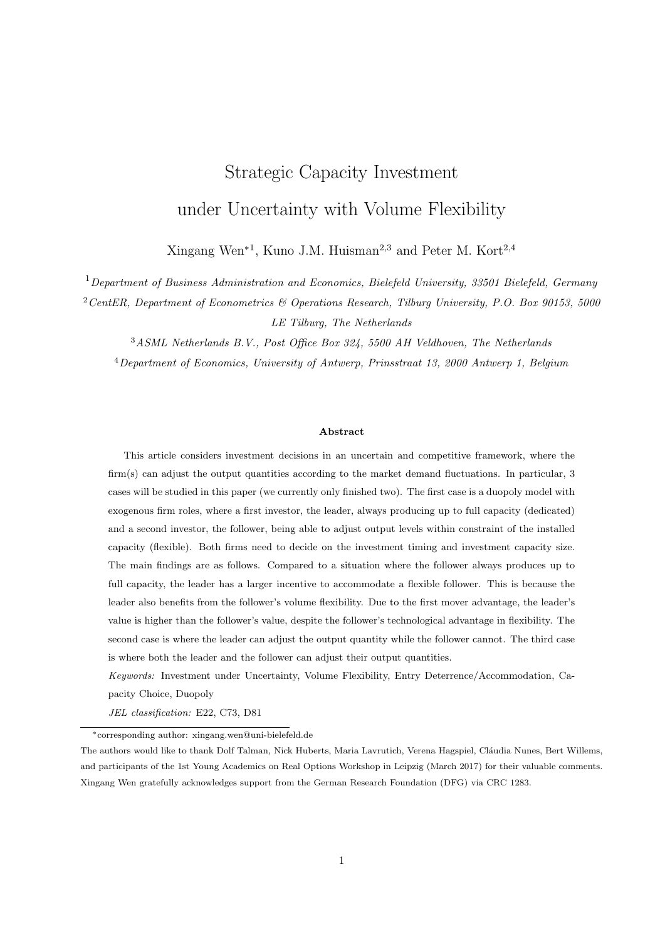

Figure 5: Illustration of  $V_D(X)$  and  $V_F(X)$  when the flexible follower produces below capacity right after investment. Parameter values are  $\alpha = 0.03$ ,  $\sigma = 0.2$ ,  $r = 0.1$ ,  $c = 2$ ,  $\delta = 10$ ,  $\gamma = 0.05$ .

In this section, numerical analysis is carried out to investigate how flexibility influences the leader's and the follower's investment decisions. More specifically, we consider the possibility of each strategy by comparing  $X_1^{det}, X_2^{det},$  and  $\hat{X}$ , with and without the follower's volume flexibility. The analysis of  $\hat{X}$  is because that the leader only switches to accommodation strategy when  $X \times \hat{X}$ . We analyze how flexibility influences the leader's optimal capacity and option values at  $\hat{X}$ . Moreover, this section also considers the follower's optimal investment decisions, with and without volume flexibility, under the leader's deterrence and accommodation strategies. The influence of flexibility on the follower's values at the moment of investment is also analyzed.

#### 2.4.1 Flexibility Influences Leader

This subsection analyzes numerically the dedicated leader's investment strategies. For the given parameter values in Figure 6, it is demonstrated in the left penal that  $X_1^{acc} > X_D^{acc}$  when the follower is flexible, which makes the optimal threshold  $X_{D}^{acc}$  have no meaning as when the follower is not flexible by Huisman and Kort (2015). From Proposition 4, the leader invests at  $\hat{X}$  if  $\hat{X}$  $X_{D}^{acc}$ , because accommodation strategy generates higher value. In the left penal, it is also shown that  $\hat{X} > X_1^{acc}$ , implying that it is possible to implement at  $\hat{X}$  the accommodation strategy. So we further analyze the influence of follower's flexibility on  $\hat{X}$ .  $\hat{X}$  when follower is flexible is smaller than when follower is not flexible, implying that the leader switches to accommodation strategy earlier and the accommodation strategy is more likely, see Figure 7 for more.

Moreover,  $\hat{X}$  increases with  $\sigma$  as shown in left penal of Figure 6. This means that the leader switches to accommodation strategy later in a more volatile market. The intuition is that both the leader and the follower invest more in case of upward demand shocks when there is more uncertainty, shown in the right panel. Furthermore, the right panel also shows that when switching to accommodation strategy, the leader invests less if the follower is flexible. This will be explained further in 2.4.2.

The follower's flexibility influences the possibility for the leader to implement two strategies. The analysis is carried out by considering the interval  $[X_1^{det}, X_2^{det}]$ , where the entry deterrence strategy is possible, and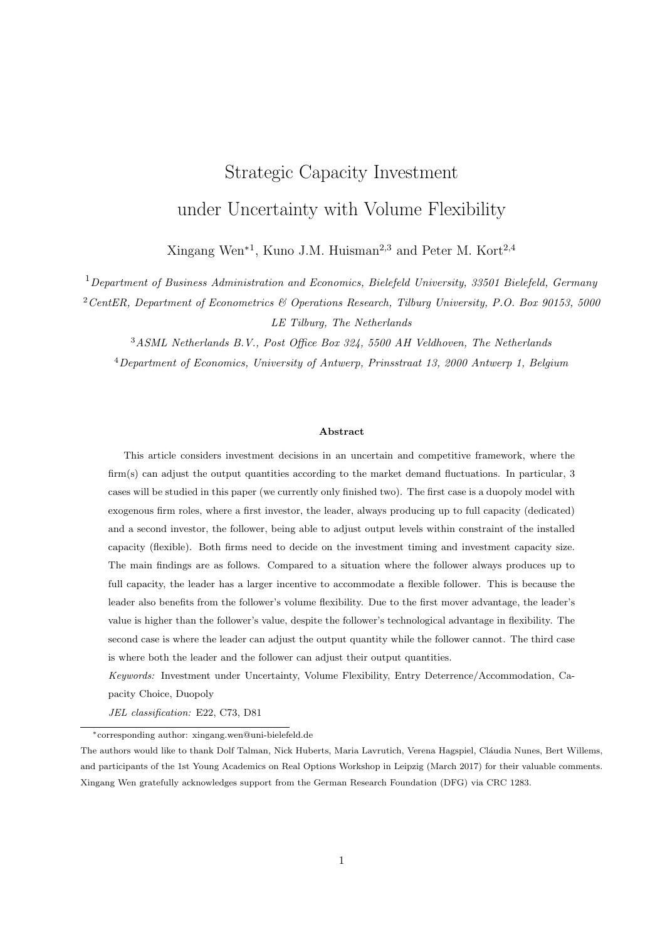

Figure 6: Illustration of  $X_{D}^{acc}$ ,  $\hat{X}$ , and  $K_{D}^{acc}(\hat{X})$  with and without flexibility. Parameter values are  $r = 0.1$ ,  $\alpha = 0.03, \gamma = 0.05, c = 2, \delta = 10.$ 

 $X - \hat{X}$ , where the accommodation strategy is considered. Figure 7 demonstrates that, the interval to implement deterrence strategy shrinks and the interval to implement accommodation strategy enlarges when the follower is flexible. The changes in the intervals reflect the tendency for the leader to implement the corresponding strategy. It holds that for the given parameters, the leader tends to delay the flexible follower's entry less and is more likely to implement the accommodation strategy.



Figure 7: Illustration of  $X_1^{det}$ ,  $X_2^{det}$ , and  $\hat{X}$  with and without flexibility. Parameter values are  $r = 0.1$ ,  $\alpha = 0.03, \gamma = 0.05, c = 2, \delta = 10.$ 

The leader's tendency to implement different strategies depends on how the follower's flexibility influences its value. Figure 8 illustrates the leader's value under the entry deterrence strategy at threshold  $X_D^{det}$  and accommodation strategy at  $\hat{X}$ , with and without flexibility. For the entry deterrence strategy, it is shown that the leader's value at  $X_D^{det}$  under the follow's flexibility is no larger than that without flexibility. This is because the flexibility does not change the leader's investment threshold and capacity, but it makes the follower enter the market earlier, see Figure 8, implying an earlier end to the leader's monopoly privilege.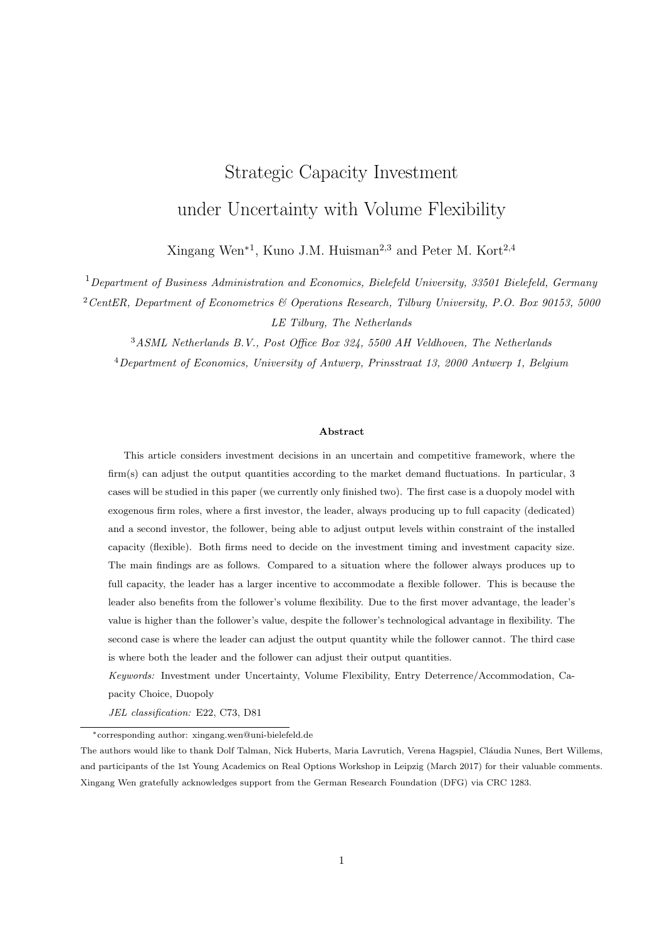

Figure 8: Illustration of  $V_D^{det}(X_D^{det}, K_D^{det})$  when investing at the optimal threshold  $X_D^{det}$ , and  $V_D^{acc}(\hat{X}, K_D^{acc}(\hat{X}))$  when investing at level  $\hat{X}$  with and without flexibility. Parameter values are  $r = 0.1$ ,  $\alpha = 0.03, \, \gamma = 0.05, \, c = 2, \, \delta = 10.$ 

Under the accommodation strategy, the leader invests earlier and less when the follower is flexible. However, as shown in Figure 8, the leader's values at the moment of investment is larger than that without flexibility<sup>5</sup>. This implies that when implementing the accommodation strategy, the leader also benefits from the follower's flexibility. However, if the leader deters follower's entry, then the follower's flexibility decreases its value.

#### 2.4.2 Flexibility Influences Follower

In this subsection, we analyze how the volume flexibility influences the follower's investment threshold, capacity, and value under different leader strategies.

When the leader implements entry deterrence strategy, the flexible follower invests earlier with more capacity and has higher value, as shown in Figure 9. Given that the follower can adjust output levels to the market demand, and prefers to invest more in case the market demand increases in the future. Intuitively the firm would invest later so that the market demand is higher to compensate for the larger investment costs. However, as shown in Figure 9, this is not the case because of another effect that the technological advantage yields higher values for the follower (right panel) and motivates the follower to invest earlier. For the given parameter values, It is apparently that the latter effect dominates. Besides, the difference between with and without flexibility increases with  $\sigma$  for the follower. This is because for smaller  $\sigma$ , market uncertainty is low and the flexible follower produces up to capacity right after investment, so the differences in  $X_F(K_D^{det})$  and  $K_F(K_D^{det})$  are relatively small. However, with more market uncertainty, i.e., larger  $\sigma$ , the flexible follower produces below capacity right after investment and puts more capacity on hold for future positive demand

<sup>&</sup>lt;sup>5</sup>Note that  $\hat{X}$  is different, depending on whether the follower's flexible. When comparing investment values at different  $\hat{X}$ s, the comparison is made at a predetermined point of time, for instance, at  $\hat{X}$  where the follower is flexible. The discount factor for the leader's value when the follower is flexible is equal to  $(\hat{X}_{Li}=\hat{X}_{Lf})^{\beta_1}$ , where  $\hat{X}_{Lf}$  stands for  $\hat{X}$  in the flexible follower situation, and  $\hat{X}_{Li}$  stands for  $\hat{X}$  in the inflexible follower situation.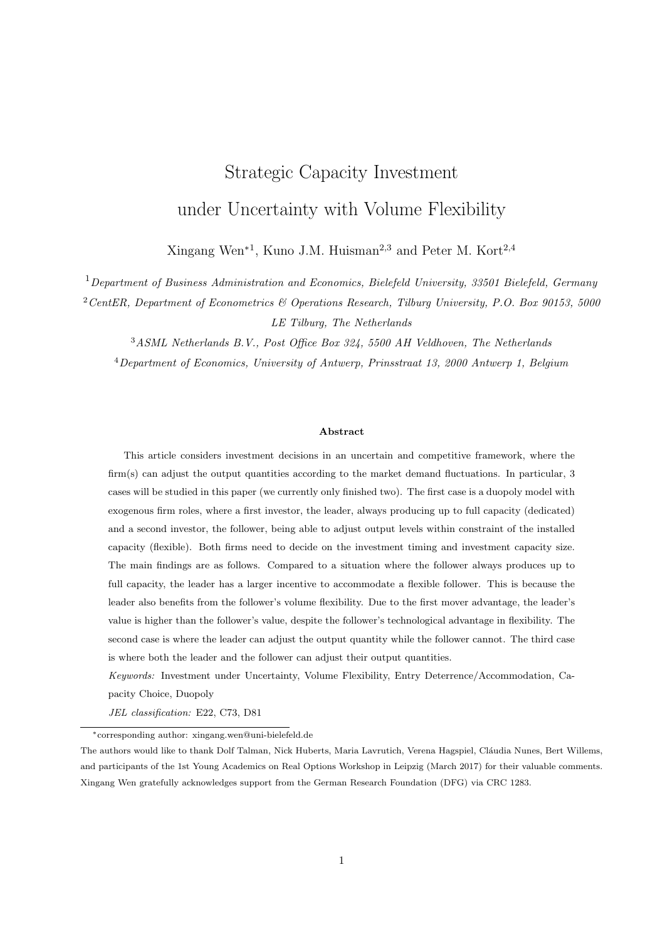

Figure 9: Illustration of  $X_F(K_D^{det})$ ,  $K_F(K_D^{det})$ , and  $V_F(X_F(K_D^{det}))$  under entry deterrence strategy with and without flexibility. Parameter values are  $r = 0.1$ ,  $\alpha = 0.03$ ,  $\gamma = 0.05$ ,  $c = 2$ ,  $\delta = 10$ .



Figure 10: Illustration of  $X_F(K_D^{acc}(\hat{X}))$ ,  $K_F(K_D^{acc}(\hat{X}))$ , and  $V_F(K_D^{acc}(\hat{X}))$  under the entry accommodation strategy with and without flexibility. Parameter values are  $r = 0.1$ ,  $\alpha = 0.03$ ,  $\gamma = 0.05$ ,  $c = 2$ ,  $\delta = 10$ .

shocks, so the differences are relatively large.

The dedicated leader switches from deterrence to accommodation strategy at  $\hat{X}$ . Note that for the accommodation strategy, the follower invests at the same time as the leader, thus  $X_F(K_D^{acc}(\hat{X}))$  in Figure 10 is the same as  $\hat{X}$  in Figure 6. Figure 10 shows that under leader's accommodation strategy, the flexible follower also invests earlier and more, and has higher value than an inflexible follower. The reason is similar as that in the deterrence strategy. Given that two firms invest at the same time, the leader also invests earlier than that when the follower is dedicated. For the leader, investing earlier implies smaller investment capacity because the leader is dedicated.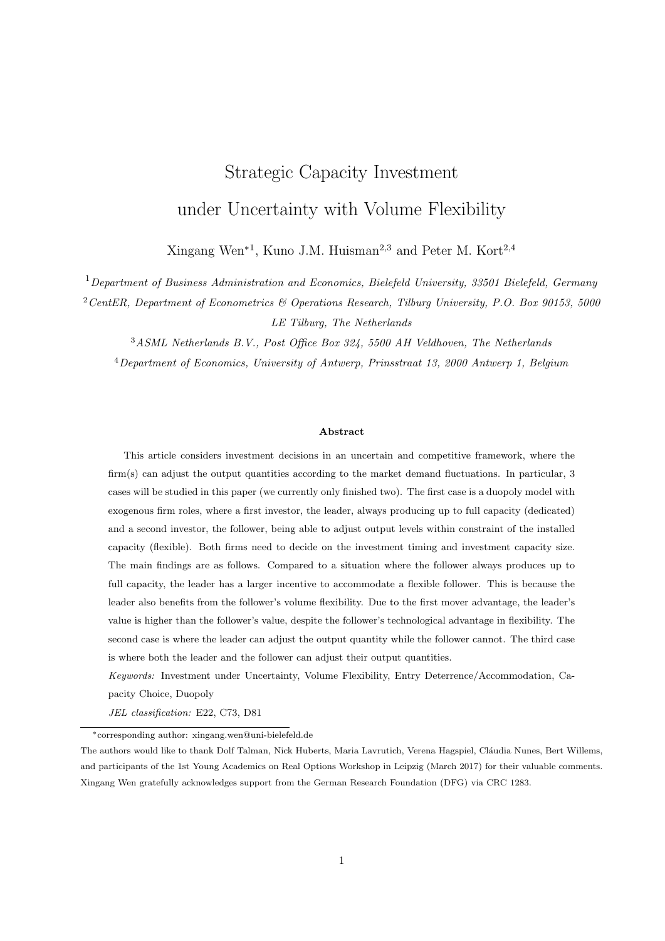#### 2.4.3 First Mover Advantage v.s. Technological Advantage

This subsection investigates whether the follower's technological advantage in volume flexibility can overcome the leader's first mover advantage.



Figure 11: Comparison of  $V_D^{det}(X_F, K_D^{det}(X_F))$  and  $V_F(X_F, K_D^{det}(X_F))$  under the entry deterrence strategy,  $V_D^{acc}(\hat{X}, K_D^{acc}(\hat{X}))$  and  $V_F(K_D^{acc}(\hat{X}))$  under the entry accommodation strategy, with and without flexibility. Parameter values are  $r = 0.1$ ,  $\alpha = 0.03$ ,  $\gamma = 0.05$ ,  $c = 2$ ,  $\delta = 10$ .

Figure 11 compares the leader and the follower's values for the entry deterrence and accommodation strategies, with and without flexibility. The leader always has higher values than the follower, implying the first mover advantage cannot be leapfrogged by the volume flexibility advantage. Gal-Or (1985) has shown with symmetric players that the leader has larger profits compared to the follower if the follower's reaction function is downward-sloping. In my model with asymmetric firms and continuous time setting, the result is similar in that the optimal follower's optimal capacity decreases with the leader's installed capacity. Another possible reason is that the leader benefits from the follower's volume flexibility without sharing costs for these benefits.

# 2.5 Conclusion

This section introduces volume flexibility into the strategic capacity investment problem under uncertainty. In the duopoly framework, the follower has technological advantage over the leader in that the follower can adjust output quantity within the constraint of installed production capacity, and the leader always produces up to capacity. When making decisions about investment timing and investment capacity, the leader not only takes into account the incentives to preempt, but also the influence of the follower's volume flexibility on the market price. This is because the flexible follower competes against the dedicated leader on one hand, and on the other hand makes the market price fluctuate less when there is demand volatility. We show that compared to a dedicated follower, the dedicated leader is more likely to accommodate the entry of the flexible follower. This is due to that the entry deterrence strategy decreases the leader's value when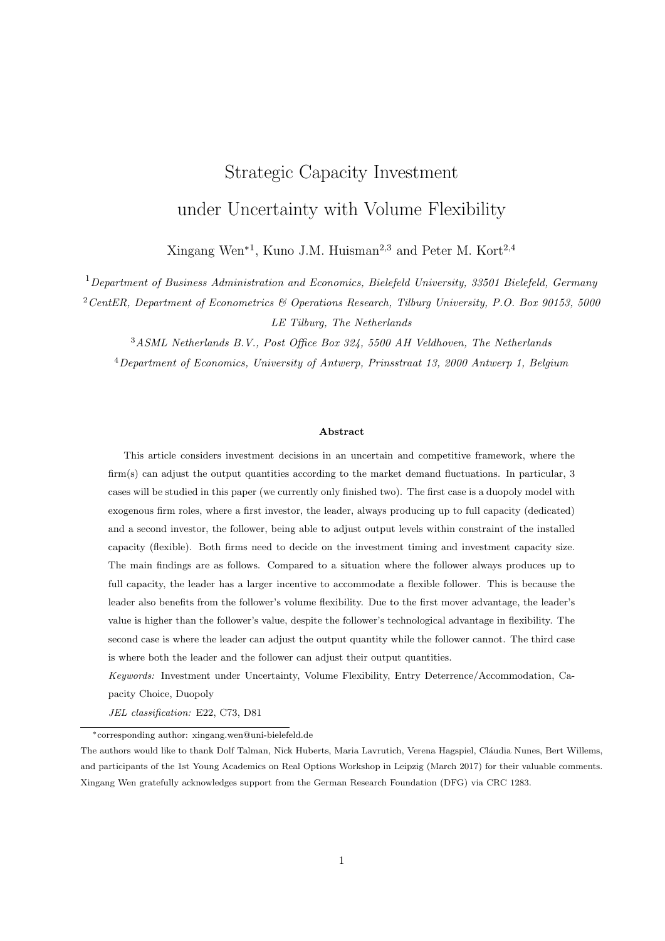the follower is flexible, and the accommodation strategy increases the leader's value. The leader does not like to deter because volume flexibility makes the follower to enter the market earlier and thus shortens the leader's monopoly period. Whereas when implementing the accommodation strategy, two firms enter the market later than that under the deterrence strategy, so the market demand is larger. In a way, the leader benefits more from the less fluctuating market prices due to follower's volume flexibility.

# 3 Preemption Analysis between the Flexible Firm and the Dedicated Firm  $^6$

Duopoly model with two firms, both firms need to decide about the investment timing and capacity. Exogenous firm roles. The leader is volume flexible in the way that it can adjust output within the constraint of invested capacity. The follower is dedicated in the way that it always produces up to full capacity after investment. This section is to help find out whether the leader prefers to be dedicated or flexible when the follower is dedicated, also to get insight about the leader's technology choice before investment.

#### 3.1 Model

Multiplicative market inverse demand function is  $P_t = X_t(1 - \gamma(Q_L + Q_F))$  with  $\gamma = 0$ , and  $Q_L$ ,  $Q_F$ are the output quantities for the leader and the follower.  $X_t$  follows a geometric Brownian motion  $dX_t =$  $\mu X_t dt + \sigma X_t dw_t$ , where  $dw_t$  is the increment of a Wiener process. Given the leader is volume flexible and the follower is dedicated, it holds that  $Q_L$  K<sub>L</sub>, and  $Q_F = K_F$ , where K<sub>L</sub> and K<sub>F</sub> are their investment capacities. The unit production and investment cost for the follower are c and  $\delta$  respectively. The unit production cost and investment cost for the leader are  $c<sub>L</sub>$  and  $\delta<sub>L</sub>$ .

#### 3.2 Follower's investment decision

Given that the leader is already in the market and producing  $Q_L$ , the follower's instantaneous profit flow after investment depends on whether the leader's production, which ranges in the interval  $[0, K_L]$ . Thus, the follower's instantaneous profit at the moment of investment  $X$  is

$$
\pi_F(X, Q_L, K_F) = \begin{pmatrix} X(1 & \gamma(Q_L + K_F)) & c \end{pmatrix} K_F, \quad 0 \quad Q_L \quad K_L
$$

At the moment of market entry of the follower, i.e., at X, there are three cases/regions for the leader's output: no production  $(Q_L = 0)$ , producing below capacity  $(0 < Q_L < K_L)$  and producing up to capacity  $(Q_L = K_L)$ . Apparently, the leader's output would depend on the market demand and influence the value the follower. Note that if the leader is producing below capacity when the follower enters the market, the

 $6$ The notations in this section are independent from the previous section. This is because the draft is still about research work in progress.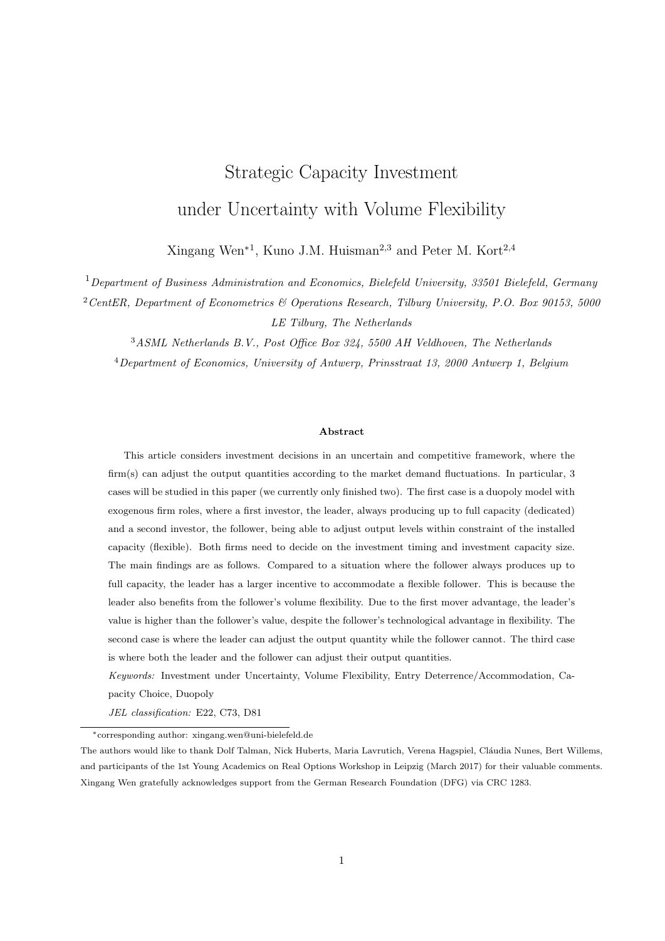leader produces an output that maximizes it's instantaneous profit, i.e.,

$$
Q_L(X, K_F) = \frac{X(1 - \gamma K_F) - c_L}{2\gamma X}.
$$

Lemma 1 The follower's value at the moment of investment is

$$
V_F(X, K_L, K_F)
$$
\n
$$
= \begin{cases}\n\frac{X(1 - \gamma K_F)K_F}{r} & \frac{cK_F}{r} \quad \delta K_F, & \text{if } X = \frac{c_L}{1 - \gamma K_F}, \\
\frac{X(1 - \gamma Q_L(X, K_F) - \gamma K_F)K_F}{r \mu} & \frac{cK_F}{r} \quad \delta K_F, & \text{if } \frac{c_L}{1 - \gamma K_F} < X = \frac{c_L}{1 - \gamma K_F - 2\gamma K_L}, \\
\frac{X(1 - \gamma K_L - \gamma K_F)K_F}{r} & \frac{cK_F}{r} \quad \delta K_F, & \text{if } X > \frac{c_L}{1 - \gamma K_F - 2\gamma K_L}.\n\end{cases} \tag{34}
$$

Lemma 1 shows that the leader's volume flexibility does not have option values for the dedicated follower. This is due to the fact that the dedicated follower does not influence the boundaries of each region. The follower's investment capacity  $K_F$  depends on the leader's investment/output decisions, which makes the follower's value function continuous but not differentiable on the boundaries.

Suppose the value before investment is denoted as  $A_F X^{\beta_1}$ , then in every region, we can derive the follower's optimal investment decision summarized in the following proposition.

**Theorem 1** The follower's optimal investment decision for different regions, is given by

$$
\begin{cases}\nX_F = \frac{\beta_1 + 1}{\beta_1 - 1}(r - \mu) \left(\frac{c}{r} + \delta\right) & \text{if } X = \frac{c_L}{1 - \gamma K_F}, \\
K_F = \frac{1}{\beta_1 + 1}\n\end{cases}
$$
\n
$$
\begin{cases}\nX_F = \frac{\beta_1 + 1}{\beta_1 - 1} \left(2(r - \mu) \left(\frac{c}{r} + \delta\right) - c_L\right) & \text{if } \frac{c_L}{1 - \gamma K_F} < X = \frac{c_L}{1 - \gamma K_F - 2\gamma K_L}, \\
K_F = \frac{1}{(\beta_1 + 1)\gamma}\n\end{cases}
$$
\n
$$
\begin{cases}\nX_F = \frac{\beta_1 + 1}{(\beta_1 - 1)(1 - \gamma K_L)} (r - \mu) \left(\frac{c}{r} + \delta\right) & \text{if } X > \frac{c_L}{1 - \gamma K_F - 2\gamma K_L}.\n\end{cases}
$$
\n
$$
\begin{cases}\nX_F = \frac{1 - \gamma K_L}{(\beta_1 + 1)\gamma}\n\end{cases}
$$
\n(35)

Theorem 1 shows that if the market demand is small (region 1 and region 2) and the leader is not producing at full capacity, the follower invests with a monopolistic capacity size. Given that the follower's investment is not influenced by the leader and the exogenous firm roles, it can be concluded that they will either invest sequentially (referred as entry deterrence) such that the leader invests at  $X < X_F$ , or they invest at the same time at  $X$  $X_{\mathcal{F}}$  (referred as entry accommodation). If the market demand is large enough such that the leader is producing at full capacity, the follower's investment decision is influenced by the leader's investment capacity. It is possible that the leader can deter the follower's market entry. In the following we will analyze the leader's optimal investment decision and check the leader's deterrence strategy.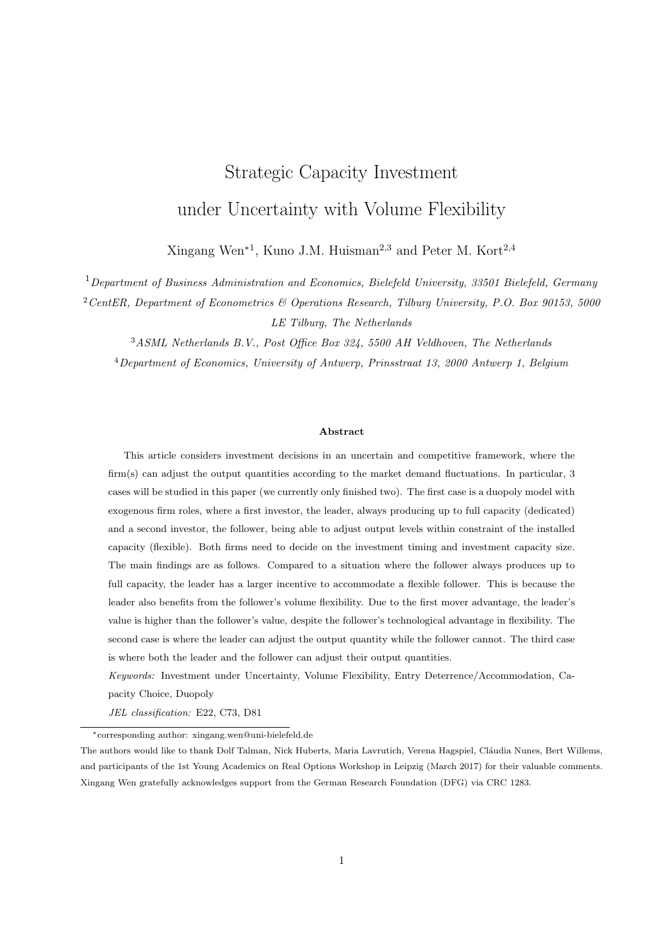#### 3.3 Leader's investment decision

Suppose the unit cost of the leader's investment is denoted by  $\delta_L$ . We can derive the leader's value function when both firms are in the market. For the three regions where the leader does not produce, produces below capacity and produces up to capacity when both firms are active, the leader's profits flow is given by

$$
\pi_L(X, K_L) = \begin{cases}\n0 & \text{if } X < \frac{c_L}{1 - \gamma K_F}, \\
\frac{1}{4\gamma} \left( X(1 - \gamma K_F)^2 - 2(1 - \gamma K_F)c_L + \frac{c_L^2}{X} \right) & \text{if } \frac{c_L}{1 - \gamma K_F} \quad X < \frac{c_L}{1 - \gamma K_F - 2\gamma K_L}, \\
X(1 - \gamma K_L - \gamma K_F)K_L & c_L K_L & \text{if } X - \frac{c_L}{1 - \gamma K_F - 2\gamma K_L}.\n\end{cases}
$$
\n(36)

Then the value function of the leader when both firms are active in the market takes the following form, where  $\beta_1$  and  $\beta_2$  are the positive and negative root for  $\sigma^2 \beta^2 + (2\alpha - \sigma^2)\beta - 2r = 0$ .

$$
V_{L}(X, K_{L}) = \begin{cases} LX^{\beta_{1}} & \text{if } X \quad \frac{c_{L}}{1 - \gamma K_{F}}, \\ M_{1}X^{\beta_{1}} + M_{2}X^{\beta_{2}} & \text{if } \frac{c_{L}}{1 - \gamma K_{F}} < X \quad \frac{c_{L}}{1 - \gamma K_{F}} \quad (37) \\ + \frac{1}{4\gamma} \left( \frac{X(1 - \gamma K_{F})^{2}}{r} - \frac{2(1 - \gamma K_{F})c_{L}}{r} + \frac{c_{L}^{2}}{X(r + \mu - \sigma^{2})} \right) & \text{if } X > \frac{c_{L}}{1 - \gamma K_{F}} \quad 2\gamma K_{L}, \end{cases}
$$

To get the value functions for the leader, we need to derive the expressions for  $L, M_1, M_2$  and N. Intuitively, L is positive and represents the option value in case that the market demand increases, which happens once X becomes lager than  $c_L/(1 - \gamma K_F)$ . M<sub>1</sub> is negative and corrects for the fact that when X becomes larger than  $c_L/(1 - \gamma K_F - 2\gamma K_L)$ , then the leader's output is constrained by its investment capacity  $K_L$ . M<sub>2</sub> is negative and is a correction such that if X becomes smaller than  $c_L/(1 - \gamma K_F)$ , then the leader would suspend production. N is positive and corrects for the fact that if the market demand decreases, i.e., X drops below  $c_L/(1 \gamma K_F - 2\gamma K_L)$ , then the flexible leader can produce below capacity.

Denote the boundary of the regions as  $X_1 = c_L/(1 - \gamma K_F)$  and  $X_2 = c_L/(1 - \gamma K_F - 2\gamma K_L)$ . From the value matching and smooth pasting conditions at the boundaries, we have the following equations.

$$
L X_1^{\beta_1} = M_1 X_1^{\beta_1} + M_2 X_1^{\beta_2} + \frac{1}{4\gamma} \left( \frac{X_1 (1 - \gamma K_F)^2}{r} \right) \frac{2(1 - \gamma K_F)c_L}{r} + \frac{c_L^2}{X_1 (r + \mu - \sigma^2)} \right),
$$
(38)

$$
L\beta_1 X_1^{\beta_1 - 1} = M_1 \beta_1 X_1^{\beta_1 - 1} + M_2 \beta_2 X_1^{\beta_2 - 1} + \frac{1}{4\gamma} \left( \frac{(1 - \gamma K_F)^2}{r - \mu} - \frac{c_L^2}{X_1^2 (r + \mu - \sigma^2)} \right),
$$
(39)

$$
M_1 X_2^{\beta_1} + M_2 X_2^{\beta_2} + \frac{1}{4\gamma} \left( \frac{X_2 (1 - \gamma K_F)^2}{r} - \frac{2(1 - \gamma K_F)c_L}{r} + \frac{c_L^2}{X_2 (r + \mu - \sigma^2)} \right) = N X_2^{\beta_2} + \frac{X_2 (1 - \gamma K_L - \gamma K_F) K_L}{r} - \frac{c_L K_L}{r}, \tag{40}
$$

$$
M_1 \beta_1 X_2^{\beta_1 - 1} + M_2 \beta_2 X_2^{\beta_2 - 1} + \frac{1}{4\gamma} \left( \frac{(1 - \gamma K_F)^2}{r} - \frac{c_L^2}{X_2^2 (r + \mu - \sigma^2)} \right) = N \beta_2 X_2^{\beta_2 - 1} + \frac{(1 - \gamma K_L - \gamma K_F) K_L}{r}.
$$
 (41)

Then it can be derived that

$$
M_2 = \frac{X_1^{\beta_2 - 1} c_L^2}{\beta_1 - \beta_2} \frac{c_L^2}{4\gamma} \left( \frac{\beta_1 - 1}{r - \mu} - \frac{2\beta_1}{r} + \frac{\beta_1 + 1}{r + \mu - \sigma^2} \right),
$$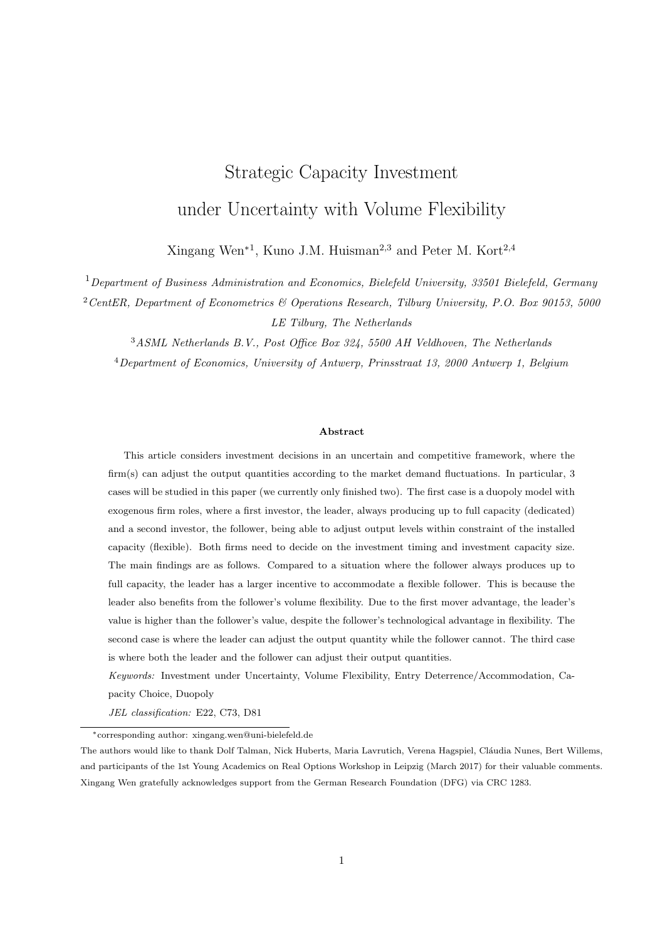$$
M_1 = \frac{X_2^{-\beta_1 - 1}}{\beta_1 - \beta_2} \frac{c_L^2}{4\gamma} \left( \frac{\beta_2 - 1}{r - \mu} - \frac{2\beta_2}{r} + \frac{\beta_2 + 1}{r + \mu - \sigma^2} \right),
$$
  
\n
$$
L = \frac{c_L^2 \left( X_2^{-\beta_1 - 1} - X_1^{-\beta_1 - 1} \right)}{4\gamma(\beta_1 - \beta_2)} \left( \frac{\beta_2 - 1}{r - \mu} - \frac{2\beta_2}{r} + \frac{\beta_2 + 1}{r + \mu - \sigma^2} \right),
$$
  
\n
$$
N = \frac{c_L^2 \left( X_2^{-\beta_2 - 1} - X_1^{-\beta_2 - 1} \right)}{4\gamma(\beta_1 - \beta_2)} \left( \frac{\beta_1 - 1}{r - \mu} - \frac{2\beta_1}{r} + \frac{\beta_1 + 1}{r + \mu - \sigma^2} \right).
$$

From the case of dedicated leader and flexible follower (in my job market paper), it holds that

$$
\begin{array}{ccc}\n\frac{\beta_1}{r} & \frac{1}{\mu} & \frac{2\beta_1}{r} + \frac{\beta_1 + 1}{r + \mu} > 0, \\
\frac{\beta_2}{r} & \frac{1}{\mu} & \frac{2\beta_2}{r} + \frac{\beta_2 + 1}{r + \mu} > 0.\n\end{array}
$$

Thus, we can conclude  $M_1 < 0$ ,  $M_2 < 0$ ,  $L > 0$  and  $N > 0$ . Their signs correspond to the intuition mentioned above. For every region, we can analyze the leader's strategies, i.e., deterrence and accommodation.

Given the exogenous firm roles, there are basically two situations for the follower's investment: investing at the same time as the leader, or investing later than the leader in the corresponding region. The following analysis and calculation in every region are based on the following two situations.

#### Region 1: The leader does not produce when the follower invests, i.e.,  $X \, X_1$

#### Entry Accommodation

Given that the leader and the follower enter the market at the same time, the value function of the leader is equal to

$$
V_L(X,K_L) \quad = \quad \begin{cases} A_L X^{\beta_1} & X < X_L, \\ L X^{\beta_1} & X & X_L. \end{cases}
$$

 $X_L$  is the investment threshold of the leader in this region. Because of the exogenous firm roles, we have that  $X_L = \frac{\beta - 1}{\beta + 1} (r - \mu) \left( \frac{c}{r} + \delta \right)$ .  $A_L$  and L have different implications.  $A_L$  represents the option value from investing, and L represents the option value that the firm starts producing when the market demand is large enough. The optimal investment capacity  $K_L(X)$  maximizes  $LX^{\beta_1}$   $\delta_L K_L$  for a given X. For a given capacity level  $K_L$ , the corresponding investment threshold  $X(K_L)$ , satisfies the value matching and smooth pasting conditions, i.e.,

$$
A_L X(K_L)^{\beta_1} = L X(K_L)^{\beta_1} \delta_L K_L,
$$
  

$$
\beta_1 A_L X(K_L)^{\beta_1} = \beta_1 L X(K_L)^{\beta_1}.
$$

The two conditions will not hold unless  $K_L = 0$ . So the leader does not investment in this region.

Entry Deterrence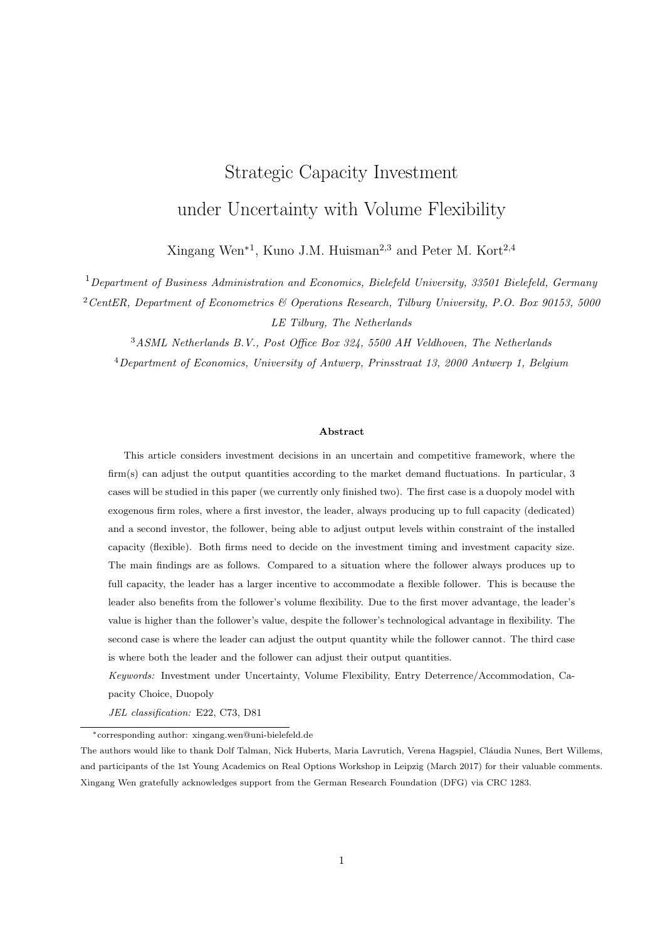If the follower enters the market later than the leader, then the leader's value function, before and after the follower's investment at  $X_F$ , is denoted by

$$
V_L(X, K_L) = \begin{cases} B_L X^{\beta_1} & X < X_F, \\ L X^{\beta_1} & X & X_F. \end{cases}
$$

 $B_L = L$  represents the option value that the leader resumes production in the future, though it is not producing at  $X_F$ . Moreover, the leader's value before and after investment is given by

$$
V_L(X,K_L) = \begin{cases} A_L X^{\beta_1} & X < X_L, \\[0.2cm] B_L X^{\beta_1} & X & X_L. \end{cases}
$$

From the analysis above, the leader will not invest in this region.

## Region 2: The leader produces below capacity when the follower invests, i.e.,  $X_1 < X \quad X_2$

Given that the follower's investment threshold  $X_F$  in this region is not influenced by the leader's investment, there are two possibilities for the leader's investment: the leader invests no earlier than the follower (referred as accommodation), and the leader invests earlier than the follower (referred as deterrence). Between these two strategies, the leader would choose the strategy that generates larger value.

#### Entry Deterrence

Because the leader's capacity decision does not influence the follower's investment decision, the entry deterrence (sequential investment) can only happen when the leader invests at  $X < X_F$ . The boundaries for this region,  $X_1$  and  $X_2$ , are given by

$$
X_1 = \frac{c_L}{1 - \gamma K_F} = \frac{(\beta_1 + 1)c_L}{\beta_1},
$$
  

$$
X_2(K_L) = \frac{c_L}{1 - \gamma K_F - 2\gamma K_L} = \frac{(\beta_1 + 1)c_L}{\beta_1 - (\beta_1 + 1)2\gamma K_L}.
$$

Before the follower enters the market, the leader is the monopolist and adjusts the output quantity  $Q_L$ according to the demand fluctuations. The leader's monopoly profit is equal to

$$
\pi_L(X, Q_L) = \begin{pmatrix} X(1 & \gamma Q_L) & c_L \end{pmatrix} Q_L.
$$

Thus, the optimal output quantity for a given X is given by  $Q_L(X) = \frac{X - c_L}{2\gamma X}$ , and the leader's corresponding profit is

$$
\pi_L(X) = \frac{X^2 - 2c_L X + c_L^2}{4\gamma X}.
$$

Then we can write the leader's value after the follower enters the market as

$$
V_L(X, K_L) = \begin{cases} B_1 X^{\beta_1} + \frac{1}{4\gamma} \left( \frac{X}{r - \mu} - \frac{2c_L}{r} + \frac{c_L^2}{X(r + \mu - \sigma^2)} \right) & X < X_F; \\ M_1(K_L) X^{\beta_1} + M_2 X^{\beta_2} + \frac{1}{4\gamma} \left( \frac{X}{r - \mu} \left( \frac{\beta_1}{\beta_1 + 1} \right)^2 - \frac{2c_L \beta_1}{r(\beta_1 + 1)} + \frac{c_L^2}{X(r + \mu - \sigma^2)} \right) & X & X_F. \end{cases}
$$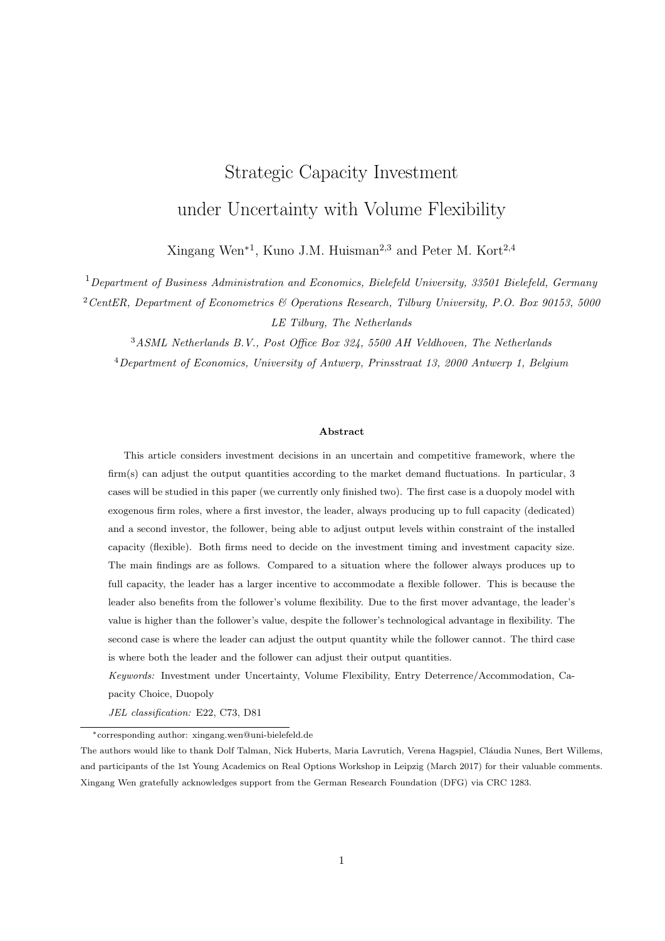From the value matching condition at  $X_F$ , we can derive that

$$
B_1(K_L) = M_1(K_L) + M_2 X_F^{\beta_2 \beta_1} \frac{X_F^{\beta_1}}{4\gamma(\beta_1+1)} \left(\frac{X_F^{\beta_1}}{r} \frac{2\beta_1+1}{\beta_1+1} \frac{2c_L}{r}\right).
$$

Let the leader's value before and after investment be

$$
V_L(X, K_L) = \begin{cases} A X^{\beta_1} & X < X_L, \\ B_1(K_L) X^{\beta_1} + \frac{1}{4\gamma} \left( \frac{X}{r - \mu} - \frac{2c_L}{r} + \frac{c_L^2}{X(r + \mu - \sigma^2)} \right) & X & X_L. \end{cases}
$$

The optimal investment capacity  $K(X)$  then satisfies the following implicit equation

$$
\frac{dM_1(K_L)}{dK_L} X^{\beta_1} \quad \delta_L = \quad \frac{\beta_1 + 1}{\beta_1} \frac{c_L}{\beta_2} \left( \frac{\beta_2}{r} \frac{1}{\mu} \quad \frac{2\beta_2}{r} + \frac{\beta_2 + 1}{r + \mu} \right) \left( \frac{X}{X_2(K_L)} \right)^{\beta_1} \quad \delta_L = 0.
$$

Thus, it holds that

$$
\frac{\beta_1 + 1}{\beta_1} \frac{c_L}{\beta_2} \left( \frac{\beta_2 - 1}{r - \mu} - \frac{2\beta_2}{r} + \frac{\beta_2 + 1}{r + \mu - \sigma^2} \right) \left( \frac{X}{X_2(K_L)} \right)^{\beta_1} = \delta_L.
$$

For a given level of  $X$ , the corresponding investment capacity is

$$
K_L(X) = \frac{1}{2\gamma} \left( \frac{\beta_1}{\beta_1 + 1} \frac{c_L}{X} \left( \frac{c_L(\beta_1 + 1)}{2\delta_L(\beta_1 + \beta_2)} \left( \frac{\beta_2 - 1}{r} + \frac{2\beta_2}{r} + \frac{\beta_2 + 1}{r + \mu - \sigma^2} \right) \right)^{-1/\beta_1} \right). \tag{42}
$$

From the value matching and smooth pasting conditions, it can be derived that for a given  $K_L$ , the investment threshold  $X(K_L)$  can be derived from

$$
\frac{1}{4\gamma} \left( \frac{X(\beta_1 - 1)}{r - \mu} - \frac{2\beta_1 c_L}{r} + \frac{c_L^2(\beta_1 + 1)}{X(r + \mu - \sigma^2)} \right) \quad \beta_1 \delta_L K_L = 0. \tag{43}
$$

Solving (42) and (43) yield the optimal investment entry deterrence decision. The deterrence is possible under the two conditions:  $X_F > X_L^{det}$  and  $X_F \supseteq [X_1, X_2)$ .

Under this entry deterrence strategy, it holds that  $X < X_2$ , thus  $2\gamma K_L(X) > 1$   $\gamma K_F$   $\frac{c_L}{X}$ . It is equivalent to

$$
\frac{c_L(\beta_1+1)}{2\delta_L(\beta_1-\beta_2)}\left(\frac{\beta_2-1}{r-\mu}-\frac{2\beta_2}{r}+\frac{\beta_2+1}{r+\mu-\sigma^2}\right)>1.
$$

This induces the same definition of the Region 2 for deterrence strategy as the case for accommodation strategy, and also the same as the definition of same Region 2 in the monopoly model, where the flexible firm produces below capacity right after investment.

#### Entry Accommodation

Under this strategy, both firms would enter the market at the same time. This only happens if the leader's investment threshold  $X_L^{acc}$   $X_F$  in our exogenous firm-role setting, and the follower would invest with capacity

$$
K_F(X) = \frac{1}{2\gamma} \left( 1 - \frac{1}{X} \left( 2(r - \mu) \left( \frac{c}{r} + \delta \right) - c_L \right) \right).
$$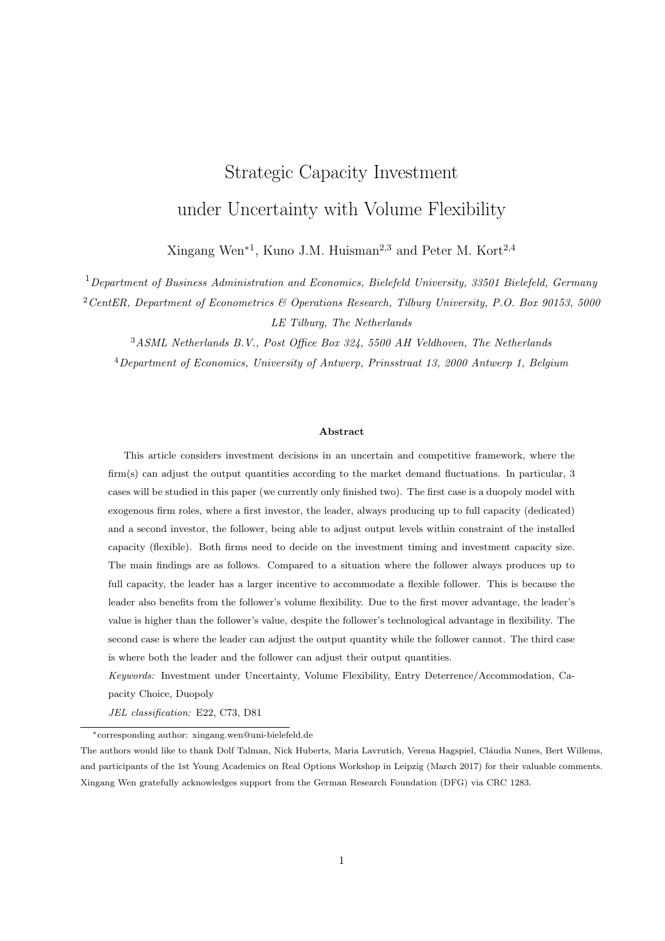Note that if otherwise such that  $X_L^{acc} < X_F$ , then the follower would just invest at  $X_F$ , because the follower's investment decision  $X_F$  and  $K_F$  are not influenced by the leader. The leader's timing decision  $X_L^{acc}$  also influences the boundary of this region, i.e.,  $X_1(K_F(X))$  and  $X_2(K_F(X), K_L)$ . This is because the leader's accommodation strategy timing decision influences the follower's investment capacity  $K_F(X_L^{acc})$ . The follower's capacity  $K_F(X_L^{acc})$ , together with  $K_L(X_L^{acc})$ , influences the boundaries for the leader to suspend production  $X_1$ , to produce below and up to capacity  $X_2$ , and also  $M_1(X, K_F, K_L)$  and  $M_2(X, K_F)$ .

With the entry accommodation strategy, the value function of the leader is equal to

$$
V_L(X, K_L) = \begin{cases} B_L(K_L)X^{\beta_1} & X < X_L^{acc}(K_L), \\ M_1(X, K_L)X^{\beta_1} + M_2(X)X^{\beta_2} & X & X_L^{acc}(K_L). \\ + \frac{1}{4\gamma} \left( \frac{X(1 - \gamma K_F(X))^2}{r} - \frac{2(1 - \gamma K_F(X))c_L}{r} + \frac{c_L^2}{X(r + \mu - \sigma^2)} \right) \end{cases}
$$

From the follower's investment capacity  $K_F(X)$ , it can be derived that

$$
\frac{dK_F(X)}{dX} = \frac{1}{2\gamma X^2} \left( 2(r - \mu) \left( \frac{c}{r} + \delta \right) - c_L \right) = \frac{1 - 2\gamma K_F}{2\gamma X},
$$
\n
$$
\frac{dX_1(X)}{dX} = \frac{\gamma c_L}{(1 - \gamma K_F(X))^2} \frac{dK_F}{dX} = \frac{1 - 2\gamma K_F}{2(1 - \gamma K_F)} \frac{X_1}{X},
$$
\n
$$
\frac{\partial X_2(X, K_L)}{\partial X} = \frac{\gamma c_L}{(1 - \gamma K_F(X) - 2\gamma K_L)^2} \frac{dK_F}{dX} = \frac{1 - 2\gamma K_F}{2(1 - \gamma K_F - 2\gamma K_L)} \frac{X_2}{X},
$$
\n
$$
\frac{\partial M_1(X, K_L)}{\partial X} = \frac{(\beta_1 + 1)M_1}{X_2} \frac{\partial X_2(X, K_L)}{\partial X} = \frac{(\beta_1 + 1)(1 - 2\gamma K_F)M_1}{2X(1 - \gamma K_F - 2\gamma K_L)},
$$
\n
$$
\frac{dM_2(X)}{dX} = \frac{(\beta_2 + 1)M_2}{X_1} \frac{dX_1(X)}{dX} = \frac{(\beta_2 + 1)(1 - 2\gamma K_F)M_2}{2X(1 - \gamma K_F)}.
$$

The value matching and smooth pasting conditions at  $X_L^{acc}(K_L)$  yield the following equations:

$$
B_{L}(K_{L})X^{\beta_{1}} = M_{1}(K_{L})X^{\beta_{1}} + M_{2}(K_{L})X^{\beta_{2}} + \frac{1}{4\gamma} \left( \frac{X(1 - \gamma K_{F}(X))^{2}}{r} + \frac{2(1 - \gamma K_{F}(X))c_{L}}{r} + \frac{c_{L}^{2}}{X(r + \mu - \sigma^{2})} \right) \delta_{L}K_{L},
$$
  

$$
\beta_{1}B_{L}(K_{L})X^{\beta_{1}-1} = \beta_{1}M_{1}(K_{L})X^{\beta_{1}-1} + \beta_{2}M_{2}(K_{L})X^{\beta_{2}-1}
$$
  

$$
\frac{(\beta_{1} + 1)(1 - 2\gamma K_{F})M_{1}}{2(1 - \gamma K_{F} - 2\gamma K_{L})}X^{\beta_{1}-1} + \frac{(\beta_{2} + 1)(1 - 2\gamma K_{F})M_{2}}{2(1 - \gamma K_{F})}X^{\beta_{2}-1}
$$
  

$$
+ \frac{1}{4\gamma} \left( \frac{\gamma K_{F}(X)(1 - \gamma K_{F}(X))}{r} + \frac{c_{L}(1 - 2\gamma K_{F}(X))}{rX} - \frac{c_{L}^{2}}{(r + \mu - \sigma^{2})X^{2}} \right).
$$

Thus, it can be derived that

$$
\beta_1 B_L(K_L) X^{\beta_1} = \beta_1 M_1 X^{\beta_1} \frac{(\beta_1 + 1)(1 - 2\gamma K_F)M_1}{2(1 - \gamma K_F - 2\gamma K_L)} X^{\beta_1} + \frac{\beta_2 - 1 + 2\gamma K_F}{2(1 - \gamma K_F)} M_2(K_L) X^{\beta_2} + \frac{1}{4\gamma} \left( \frac{X\gamma K_F(X)(1 - \gamma K_F(X))}{r + \mu} + \frac{c_L(1 - 2\gamma K_F(X))}{r} - \frac{c_L^2}{X(r + \mu - \sigma^2)} \right).
$$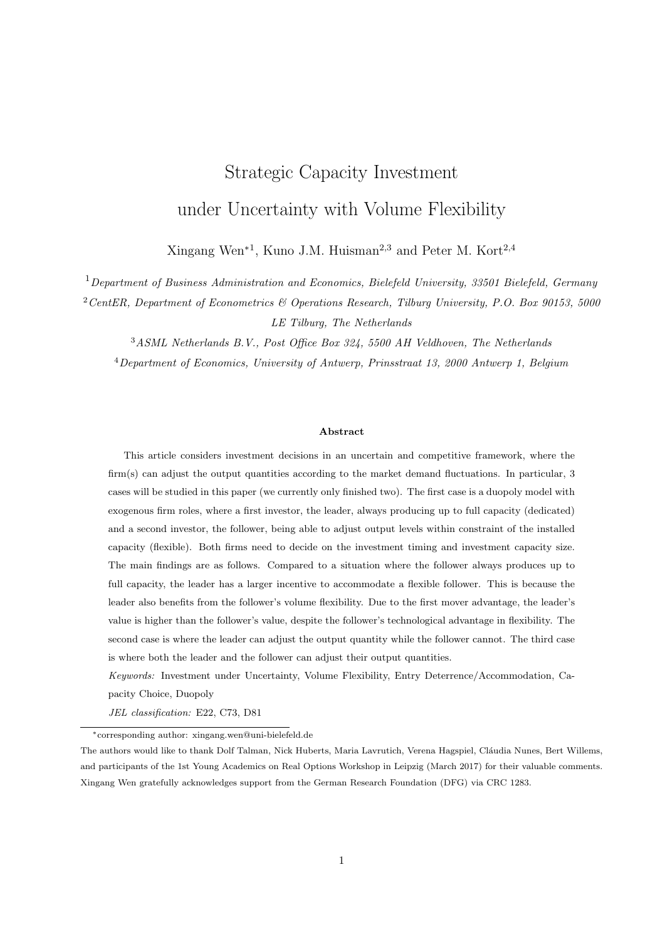So  $X_L^{acc}(K_L)$  satisfies the following implicit equation

$$
\frac{(\beta_1 + 1)(1 - 2\gamma K_F)M_1}{2(1 - \gamma K_F - 2\gamma K_L)} X^{\beta_1} + \frac{2\beta_1 - \beta_2 + 1 - 2(\beta_1 + 1)\gamma K_F}{2(1 - \gamma K_F)} M_2 X^{\beta_2} - \beta_1 \delta_L K_L + \frac{1}{4\gamma} \left( \frac{X(1 - \gamma K_F(X))}{r - \mu} (\beta_1 - (1 + \beta_1)\gamma K_F(X)) - \frac{c_L}{r} (2\beta_1 + 1 - 2(\beta_1 + 1)\gamma K_F(X)) + \frac{(\beta_1 + 1)c_L^2}{X(r + \mu - \sigma^2)} \right) = 0.
$$
\n(44)

e.g.,

$$
\frac{(\beta_1 + 1)(1 - 2\gamma K_F)M_1}{2(1 - \gamma K_F - 2\gamma K_L)}X^{\beta_1} + \frac{2\beta_1 - \beta_2 + 1 - 2(\beta_1 + 1)\gamma K_F}{2(1 - \gamma K_F)}M_2X^{\beta_2} - \beta_1\delta_L K_L + \frac{1}{4\gamma} \left[ (\beta_1 + 1) \left( \frac{X(1 - \gamma K_F(X))^2}{r} - \frac{2c_L(1 - \gamma K_F(X))}{r} + \frac{c_L^2}{X(r + \mu - \sigma^2)} \right) - \frac{X(1 - \gamma K_F(X))}{r - \mu} + \frac{c_L}{r} \right] = 0
$$

For a given level of X, the leader would invest with capacity size  $K_L(X)$ . The leader's investment size does not influence the follower's investment capacity, i.e.,  $\partial K_F/\partial K_L = 0$ . Thus, in this region, it can be derived that  $dX_1/dK_L = 0$  and  $dX_2/dK_L = 2\gamma X_2^2/c_L$ . Furthermore, we can get

$$
\frac{dM_2(X)}{dK_L} = 0,
$$
  
\n
$$
\frac{dM_1(X, K_L)}{dK_L} = \frac{2\gamma(\beta_1 + 1)X_2}{c_L}M_1.
$$

So, 0  $K_L(X)$   $\frac{\beta_1}{2\gamma(\beta_1+1)}$  satisfies the following equation

$$
\frac{(\beta_1 + 1)c_L}{2(\beta_1 - \beta_2)} \left(\frac{\beta_2 - 1}{r - \mu} - \frac{2\beta_2}{r} + \frac{\beta_2 + 1}{r + \mu - \sigma^2}\right) \left(\frac{X}{X_2(K_L)}\right)^{\beta_1} \quad \delta_L = 0,
$$
\n(45)

or

$$
\frac{2\gamma(\beta_1+1)X_2(K_L)}{c_L}M_1(X, K_L(X))X^{\beta_1} \quad \delta_L = 0,
$$

By substituting

$$
X_2(X) = \frac{c_L}{1 - \gamma K_F(X) - 2\gamma K_L} = \frac{2c_L}{1 + \frac{1}{X} \left(2(r - \mu)(c/r + \delta) - c_L\right) - 4\gamma K_L}
$$

into (45), we can derive that for a given X, the leader's investment capacity  $K_L(X)$  is

$$
K_L(X) =
$$
  
\n
$$
\frac{1}{4\gamma X} \left( X + 2(r - \mu) \left( \frac{c}{r} + \delta \right) - c_L - 2c_L \left( -\frac{c_L(1+\beta_1)}{2\delta_L(\beta_1 - \beta_2)} \left( \frac{\beta_2 - 1}{r - \mu} - \frac{2\beta_2}{r} + \frac{\beta_2 + 1}{r + \mu} - \frac{\beta_2}{\sigma^2} \right) \right)^{-1/\beta_1} \right)
$$
\n(46)

In order for the accommodation strategy in this region to hold, we have  $X = X_2$ , thus  $2\gamma K_L = 1 - \gamma K_F = \frac{c_L}{X}$ . In other words,

$$
\frac{c_L(\beta_1+1)}{2\delta_L(\beta_1-\beta_2)}\left(\frac{\beta_2-1}{r-\mu}-\frac{2\beta_2}{r}+\frac{\beta_2+1}{r+\mu-\sigma^2}\right)-1.
$$

This is the same definition as in the monopoly model. So whether the firm produces up to or below capacity when the follower enters the market depends on the parameter values. If  $\mu > \delta_L r^2/(c_L + \delta_L r)$ , or both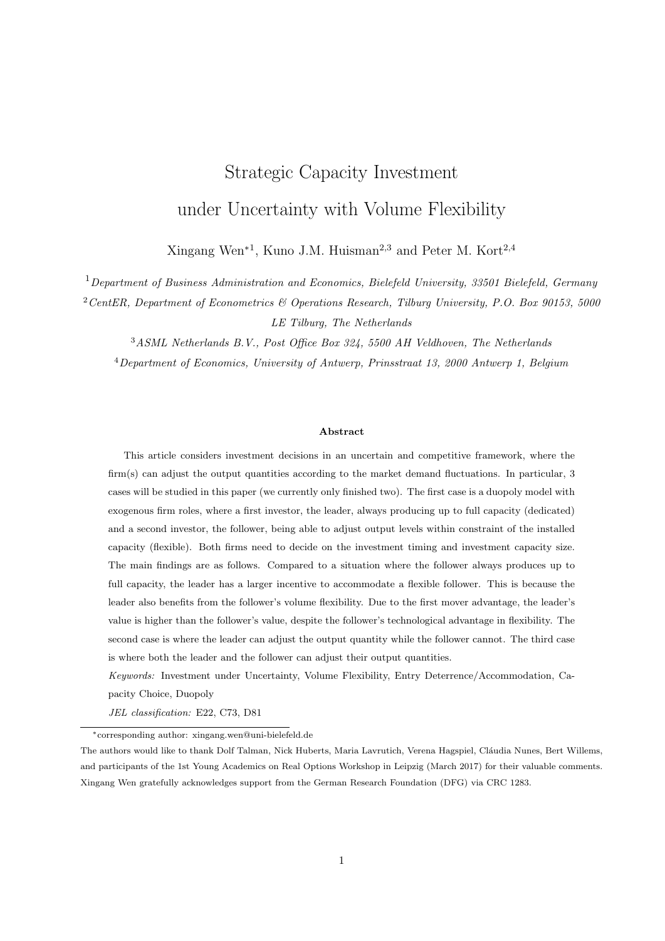$r c_L/\delta_L < \mu \delta_L r^2/(c_L + \delta_L r)$  and  $\sigma > \bar{\sigma}$ , then the leader produces below capacity when the follower enters. Because the transition between producing below and up to capacity is smooth, it can be concluded that if  $\mu$  r  $c_L/\delta_L$ , or both  $r$   $c_L/\delta_L < \mu$   $\delta_L r^2/(c_L + \delta_L r)$  and  $\sigma$   $\bar{\sigma}$ , then the leader produces up to capacity when the follower enters the market. Moreover

$$
\bar{\sigma}^2 = \frac{2\left(\Lambda - \alpha^2\right)(2r - \alpha) - 4\sqrt{r\Lambda\left(\Lambda - \alpha^2\right)(r - \alpha)}}{\Lambda - \left(2r - \alpha\right)^2},\tag{47}
$$

with  $\Lambda = \begin{pmatrix} \frac{2\delta_L r(r-\alpha) - \alpha c_L}{c_L} \end{pmatrix}$  $\left(\frac{\alpha}{c_L}\right)^2$ .  $\bar{\sigma}$  is only defined for  $r$   $c_L/\delta_L < \mu$   $\delta_L r^2/(c_L + \delta_L r)$ .

#### Numerical

The leader's strategy depends on the parameters, like the leader's unit production cost  $c<sub>L</sub>$  and unit investment  $\delta_L$  for instance. If the leader's unit costs are too large, then the leader would find it difficult to invest early. This makes entry deterrence strategy less likely to happen. On the other hand, if the leader's unit costs are small, then the entry deterrence strategy is more likely. More specifically, when the follower invests at  $X_F$  with investment capacity  $K_L$ , and the leader produces below capacity when the follower invests, this would imply  $X_1 < X_F$ , i.e.,

$$
c_L < \frac{2\beta_1}{2\beta_1 - 1}(r - \mu) \left(\frac{c}{r} + \delta\right).
$$

There is also a lower bound for  $c<sub>L</sub>$ . An extreme case is that  $c<sub>L</sub> = 0$ , then we would have  $X<sub>1</sub> = X<sub>2</sub> = 0$ , and the region that the leader produces below capacity when the follower enters the market disappears. The fact is that the leader always produces up to capacity when  $c_L = 0$ . So  $c_L$  should be large enough that the equation  $X_2 > X_1$  holds, i.e., it is possible that the leader produces below capacity. Furthermore, because  $c_L$  also influences the follower's investment threshold  $X_F$ , the smaller  $c_L$ , the larger  $X_F$ . Another case is that  $c_L$  cannot be so small such that  $X_F > X_2$ , which contradicts the fact that the follower invests when the leader is producing below capacity. Overall, the value of  $c<sub>L</sub>$  should make it hold in this region that

$$
X_1 < X_L^{det} < X_F < X_2.
$$

For the parameter values we use in the Numerical section,  $c<sub>L</sub>$  is in the approximate range of 1.8 and 3.27 to make the leader produces below capacity when the follower invests. Given the complexity of the implicit equation, we resort to numerical analysis, and start with the deterrence strategy first. Note that all the parameter values used for the figure are in the range that defines this region.

From the theoretical result of the entry deterrence strategy, by substituting (42) into (43), we get the conclusion that the entry deterrence investment threshold  $X_L^{det}$  makes the following function  $F(X)$  equal to 0.

$$
F(X) = \frac{1}{4\gamma} \left( \frac{X(\beta_1 - 1)}{r - \mu} - \frac{2\beta_1 c_L}{r} + \frac{c_L^2(\beta_1 + 1)}{X(r + \mu - \sigma^2)} \right) - \frac{\beta_1 \delta_L}{2\gamma} \left( \frac{\beta_1}{\beta_1 + 1} \right)
$$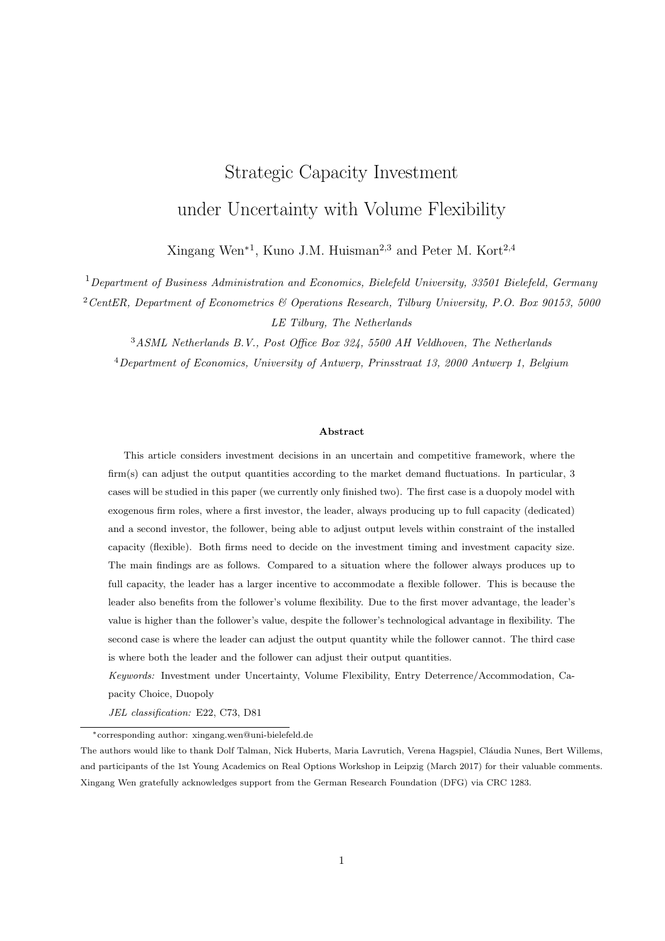$$
\frac{c_L}{X} \left( \frac{c_L(\beta_1+1)}{2\delta_L(\beta_1-\beta_2)} \left( \frac{\beta_2-1}{r-\mu} - \frac{2\beta_2}{r} + \frac{\beta_2+1}{r+\mu-\sigma^2} \right) \right)^{-1/\beta_1} \right). \tag{48}
$$

However,  $F(X) > 0$  for most of the parameter values. This can be shown in Figure 12.  $F(X) > 0$  implies that there is no solution for  $X_L^{det}$  and the entry deterrence is not possible in this region. The most interesting parameter is  $\mu$ . As shown in Figure 12e,  $F(X) = 0$  has solutions for some values of  $\mu$ . Specifically, if  $\mu$  0.0375, then there are solutions for  $F(X) = 0$ . We carry out further analysis. When there are two solutions, we checked and found that the smaller solution yields a result, where the upper bound for this region is  $X_2 < X_F$ . This contradicts the definition that the leader is producing below capacity when the follower enters the market. So we take the larger solution of the two and get the results as shown in Figure 13, and further compare the accommodation and deterrence strategy for these values of  $\mu$ .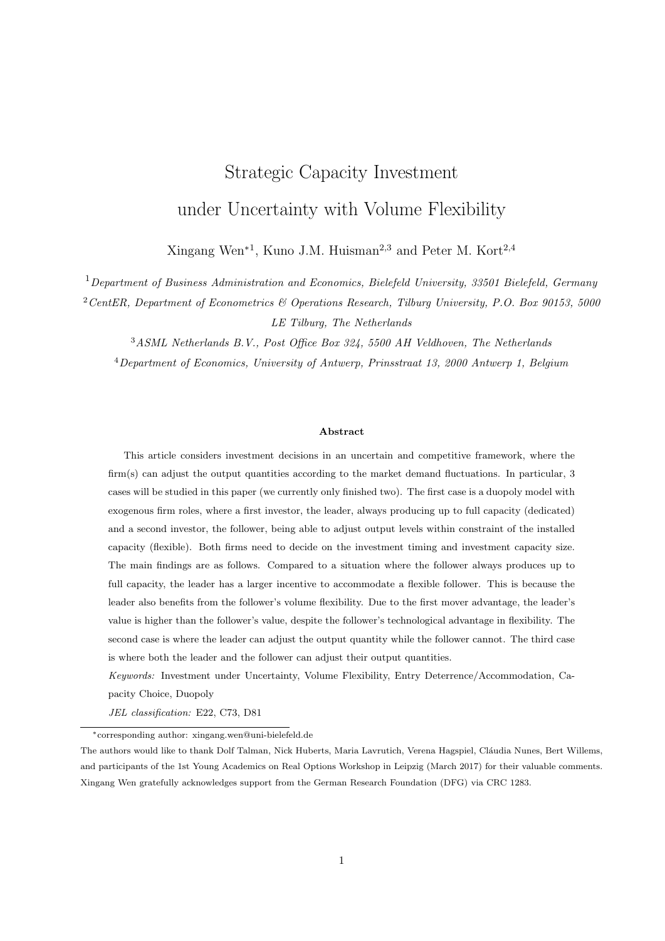

Figure 12: Illustration of the function  $F(X)$  changing with parameter values. Default parameter values are  $r = .1$ ,  $\mu = .03,\, \sigma = .2,\, \gamma = .05,\, c = c_L = 2.5,$  and  $\delta = \delta_L = 10.$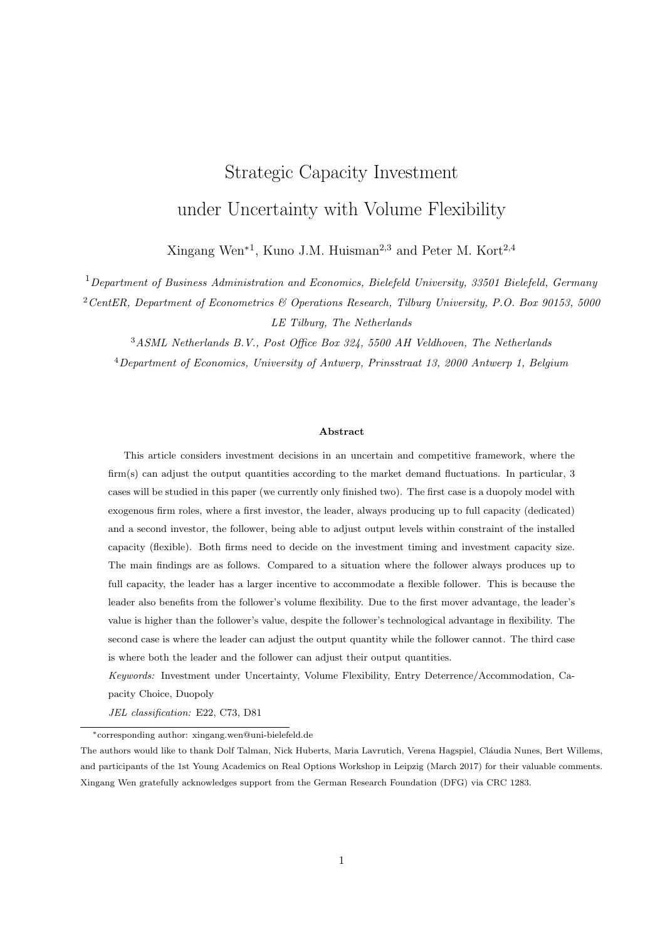

Figure 13: Illustration of possible deterrence strategy for the flexible leader. Default parameter values are  $r = .1, \sigma = .2, \gamma = .05, c = c_L = 2.5, \text{ and } \delta = \delta_L = 10.$ 

Figure 13a shows that the entry deterrence by the flexible leader is possible for  $\mu$  2 [0.0381, 0.0457]. In Figure 13b, the values of the deterrence and accommodation strategy are compared. It shows that only for  $\mu$  2 [0.0381, 0.0393], the deterrence can generate a larger value than the accommodation strategy. For this range of parameter  $\mu$ , we further study whether the dedicated firm can preempt the flexible firm. That is, we calculate the preemption point of the dedicated (non-flexible) firm and the flexible firm, shown in Figure 14.



Figure 14: Illustration of the dedicated and flexible firms' preemption as functions of  $\,$ . Default parameter values are  $r = 0.1$ ,  $= .2;$  = :05,  $c = c_L = 2.5$ , and =  $_L = 10$ .

Figure 14 shows that the preemption points of the dedicated firm is always smaller than the flexible firm. This implies that the dedicated firm always preempts the flexible firm.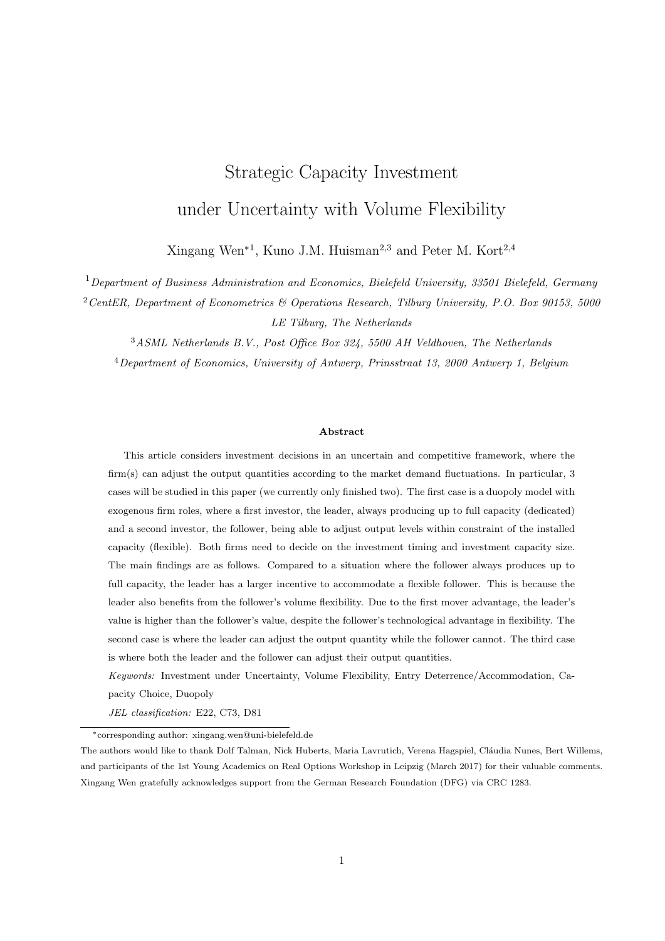# 4 Flexible leader and flexible follower

# 5 Conclusion

# References

- Roger Beach, Alan P. Muhlemann, David H. R. Price, Andrew Paterson, and John A. Sharp. A review of manufacturing flexibility. European Journal of Operational Research,  $122(1):41 - 57$ , 2000.
- Jim Browne, Didier Dubois, Keith Rathmill, Suresh P. Sethi, Kathryn E. Stecke, et al. Classification of flexible manufacturing systems. The FMS magazine, 2(2):114–117, 1984.
- Avinash K. Dixit and Robert S. Pindyck. Investment under Uncertainty. Princeton University Press, Princeton, 1994.
- Esther Gal-Or. First mover and second mover advantages. International Economic Review, 26(3):649–653, 1985.
- Manu Goyal and Serguei Netessine. Volume flexibility, product flexibility, or both: The role of demand correlation and product substitution. Manufacturing  $\mathcal C$  Service Operations Management, 13(2):180–193, 2011.
- Yash P. Gupta and Sameer Goyal. Flexibility of manufacturing systems: Concepts and measurements. European Journal of Operational Research, 43(2):119 – 135, 1989.
- Verena Hagspiel, Kuno J. M. Huisman, and Peter M. Kort. Volume flexibility and capacity investment under demand uncertainty. International Journal of Production Economics, 178:95 – 108, 2016.
- Kuno J. M. Huisman and Peter M. Kort. Strategic capacity investment under uncertainty. The RAND Journal of Economics, 46(2):376–408, 2015.
- Eric P. Jack and Amitabh Raturi. Sources of volume flexibility and their impact on performance. Journal of Operations Management, 20(5):519 – 548, 2002.
- Robert S. Pindyck. Irreversible investment, capacity choice, and the value of the firm. The American Economic Review, 78(5):969–985, 1988.
- Andrea K. Sethi and Suresh P. Sethi. Flexibility in manufacturing: a survey. International Journal of Flexible Manufacturing Systems, 2(4):289–328, 1990.
- Xingang Wen, Peter M. Kort, and Dolf Talman. Volume flexibility and capacity investment: a real options approach. Journal of the Operational Research Society, 68:1633–1646, 2017.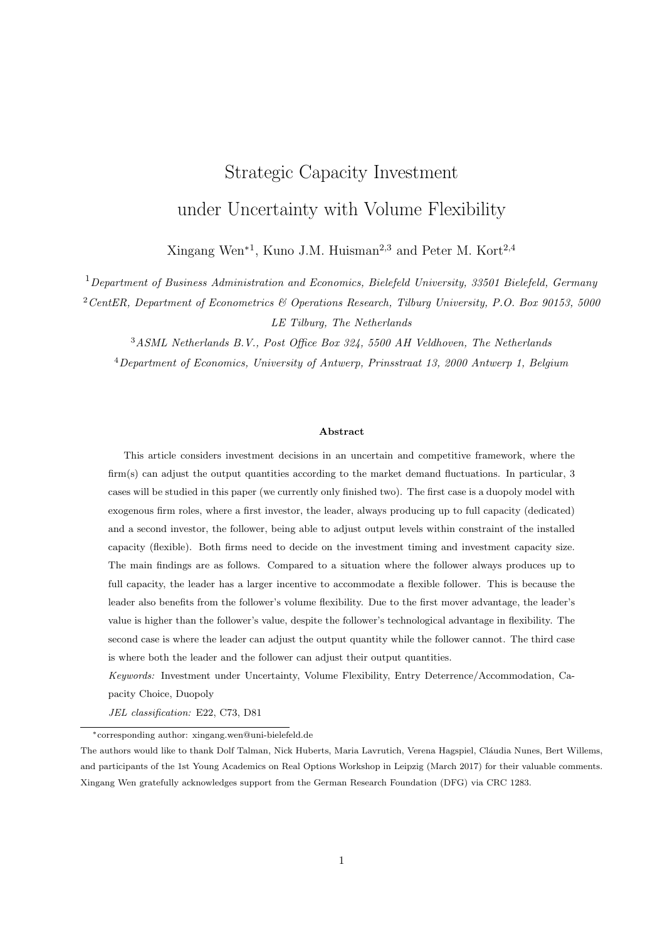# Appendix

# A Flexible Follower

A.1 Expression of  $L_1(K_D, K_F)$ ,  $M_1(K_D, K_F)$ ,  $M_2(K_D)$ , and  $N(K_D, K_F)$ 

In the follower's value function  $V_F(X, K_D, K_F)$ , the lengthy expression for  $L_1, M_1, M_2$  and  $N_2$  are as follows,

$$
L(K_D, K_F) = \frac{c^2 F(\beta_2)}{4\gamma(\beta_1 - \beta_2)} \left( \left( \frac{1 - \gamma K_D}{c} \right)^{\beta_1 + 1} \left( \frac{1 - 2\gamma K_F - \gamma K_D}{c} \right)^{\beta_1 + 1} \right),
$$
  
\n
$$
M_1(K_D, K_F) = \frac{c^2 F(\beta_2)}{4\gamma(\beta_1 - \beta_2)} \left( \frac{1 - 2\gamma K_F - \gamma K_D}{c} \right)^{\beta_1 + 1},
$$
  
\n
$$
M_2(K_D) = \frac{c^2 F(\beta_1)}{4\gamma(\beta_1 - \beta_2)} \left( \frac{1 - \gamma K_D}{c} \right)^{\beta_2 + 1},
$$
  
\n
$$
N(K_D, K_F) = \frac{c^2 F(\beta_1)}{4\gamma(\beta_1 - \beta_2)} \left( \left( \frac{1 - \gamma K_D}{c} \right)^{\beta_2 + 1} \left( \frac{1 - \gamma K_D - 2\gamma K_F}{c} \right)^{\beta_2 + 1} \right).
$$

In order to get more insight of the value function, I analyze the signs for these four expressions. Given that  $r > \alpha$ , it holds that  $\beta_1 > 1$  and  $F(\beta_2) > 0$ . From Wen et al. (2017), it also holds that  $\beta_2 < 1$ , and  $F(\beta_1) < 0$  when  $\sigma^2 < r + \alpha$ ;  $1 < \beta_2 < 0$ , and  $F(\beta_1) > 0$  when  $\sigma^2 > r + \alpha$ . Thus, it can be concluded that  $L(K_D, K_F) > 0$ ,  $M_1(K_D, K_F) < 0$ , and  $N(K_D, K_F) > 0$ . If  $\sigma^2 < r + \alpha$ , then  $M_2(K_D) < 0$ , and if  $\sigma^2 > r + \alpha$ , then  $M_2(K_D) > 0$ .

# A.2 Proof of Proposition 1

The optimal investment capacity  $K_F(X, K_D)$  of the follower maximizes  $V_F(X, K_D, K_F)$   $\delta K_F$ . The analysis is carried out for three different regions.

Region 1:  $0 < X < c/(1 - \gamma K_D)$ .

Given the expression of  $L_1$ , the first order condition of  $V_F(X, K_D, K_F)$   $\delta K_F$  with respect to  $K_F$  gives

$$
\frac{c(1+\beta_1)F(\beta_2)}{2(\beta_1-\beta_2)}\left(\frac{X(1-2\gamma K_F-\gamma K_D)}{c}\right)^{\beta_1} \quad \delta=0.
$$
 (A.1)

Thus,

$$
K_F(X, K_D) = \frac{1}{2\gamma} \left( 1 \quad \gamma K_D \quad \frac{c}{X} \left[ \frac{2\delta \left( \beta_1 \quad \beta_2 \right)}{cF \left( \beta_2 \right) \left( 1 + \beta_1 \right)} \right]^{\frac{1}{\beta_1}} \right). \tag{A.2}
$$

Region 2:  $X = c/(1 - \gamma K_D)$  and  $K_F > \frac{X-c}{2\gamma X} = \frac{K_D}{2}$ .

Given the expression of  $M_1$  and  $M_2$ , taking the first order condition of  $V_F(X, K_D, K_F)$   $\delta K_F$  with respect to  $K_F$  yields

$$
K_F(X, K_D) = \frac{1}{2\gamma} \left( 1 \quad \gamma K_D \quad \frac{c}{X} \left[ \frac{2\delta \left( \beta_1 \quad \beta_2 \right)}{cF \left( \beta_2 \right) \left( 1 + \beta_1 \right)} \right]^{\frac{1}{\beta_1}} \right). \tag{A.3}
$$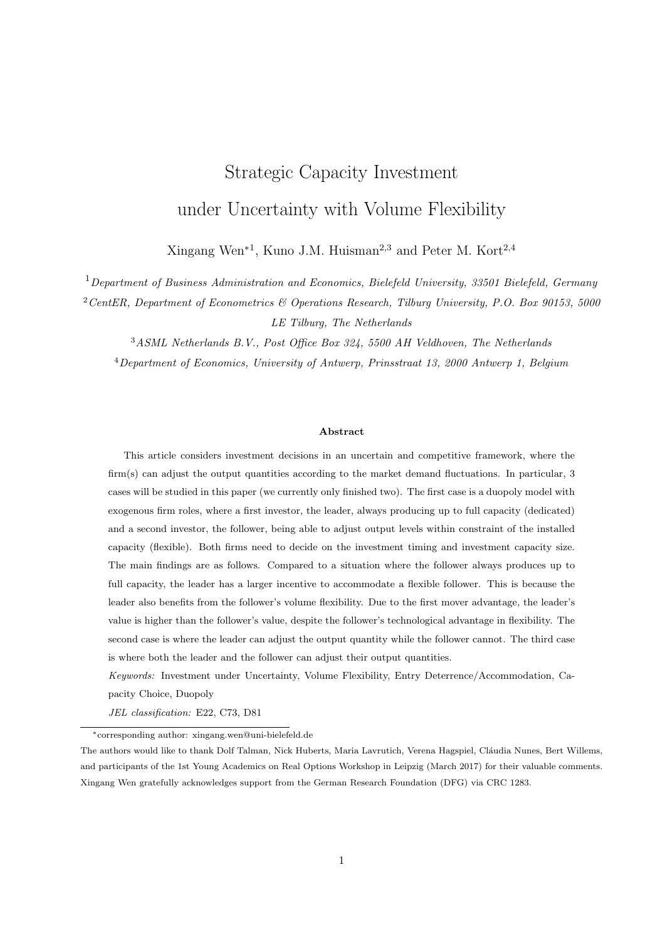Region 3:  $X = c/(1 - \gamma K_D)$  and  $K_F = \frac{X_c}{2\gamma X} = \frac{K_D}{2}$ .

Given the expression for  $N_2$ , the first order condition of  $V_F(X, K_D, K_F)$   $\delta K_F$  with respect to  $K_F$  yields that  $K_F(X,K_D)$  must satisfy

$$
\frac{c\left(1+\beta_2\right)F\left(\beta_1\right)}{2\left(\beta_1-\beta_2\right)}\left(\frac{X(1-2\gamma K_F-\gamma K_D)}{c}\right)^{\beta_2}+\frac{X(1-2\gamma K_F-\gamma K_D)}{r-\alpha}-\frac{c}{r}-\delta=0.\tag{A.4}
$$

The optimal investment threshold  $X_F(K_D)$  in each region can be derived by the value matching and smooth pasting conditions at  $X_F(K_D)$ :

$$
\begin{cases}\nAX_F^{\ \beta_1}(K_D) & = V_F(X_F(K_D), K_D, K_F(X_F(K_D), K_D)) & \delta K_F(X_F(K_D), K_D), \\
\beta_1 AX_F^{\ \beta_1-1}(K_D) & = \frac{d}{dX} \left[ V_F(X_F(K_D), K_D, K_F(X_F(K_D), K_D)) \right] & \delta K_F(X_F(K_D), K_D) \right].\n\end{cases}
$$

Thus,  $X_F(K_D)$  satisfies the following implicit equation

$$
V_F(X_F, K_D, K_F(X_F, K_D)) \delta K_F(X_F, K_D)
$$
  
= 
$$
\frac{X_F(K_D)}{\beta_1} \frac{d[V_F(X_F, K_D, K_F(X_F, K_D)) \delta K_F(X_F, K_D)]}{dX}.
$$
 (A.5)

Region 1

The implicit equation (A.5) implies that

$$
\delta K_F = 0.\tag{A.6}
$$

Region 2

The optimal threshold  $X_F(K_D)$  satisfies

$$
\frac{F(\beta_2)c^{1-\beta_1}(1-2\gamma K_F - \gamma K_D)^{1+\beta_1}X^{\beta_1}}{4\gamma(\beta_1-\beta_2)} + \frac{c^{1-\beta_2}(1-\gamma K_D)^{1+\beta_2}}{4\gamma(\beta_1-\beta_2)}F(\beta_1)X^{\beta_2} + \frac{(1-\gamma K_D)^2 X}{4\gamma(r-\alpha)}
$$
\n
$$
= \frac{X}{\beta_1} \left[ \frac{\beta_2 F(\beta_1)c^{1-\beta_2}(1-\gamma K_D)^{1+\beta_2}X^{\beta_2-1}}{4\gamma(\beta_1-\beta_2)} + \frac{(1-\gamma K_D)^2}{4\gamma(r-\alpha)} \frac{c^2}{4\gamma X^2(r+\alpha-\sigma^2)} \right] \frac{F(\beta_2)c^{1-\beta_1}(1-\gamma K_D - 2\gamma K_F)^{1+\beta_1}X^{\beta_1}}{4\gamma(\beta_1-\beta_2)},
$$

which is equivalent to

$$
\frac{c(1-\gamma K_D)F(\beta_1)}{4\gamma \beta_1} \left(\frac{X(1-\gamma K_D)}{c}\right)^{\beta_2} + \frac{1}{4\gamma} \left[\frac{\beta_1}{\beta_1} \frac{1}{r} \frac{X(1-\gamma K_D)^2}{r} - \frac{2c(1-\gamma K_D)}{r} + \frac{\beta_1 + 1}{\beta_1} \frac{c^2}{X(r+\alpha - \sigma^2)}\right] \delta K_F = 0.
$$
 (A.7)

Region 3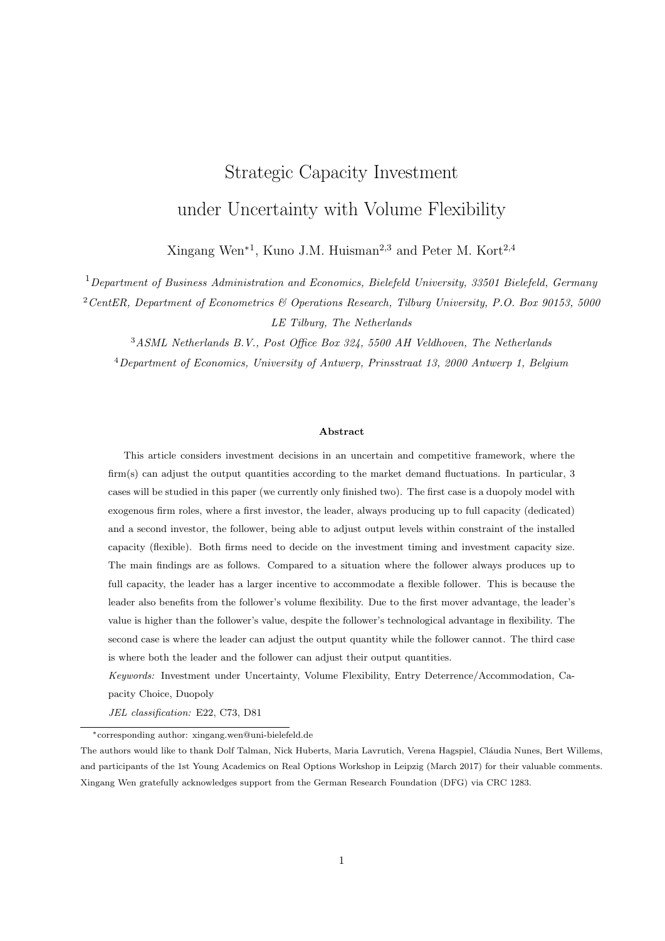The optimal investment threshold  $X_F(K_D)$  satisfies

$$
\frac{c\left[(1-\gamma K_D)^{1+\beta_2}-(1-2\gamma K_F-\gamma K_D)^{1+\beta_2}\right]F(\beta_1)}{4\gamma(\beta_1-\beta_2)}\left(\frac{X}{c}\right)^{\beta_2}+K_F\left(\frac{(1-\gamma K_D-\gamma K_F)X}{r-\alpha}-\frac{c}{r}-\delta\right)
$$
\n
$$
=\frac{\beta_2}{\beta_1}\frac{c\left[(1-\gamma K_D)^{1+\beta_2}-(1-2\gamma K_F-\gamma K_D)^{1+\beta_2}\right]F(\beta_1)}{4\gamma(\beta_1-\beta_2)}\left(\frac{X}{c}\right)^{\beta_2}+\frac{K_F}{\beta_1}\frac{X(1-\gamma K_D-\gamma K_F)}{r-\alpha}.
$$

Rearranging terms yields

$$
\frac{cF(\beta_1)}{4\gamma\beta_1} \left(\frac{X}{c}\right)^{\beta_2} \left[ (1 - \gamma K_D)^{1+\beta_2} \right] \qquad (1 - 2\gamma K_F - \gamma K_D)^{1+\beta_2} \n+ \frac{(\beta_1 - 1)K_F}{\beta_1} \frac{X(1 - \gamma K_D - \gamma K_F)}{r \alpha} \qquad \frac{cK_F}{r} \qquad \delta K_F = 0. \tag{A.8}
$$

Note that in the monopoly case by Wen et al. (2017), whether the flexible firm produces up to capacity depends on the economic setting. Similarly as for the follower in the duopoly situation, if the firm produces below capacity right after investment, then  $q_F(X, K_D, K_F(X, K_D)) < K_F(X, K_D)$ , i.e.,

$$
\frac{1}{2\gamma}\left(1-\gamma K_D-\frac{c}{X}\left[\frac{2\delta\left(\beta_1-\beta_2\right)}{cF\left(\beta_2\right)\left(1+\beta_1\right)}\right]^{\frac{1}{\beta_1}}\right)>\frac{X(1-\gamma K_D)-c}{2\gamma X}.
$$

It is equivalent to

$$
2\delta(\beta_1 \quad \beta_2) < cF(\beta_2)(1+\beta_1),\tag{A.9}
$$

which is the same as in the monopoly case. Furthermore, it can be deduced that

$$
2\delta(\beta_1 \quad \beta_2) \quad cF(\beta_2)(1+\beta_1) \tag{A.10}
$$

defines Region 3, where the firm produces up to capacity right after investment. The definitions of Region 2, equation (A.9), and Region 3, equation (A.10), for the flexible follower firm are the same as that for the flexible monopoly firm in Wen et al. (2017).

# A.3 Proof of Corollary 1

Region 2

Derive  $dX_F(K_D)/dK_D$  and check whether the leader's installed capacity level would delay the flexible follower's investment. Dividing (11) by  $(1 - \gamma K_D)$  yields that

$$
\frac{cF(\beta_1)}{4\gamma\beta_1} \left(\frac{X(1-\gamma K_D)}{c}\right)^{\beta_2} \frac{\delta}{2\gamma} \left(1 \frac{c}{X(1-\gamma K_D)} \left[\frac{2\delta(\beta_1-\beta_2)}{c(1+\beta_1)F(\beta_2)}\right]^{\frac{1}{\beta_1}}\right) + \frac{1}{4\gamma} \left[\frac{\beta_1}{\beta_1} \frac{1}{r} \frac{X(1-\gamma K_D)}{c} \frac{2c}{r} + \frac{\beta_1+1}{\beta_1} \frac{c^2}{r+\alpha-\sigma^2} \frac{1}{X(1-\gamma K_D)}\right] = 0. \tag{A.11}
$$

Comparing (A.11) with the implicit equation that determines the optimal investment threshold in the corresponding monopoly model, I find that  $X(1 - \gamma K_D)$  replaces X in the corresponding monopoly case. Apparently,  $(1 \gamma K_D) X_F^{K_D}$  is a constant that solves (A.11). Thus, it can be concluded

$$
\frac{\mathrm{d}X_F(K_D)}{\mathrm{d}K_D} = \frac{\gamma X_F(K_D)}{1 - \gamma K_D} > 0,\tag{A.12}
$$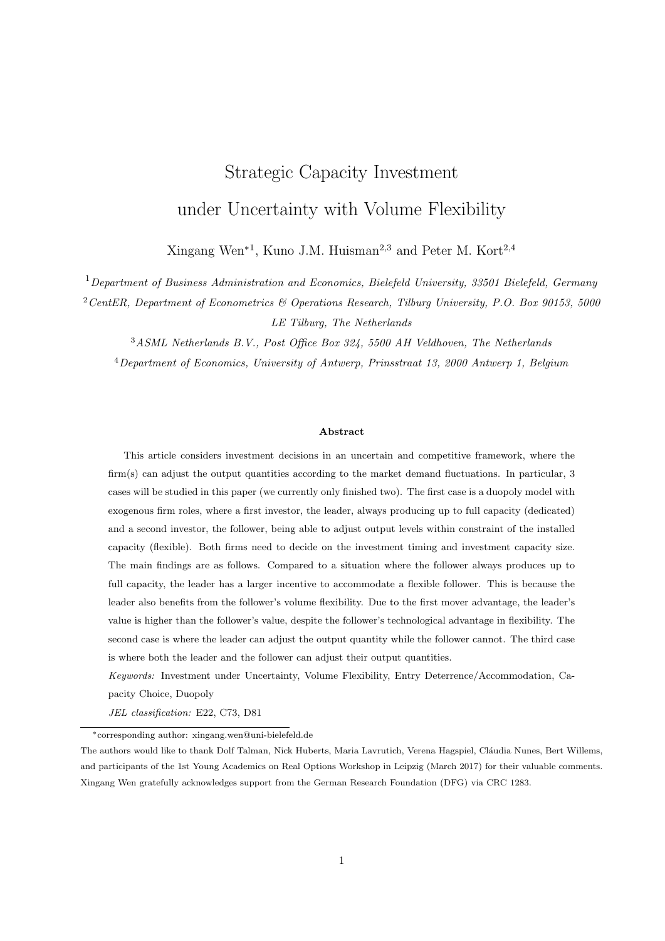implying that investing in more capacity by the dedicated leader would delay the investment of the flexible follower. According to (10), taking the derivative of  $K_F(K_D)$  with respect to  $K_D$ , it follows that

$$
\frac{\mathrm{d}K_F(K_D)}{\mathrm{d}K_D} = \frac{\gamma K_F(K_D)}{1 - \gamma K_D} \quad 0. \tag{A.13}
$$

This implies that an increase in the inflexible leader's investment capacity decreases the flexible follower's optimal capacity to invest with.

## Region 3

The investment timing  $X_F(K_D)$  and investment capacity  $K_F(K_D)$  are determined by (12) and (13) when the follower produces up to capacity right after the investment. Rewriting these two equations yields

$$
\frac{F(\beta_1)c^{1-\beta_2}(1+\beta_2)H^{\beta_2}(K_D)}{2(\beta_1-\beta_2)} + \frac{H(K_D)}{r-\alpha} \frac{c}{r} \quad \delta = 0,
$$
\n(A.14)

and

$$
\frac{c^{1-\beta_2}F(\beta_1)\left[W^{1+\beta_2}(K_D) - H^{1+\beta_2}(K_D)\right]}{4\gamma\beta_1X_F(K_D)} \quad \left(\frac{c}{r} + \delta\right)K_F(K_D) + \frac{(\beta_1 - 1)\left(W^2(K_D) - H^2(K_D)\right)}{4\gamma\beta_1(r - \alpha)X_F(K_D)} = 0,
$$
\n(A.15)

respectively, where

$$
W(K_D) = X_F(K_D)(1 \quad \gamma K_D),
$$
  

$$
H(K_D) = X_F(K_D)(1 \quad \gamma K_D \quad 2\gamma K_F(K_D)).
$$

Note that  $H(K_D)$  is a constant and solves (A.14). From  $dH(K_D)/dK_D = 0$ , it follows that

$$
\frac{\mathrm{d}X_F(K_D)}{\mathrm{d}K_D} = \frac{\gamma X_F(K_D)}{1 - \gamma K_D} \left( 2 \frac{\mathrm{d}K_F(K_D)}{\mathrm{d}K_D} + 1 \right). \tag{A.16}
$$

 $W(K_D)$  solves equation (A.15). Taking the derivative of (A.15) with respect to  $K_D$  yields

$$
\left(\frac{(1+\beta_2)c^{1-\beta_2}F(\beta_1)W^{\beta_2}(K_D)}{2\beta_1}+\frac{(\beta_1-1)W(K_D)}{\beta_1(r-\alpha)}-\left(\frac{c}{r}+\delta\right)\right)\frac{\gamma K_F(K_D)+(1-\gamma K_D)\frac{\mathrm{d}K_F(K_D)}{\mathrm{d}K_D}}{1-\gamma K_D-2\gamma K_F(K_D)}=0,
$$

implying,

$$
\frac{c(1+\beta_2)F(\beta_1)}{2\beta_1} \left(\frac{W(K_D)}{c}\right)^{\beta_2} + \frac{(\beta_1 - 1)W(K_D)}{\beta_1(r - \alpha)} = \frac{c}{r} + \delta.
$$
 (A.17)

 $(A.17)$  implies that  $W(K_D)$  is also a constant and satisfies

$$
\frac{\mathrm{d}W(K_D)}{\mathrm{d}K_D} = \gamma X_F(K_D) + (1 \gamma K_D) \frac{\mathrm{d}X_F(K_D)}{\mathrm{d}K_D} = 0.
$$

It can be further derived that

$$
\frac{\mathrm{d}X_F(K_D)}{\mathrm{d}K_D} = \frac{\gamma X_F(K_D)}{1 - \gamma K_D} > 0.
$$
\n(A.18)

Moreover, from (A.16) and (A.18), it follows that

$$
\frac{\mathrm{d}K_F(K_D)}{\mathrm{d}K_D} = \frac{\gamma K_F(K_D)}{1 - \gamma K_D} < 0. \tag{A.19}
$$

Thus, for the case that the flexible follower produces up to capacity right after the investment, the dedicated leader can delay and decrease the investment of the follower by investing in a larger capacity.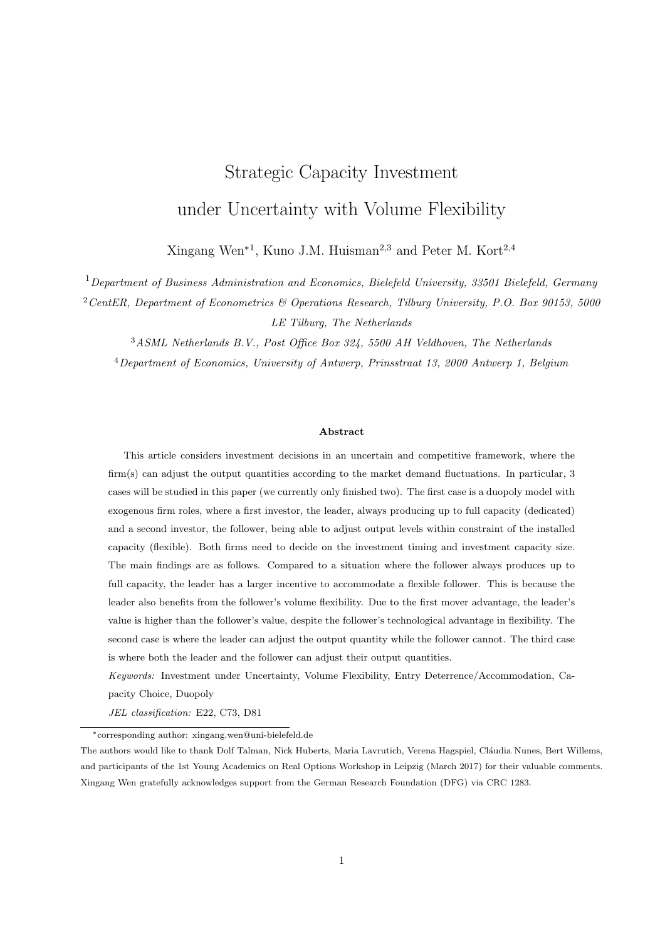# A.4 Expressions of  $L(K_D)$ ,  $\mathcal{M}_1(K_D)$ ,  $\mathcal{M}_2(K_D)$ ,  $\mathcal{N}(K_D)$

Employing value matching and smooth pasting at  $X_1 = c/(1 \gamma K_D)$  and  $X_2 = c/(1 \gamma K_D \gamma K_F(K_D))$ , then for a given  $K_D$  (0  $K_D < 1/\gamma$ ), it can be derived that

$$
\mathcal{M}_2(K_D) = \frac{cK_D}{2(\beta_1 - \beta_2)} \left(\frac{\beta_1}{r} \frac{1}{\alpha} - \frac{\beta_1}{r}\right) \left(\frac{c}{1 - \gamma K_D}\right)^{\beta_2},\tag{A.20}
$$

$$
\mathcal{M}_1(K_D) = \frac{cK_D}{2(\beta_1 - \beta_2)} \left(\frac{\beta_2 - 1}{r - \alpha} - \frac{\beta_2}{r}\right) \left(\frac{c}{1 - \gamma K_D - 2\gamma K_F(K_D)}\right)^{\beta_1},\tag{A.21}
$$

$$
L(K_D) = \frac{cK_D}{2(\beta_1 - \beta_2)} \left(\frac{\beta_2 - 1}{r - \alpha} - \frac{\beta_2}{r}\right) \left[ \left(\frac{c}{1 - \gamma K_D}\right)^{\beta_1} \left(\frac{c}{1 - \gamma K_D - 2\gamma K_F(K_D)}\right)^{\beta_1} \right] (A.22)
$$

$$
N(K_D) = \frac{cK_D}{2(\beta_1 - \beta_2)} \left(\frac{\beta_1}{r} \frac{1}{\alpha} - \frac{\beta_1}{r}\right) \left[ \left(\frac{c}{1 - \gamma K_D}\right)^{\beta_2} \left(\frac{c}{1 - \gamma K_D - 2\gamma K_F(K_D)}\right)^{\beta_2} \right] (A.23)
$$

In order to check the signs for  $\mathcal{L}(K_D)$ ,  $\mathcal{M}_1(K_D)$ ,  $\mathcal{M}_2(K_D)$ , and  $\mathcal{N}(K_D)$ , first analyze the signs of  $(\beta)$ 1)/(r  $\alpha$ )  $\beta/r = \frac{\alpha \beta r}{r(r \alpha)}$  for  $\beta = \beta_1$  and  $\beta = \beta_2$ .

If  $\alpha = 0$ , then  $\alpha\beta_2 = r < 0$  because  $\beta_2 < 0$ . If  $\alpha < 0$ , then  $\alpha\beta_2 = r = \alpha \left(\frac{1}{2} - \frac{\alpha}{\sigma^2} - \frac{r}{\alpha} - \sqrt{\left(\frac{1}{2} - \frac{\alpha}{\sigma^2}\right)^2 + \frac{2r}{\sigma^2}}\right)$  $\bigg),$ with  $\frac{1}{2}$   $\frac{\alpha}{\sigma^2}$   $\frac{r}{\alpha} > 0$ . From  $\left(\frac{1}{2} \frac{\alpha}{\sigma^2} \frac{r}{\alpha}\right)^2$   $\left(\frac{1}{2} \frac{\alpha}{\sigma^2}\right)^2$   $\frac{2r}{\sigma^2} = \frac{r}{\alpha} + \frac{r^2}{\alpha^2} > 0$ , we get  $\alpha\beta_2$   $r < 0$ . So,  $\frac{\beta_2-1}{r-\alpha}$   $\frac{\beta_2}{r}<0.$ 

If  $\alpha$  0, then  $\alpha\beta_1$   $r < 0$ . If  $\alpha > 0$ , then  $\alpha\beta_1$   $r = \alpha\left(\frac{1}{2} - \frac{\alpha}{\sigma^2} - \frac{r}{\alpha} + \sqrt{\left(\frac{1}{2} - \frac{\alpha}{\sigma^2}\right)^2 + \frac{2r}{\sigma^2}}\right)$  , with  $\frac{1}{2}$   $\frac{\alpha}{\sigma^2}$   $\frac{r}{\alpha}$  < 0, because  $r > \alpha$ . From  $\left(\frac{r}{\alpha} + \frac{\alpha}{\sigma^2} - \frac{1}{2}\right)^2$   $\left(\frac{1}{2} \frac{\alpha}{\sigma^2}\right)^2$   $\frac{2r}{\sigma^2} = \frac{r^2}{\alpha^2}$  $rac{r^2}{\alpha^2}$   $\frac{r}{\alpha} > 0$ , it holds that  $\alpha\beta_1$   $r < 0$ . So,  $\frac{\beta_1}{r} \frac{1}{\alpha}$   $\frac{\beta_1}{r} < 0$ .

Thus, it can be concluded that when  $0$   $K_D < 1/\gamma$ , then  $L(K_D) < 0$ ,  $\mathcal{M}_1(K_D) > 0$ ,  $\mathcal{M}_2(K_D) < 0$ ,  $N(K_D) > 0.$ 

# A.5 Proof of Proposition 2

## **A.5.1** Negative  $B_1(K_D)$

Before the derivation of the dedicated leader's optimal investment capacity in the entry deterrence and accommodation strategies, first check the sign of  $B_1(K_D)$ .

$$
B_{1}(K_{D}) = \mathcal{M}_{1}(K_{D}) + \mathcal{M}_{2}(K_{D})X_{F}^{\beta_{2} \beta_{1}}(K_{D}) \frac{K_{D}(1 - \gamma K_{D})}{2(r - \alpha)}X_{F}^{\ 1} \beta_{1}(K_{D}) + \frac{cK_{D}}{2r}X_{F}^{\beta_{1}}(K_{D})
$$
  

$$
= \frac{cK_{D}}{2X_{F}^{\beta_{1}}(K_{D})} \left[ \frac{1}{\beta_{1} \beta_{2}} \left( \frac{\beta_{2}}{r - \alpha} - \frac{\beta_{2}}{r} \right) \left( \frac{X_{F}(K_{D})}{X_{2}(K_{D})} \right)^{\beta_{1}} \frac{1}{r} \frac{X_{F}(K_{D})}{\alpha X_{1}(K_{D})} + \frac{1}{r} + \frac{1}{\beta_{1} \beta_{2}} \left( \frac{\beta_{1}}{r - \alpha} - \frac{\beta_{1}}{r} \right) \left( \frac{X_{F}(K_{D})}{X_{1}(K_{D})} \right)^{\beta_{2}} \right].
$$

For  $X_F(K_D)/X_i(K_D)$  with  $i = f1, 2g$ , it holds that

$$
\frac{\mathrm{d}}{\mathrm{d}K_D}\frac{X_F(K_D)}{X_i(K_D)} = \frac{1}{X_i^2(K_D)}\left(\frac{\gamma X_F(K_D)X_i(K_D)}{1-\gamma K_D} - \frac{\gamma X_F(K_D)X_i(K_D)}{1-\gamma K_D}\right) = 0.
$$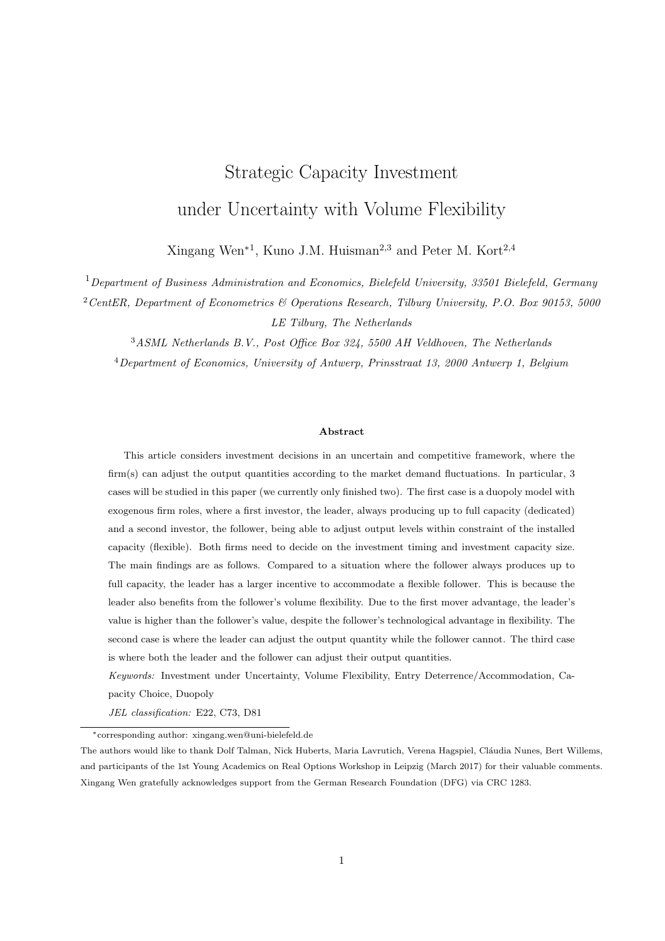This implies that  $X_F(K_D)/X_i(K_D)$  is a constant and does not change with  $K_D$ . So I can set  $K_D = 0$ , then

$$
\frac{X_F(K_D)}{X_1(K_D)} = \frac{X_F(0)}{c},
$$

and

$$
\frac{X_F(K_D)}{X_2(K_D)} = \frac{X_F(0)}{c} \left(1 - 2\gamma K_F(0)\right) = \left(\frac{2\delta(\beta_1 - \beta_2)}{c(1 + \beta_1)F(\beta_2)}\right)^{\frac{1}{\beta_1}}.
$$

Equation (11) is the corresponding implicit equation to determine  $X$  in the monopoly case:

$$
F(\beta_1) \left(\frac{X}{c}\right)^{\beta_2} + \frac{\beta_1}{r} \frac{1}{\alpha} \frac{X}{c} \quad \frac{2\beta_1}{r} + \frac{\beta_1 + 1}{r + \alpha} \frac{c}{\sigma^2} \frac{2\beta_1 \delta}{X} \left(1 \quad \frac{c}{X} \left[\frac{2\delta(\beta_1 - \beta_2)}{c(1 + \beta_1)F(\beta_2)}\right]^{\frac{1}{\beta_1}}\right) = 0. \tag{A.24}
$$

Rewrite such that

$$
B_1(K_D) = \frac{cK_D}{2(\beta_1 - \beta_2)X_F^{-\beta_1}(K_D)} \left[ \begin{array}{cc} \left(\frac{\beta_2 - 1}{r - \alpha} - \frac{\beta_2}{r}\right) \frac{2\delta(\beta_1 - \beta_2)}{c(1 + \beta_1)F(\beta_2)} \\ + \left(\frac{\beta_1 - 1}{r - \alpha} - \frac{\beta_1}{r}\right) \left(\frac{X}{c}\right)^{\beta_2} & (\beta_1 - \beta_2) \left(\frac{1 - X}{r - \alpha} - \frac{1}{r}\right) \right] \end{array} \right]
$$
  
= 
$$
\frac{cK_D}{2X_F^{-\beta_1}(K_D)} \mathcal{F}(X),
$$

where X satisfies (A.24). Next, I show numerically that  $F(X)$  is negative. The demonstration is shown in Figure A.1. Note that  $\gamma$  does not influence  $F(X)$ , so the numerical analysis is just about the influence of  $\alpha$ , σ, r, c, and δ. redo the pics with new parameter values The default parameter values are  $\alpha = 0.05$ ,  $r = 0.1$ ,  $\sigma = 0.2, c = 2, \delta = 10$ . Some combination of parameter values does not make the flexible follower produce below capacity right after investment. After ruling out these combinations,  $F(X)$  changing with parameters is illustrated in Figure A.1. The numerical analysis confirms the conjecture that  $B_1(K_D)$  is negative when the flexible follower produces below capacity right after investment. In the following analysis, I take  $B_1(K_D)$ as negative.



Figure A.1: Illustration of negative  $F(X)$  changing with  $\alpha$ ,  $\sigma$ ,  $r$ ,  $c$ , and  $\delta$ . Default parameter values are  $\alpha = 0.05, r = 0.1, \sigma = 0.2, c = 2, \delta = 10.$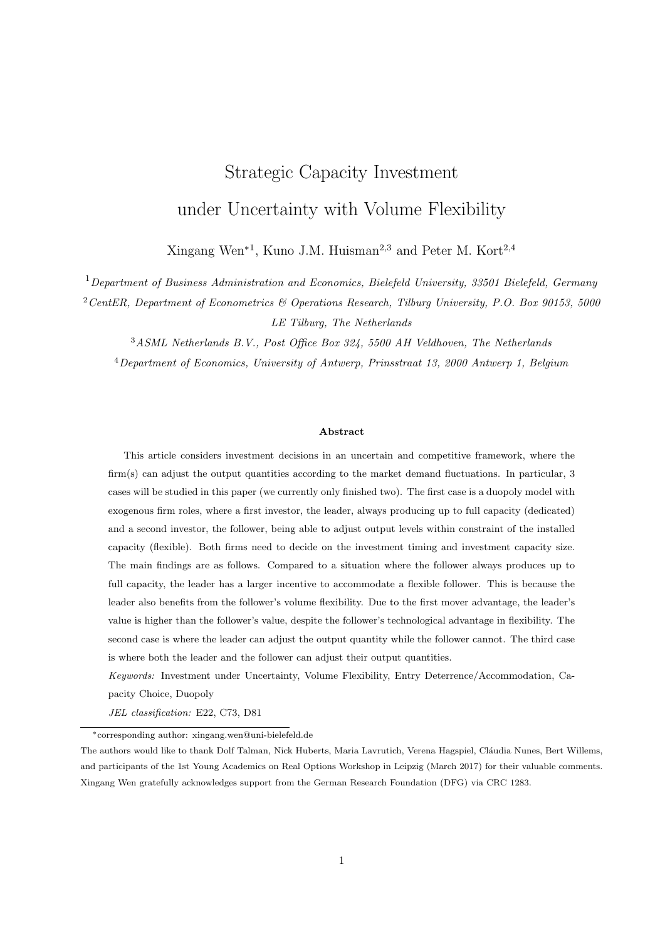## A.5.2 Proof of Proposition 2

In order to get the optimal investment decisions for the dedicated leader, I first calculate the first derivative of  $B_1(K_D)$  with respect of  $K_D$ . First,  $\mathcal{M}_1(K_D)$  can be rewritten as

$$
\begin{array}{rcl}\nM_1(K_D) & = & \frac{c^1}{2(\beta_1 - \beta_2)} \left( \frac{\beta_2 - 1}{r - \alpha} - \frac{\beta_2}{r} \right) \left[ \frac{c}{X_F(K_D)} \left( \frac{2\delta(\beta_1 - \beta_2)}{c(1 + \beta_1)F(\beta_2)} \right)^{\frac{1}{\beta_1}} \right]^{\beta_1} \\
& = & \frac{K_D}{X_F^{\beta_1}(K_D)} \frac{\delta}{(1 + \beta_1)F(\beta_2)} \left( \frac{\beta_2 - 1}{r - \alpha} - \frac{\beta_2}{r} \right).\n\end{array}
$$

With  $dK_F(K_D)/dK_D$  and  $dX_F(K_D)/dK_D$  given by (A.12) and (A.13), it can be calculated that

$$
\frac{dM_1(K_D)}{dK_D} = \frac{1 - \gamma K_D}{K_D(1 - \gamma K_D)} M_1(K_D).
$$

Furthermore, it follows that

$$
\frac{\mathrm{d}}{\mathrm{d}K_D} \mathcal{M}_2(K_D) X_F^{\beta_2-\beta_1}(K_D) = \frac{1 - \gamma K_D}{K_D(1 - \gamma K_D)} \mathcal{M}_2(K_D) X_F^{\beta_2-\beta_1}(K_D).
$$

Note also

$$
\frac{\mathrm{d}}{\mathrm{d}K_D} \frac{K_D(1 - \gamma K_D)}{2(r - \alpha)} X_F^{-1-\beta_1}(K_D) = \frac{(1 - \gamma K_D - \beta_1 \gamma K_D) X_F^{-1-\beta_1}(K_D)}{2(r - \alpha)}
$$

and

$$
\frac{\mathrm{d}}{\mathrm{d}K_D} \frac{cK_D}{2r} X_F^{-\beta_1}(K_D) = \frac{cX_F^{-\beta_1}(K_D)(1 - \gamma K_D - \beta_1 \gamma K_D)}{2r(1 - \gamma K_D)},
$$

then according to (17), it can be derived that

$$
\frac{\mathrm{d}B_1(K_D)}{\mathrm{d}K_D} = \frac{1 - \gamma K_D}{K_D(1 - \gamma K_D)} B_1(K_D).
$$

Next, I analyze the entry deterrence and accommodation strategies for the dedicated leader, which include the optimal investment capacities and optimal investment thresholds.

1. Entry Deterrence Strategy

The investment capacity  $K_D^{det}(X)$  for a given level of X satisfies

$$
\frac{\partial V_D(X, K_D) \quad \delta K_D}{\partial K_D} = \frac{1 - \gamma K_D \quad \beta_1 \gamma K_D}{K_D (1 - \gamma K_D)} B_1(K_D) X^{\beta_1} + \frac{1 - 2\gamma K_D}{r \alpha} X \quad \frac{c_D}{r} \quad \delta_D = 0. \tag{A.25}
$$

The entry deterrence strategy cannot happen when  $K_{D}^{det}(X) < \hat{K}_{D}(X)$ , which yields  $X > X_{2}^{det}$  with  $X_2^{det}$  and  $K_D^{det}(X_2^{det})$  satisfying (14) and (A.25). This is because the demand is high enough for the follower to invest immediately to enter the market. The entry deterrence strategy also does not happen when  $K_D^{det}(X) < 0$ , yielding  $X < X_1^{det}$  with  $X_1^{det}$  satisfying

$$
\left[ \frac{\delta}{(1+\beta_1)F(\beta_2)} \left( \frac{\beta_2}{r} \frac{1}{\alpha} + \frac{\beta_2}{r} \right) + \frac{c^{1-\beta_2} X_F^{\beta_2}(0)}{2(\beta_1 - \beta_2)} \left( \frac{\beta_1}{r} \frac{1}{\alpha} + \frac{\beta_1}{r} \right) \right]
$$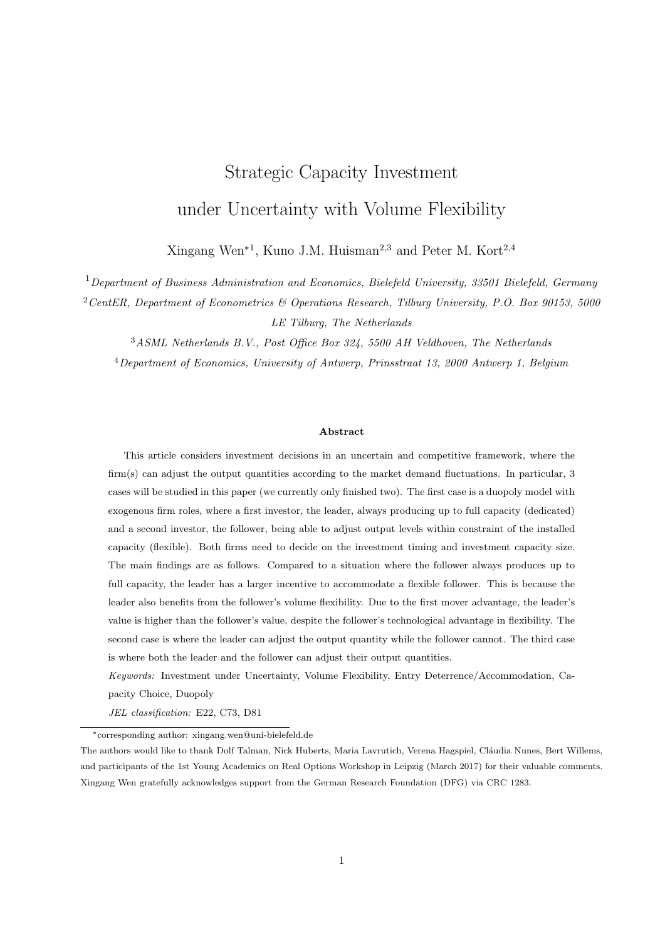$$
\frac{X_F(0)}{2(r-\alpha)} + \frac{c}{2r} \left[ \left( \frac{X_1^{det}}{X_F(0)} \right)^{\beta_1} + \frac{X_1^{det}}{r-\alpha} - \frac{c_D}{r} - \delta_D = 0, \right] \tag{A.26}
$$

where  $X_F(0)$  can be derived from (10) and (11) given that  $K_D = 0$ . Thus, the entry deterrence strategy is only possible when  $X \n\supseteq (X_1^{det}, X_2^{det})$ . Suppose the investment threshold of the dedicated leader is  $X^{det}(K_D)$  if the follower invests with capacity  $K_D$  in the entry deterrence strategy. The leader's value function before and after the investment is as follows

$$
V_D(X, K_D) = \begin{cases} A(K_D)X^{\beta_1} & X < X^{det}(K_D), \\ B_1(K_D)X^{\beta_1} + \frac{K_D(1 - \gamma K_D)}{r - \alpha}X & \frac{c_D K_D}{r} & X^{det}(K_D) & X < X_F(K_D), \\ M_1(K_D)X^{\beta_1} + M_2(K_D)X^{\beta_2} & X & X_F(K_D). \end{cases}
$$
(A.27)

The value matching and smooth pasting conditions to determine  $X^{det}(K_D)$  are

$$
A(K_D)X^{\beta_1} = B_1(K_D)X^{\beta_1} + \frac{K_D(1 - \gamma K_D)}{r - \alpha}X - \frac{c_D K_D}{r} \quad \delta_D K_D,
$$
  

$$
\beta_1 A(K_D)X^{\beta_1 - 1} = \beta_1 B(K_D)X^{\beta_1 - 1} + \frac{K_D(1 - \gamma K_D)}{r - \alpha}.
$$

Thus, the threshold of the entry deterrence strategy  $X^{det}(K_D)$  is

$$
X^{det}(K_D) = \frac{\beta_1}{\beta_1} \frac{r}{1} \frac{\alpha}{1 - \gamma K_D} \left(\frac{c_D}{r} + \delta_D\right). \tag{A.28}
$$

Substituting  $X^{det}(K_D)$  into (A.25), the optimal investment capacity  $K_D^{det}$  and investment threshold  $X^{det}(K_D^{det})$  can be derived as

$$
K_D^{det} \qquad K_D^{det}(X^{det}(K_D^{det})) = \frac{1}{(\beta_1 + 1)\gamma},
$$
  

$$
X^{det}(K_D^{det}) = \frac{(\beta_1 + 1)(r - \alpha)}{\beta_1 - 1} \left(\frac{c_D}{r} + \delta_D\right).
$$

#### 2. Entry Accommodation Strategy

Note that from (A.20), we can get

$$
\frac{\partial M_2(K_D)}{\partial K_D} = \frac{1 - \gamma K_D}{K_D(1 - \gamma K_D)} M_2(K_D).
$$

The optimal capacity  $K_D^{acc}(X)$  satisfies the following implicit equation

$$
\frac{1 - \gamma K_D}{K_D(1 - \gamma K_D)} \mathcal{M}_1(K_D) X^{\beta_1} + \frac{1 - \gamma K_D}{K_D(1 - \gamma K_D)} \mathcal{M}_2(K_D) X^{\beta_2} + \frac{1 - 2\gamma K_D}{2(r - \alpha)} X + \frac{c - 2c_D}{2r} \quad \delta_D = 0.
$$
\n(A.29)

The entry accommodation strategy only happens when  $X = X_F(K_D)$ , implying that the market demand is large enough to allow both the dedicated leader and the flexible follower to invest at the same time. Let  $X_1^{acc}$  be such that  $X_1^{acc} = X_F(K_D^{acc}(X_1^{acc}))$ , then  $X_1^{acc}$  and the corresponding  $K_D^{acc}(X_1^{acc})$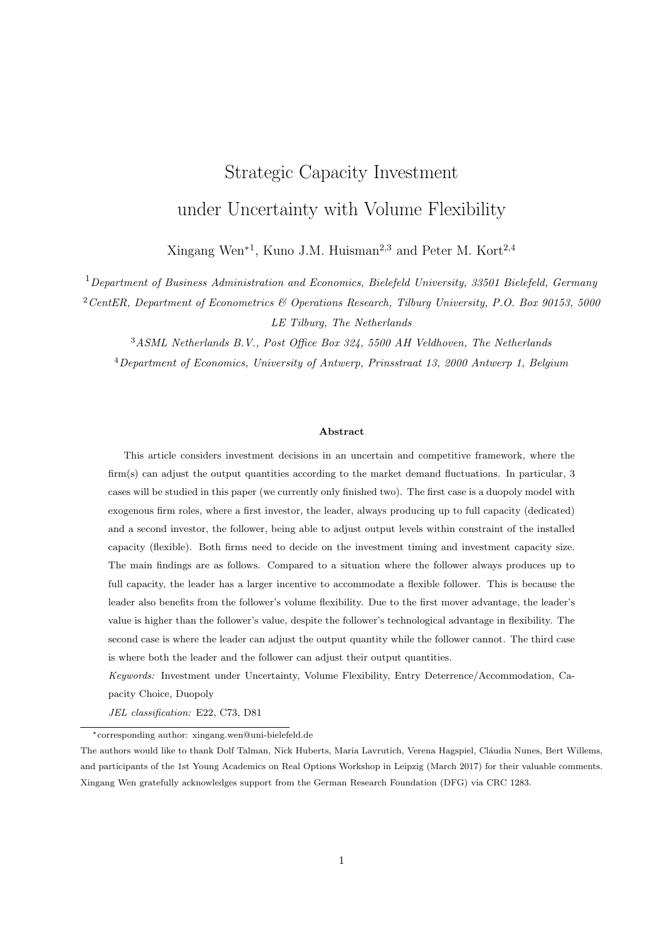satisfy (A.29) and (14). Suppose the dedicated leader invests at  $X^{acc}(K_D)$  when the capacity level is  $K_D$  in the entry accommodation strategy, then the leader's value function before and after investment is

$$
V_D(X, K_D) = \begin{cases} A(K_D)X^{\beta_1} & X < X^{acc}(K_D), \\ \mathcal{M}_1(K_D)X^{\beta_1} + \mathcal{M}_2(K_D)X^{\beta_2} & (A.30) \\ +\frac{K_D(1 - \gamma K_D)}{2(r - \alpha)}X + \frac{c - 2c_D K_D}{2r} & X & X_F(K_D) \end{cases}
$$

The value matching and smooth pasting conditions to determine  $X^{acc}(K_D)$  are

$$
A(K_D)X^{\beta_1} = M_1(K_D)X^{\beta_1} + M_2(K_D)X^{\beta_2} + \frac{K_D(1 - \gamma K_D)}{2(r - \alpha)}X + \frac{(c - 2c_D)K_D}{2r} \quad \delta_D K_D,
$$
  

$$
\beta_1 A(K_D)X^{\beta_1 - 1} = \beta_1 M_1(K_D)X^{\beta_1 - 1} + \beta_2 M_2(K_D)X^{\beta_2 - 1} + \frac{K_D(1 - \gamma K_D)}{2(r - \alpha)}.
$$

Thus, the investment capacity  $K_D^{acc}(X^{acc})$  and investment threshold  $X^{acc}(K_D^{acc})$  satisfy equation (A.29) and

$$
(\beta_1 \quad \beta_2) \mathcal{M}_2(K_D) X^{\beta_2} + \frac{(\beta_1 \quad 1) K_D (1 \quad \gamma K_D)}{2(r \quad \alpha)} X + \frac{(c \quad 2c_D) \beta_1 K_D}{2r} \quad \beta_1 \delta_D K_D = 0. \tag{A.31}
$$

Rewrite these two equations, then  $K_D^{acc}(X^{acc})$  and  $X^{acc}(K_D^{acc})$  satisfy

$$
\frac{1-\gamma K_D}{K_D(1-\gamma K_D)}\mathcal{M}_1(K_D)X^{\beta_2} + \frac{1-\gamma K_D}{1-\gamma K_D}\frac{\beta_2\gamma K_D}{2(\beta_1-\beta_2)}\left(\frac{\beta_1}{r-\alpha}-\frac{\beta_1}{r}\right)\left(\frac{X}{X_1}\right)^{\beta_2} + \frac{1-2\gamma K_D}{2(r-\alpha)}X + \frac{c-2c_D}{2r}-\delta_D=0,
$$

and

$$
\frac{c}{2\beta_1} \left(\frac{\beta_1}{r} \frac{1}{\alpha} - \frac{\beta_1}{r}\right) \left(\frac{X}{X_1}\right)^{\beta_2} + \frac{(\beta_1 - 1)(1 - \gamma K_D)}{2\beta_1(r - \alpha)} X + \frac{c - 2c_D}{2r} \quad \delta_D = 0.
$$

Solving these two equations yields

$$
K_D^{acc} \quad K_D^{acc}(X^{acc}(K_D^{acc})) = \frac{1}{(\beta_1 + 1)\gamma}.
$$

# A.6 Proof of Proposition 3

# **A.6.1** Negative  $B_2(K_D)$

When the flexible follower produces up to capacity right after investment, then

$$
B_2(K_D) = N(K_D) X_F^{\beta_2 \beta_1}(K_D) \frac{\gamma K_D K_F(K_D)}{r \alpha} X_F^{-1 \beta_1}(K_D)
$$
  
= 
$$
\frac{cK_D X_F^{-\beta_1}(K_D)}{2(\beta_1 - \beta_2)} \left[ \left( \frac{\beta_1}{r} \frac{1}{\alpha} \frac{\beta_1}{r} \right) \left( \left( \frac{X_F(K_D)}{X_1(K_D)} \right)^{\beta_2} \left( \frac{X_F(K_D)}{X_2(K_D)} \right)^{\beta_2} \right) + \frac{\beta_1}{r} \frac{\beta_2}{\alpha} \left( \frac{X_F(K_D)}{X_2(K_D)} \frac{X_F(K_D)}{X_1(K_D)} \right) \right].
$$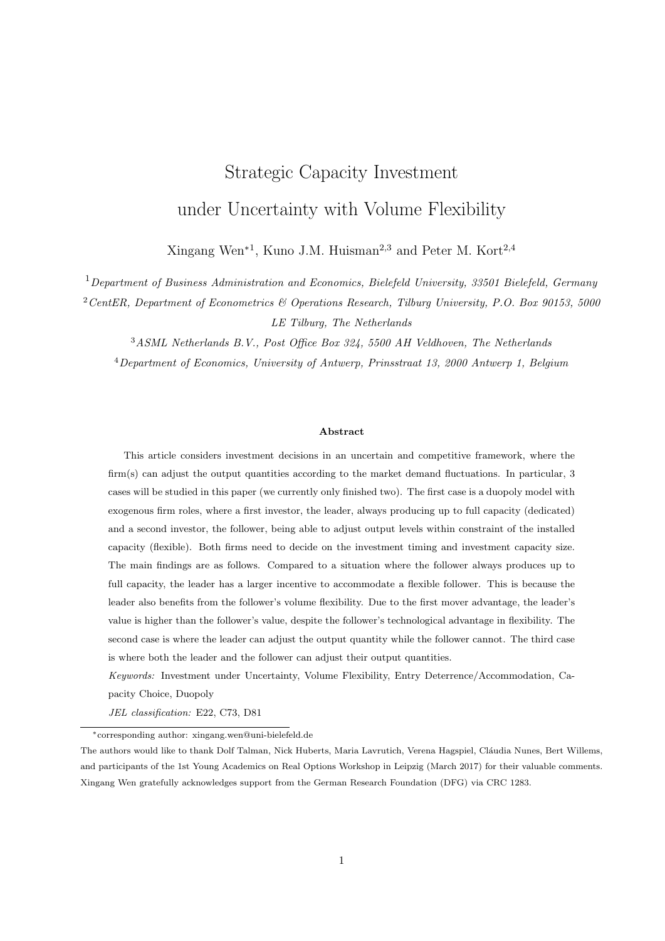Note that

$$
\frac{\mathrm{d}X_F(K_D)}{\mathrm{d}K_D} = \frac{\gamma X_F(K_D)}{1 - \gamma K_D},
$$
\n
$$
\frac{\mathrm{d}X_i(K_D)}{\mathrm{d}K_D} = \frac{\gamma X_i(K_D)}{1 - \gamma K_D}, \ i \ 2 \ 1, 2g.
$$

Thus for the terms  $X_F(K_D)/X_i(K_D)$  with  $i \geq f(1, 2g)$  in  $B_2(K_D)$ ,

$$
\frac{\mathrm{d}}{\mathrm{d}K_D}\frac{X_F(K_D)}{X_i(K_D)} = \frac{1}{X_i^2(K_D)}\left(\frac{\gamma X_F(K_D)X_i(K_D)}{1-\gamma K_D} - \frac{\gamma X_F(K_D)X_i(K_D)}{1-\gamma K_D}\right) = 0.
$$

Similar to the case that flexible follower produces below capacity right after investment,  $X_F(K_D)/X_1(K_D)$ and  $X_F(K_D)/X_2(K_D)$  are constants and do not change with  $K_D$ . Thus

$$
\frac{X_F(K_D)}{X_1(K_D)} = \frac{X_F(0)}{c}, \n\frac{X_F(K_D)}{X_2(K_D)} = \frac{X_F(0)}{X_2(0)}.
$$

Let  $X_F(0) = X$  and  $X_2(0) = 1$   $2\gamma K$ , with X as the optimal investment threshold and K as the optimal capacity in the monopoly case where the firm produces up to capacity right after investment. I rewrite  $B_2(K_D)$  as

$$
B_2(K_D) = \frac{cK_D X_F^{-\beta_1}(K_D)}{2(\beta_1 - \beta_2)} G(X, K),
$$

where  $X$  and  $K$  satisfy

$$
\frac{c(1+\beta_2)F(\beta_1)}{2(\beta_1-\beta_2)}\left(\frac{(1-2\gamma K)X}{c}\right)^{\beta_2} + \frac{c}{r-\alpha}\frac{(1-2\gamma K)X}{c} \frac{c}{r} \quad \delta = 0
$$

and

$$
\frac{cF(\beta_1)}{4\gamma\beta_1} \left( \left(\frac{X}{c}\right)^{\beta_2} \quad (1 \quad 2\gamma K \quad) \left(\frac{(1-2\gamma K)X}{c}\right)^{\beta_2} \right) + \frac{\beta_1}{\beta_1} \frac{1}{r} \frac{(1-\gamma K)X K}{r \alpha} \quad \frac{cK}{r} \quad \delta K = 0.
$$

 $B_2(K_D)$  is intuitively negative. However, it is too complicated to show this analytically. So I try to show it is negative numerically to verify the conjecture. Figure A.2 demonstrates  $G(X, K)$  changing with parameters. The default parameter values are given as  $\alpha = 0.02$ ,  $r = 0.1$ ,  $\sigma = 0.2$ ,  $c = 2$ ,  $\delta = 10$ , and  $\gamma = 0.05$ . Some combination of parameter values does not define the case that the follower produces up to capacity right after investment. After ruling out such combinations, the negative  $G(X, K)$  is illustrated in Figure A.2. This confirms the conjecture that  $B_2(K_D)$  is negative. So in the following analysis, I assume negative  $B_2(K_D)$ .

#### A.6.2 Proof of Proposition 3

I start with the derivative of  $B_2(K_D)$  with respect to  $K_D$ , where  $K_F(K_D)$  and  $X_F(K_D)$  are defined by (12) and (13), and  $dK_F(K_D)/dK_D$  and  $dX_F(K_D)/dK_D$  are defined by (A.18) and (A.19). It holds that

$$
\frac{dN(K_D)}{dK_D} = \frac{N(K_D)(1 - \gamma K_D - \beta_2 \gamma K_D)}{K_D(1 - \gamma K_D)},
$$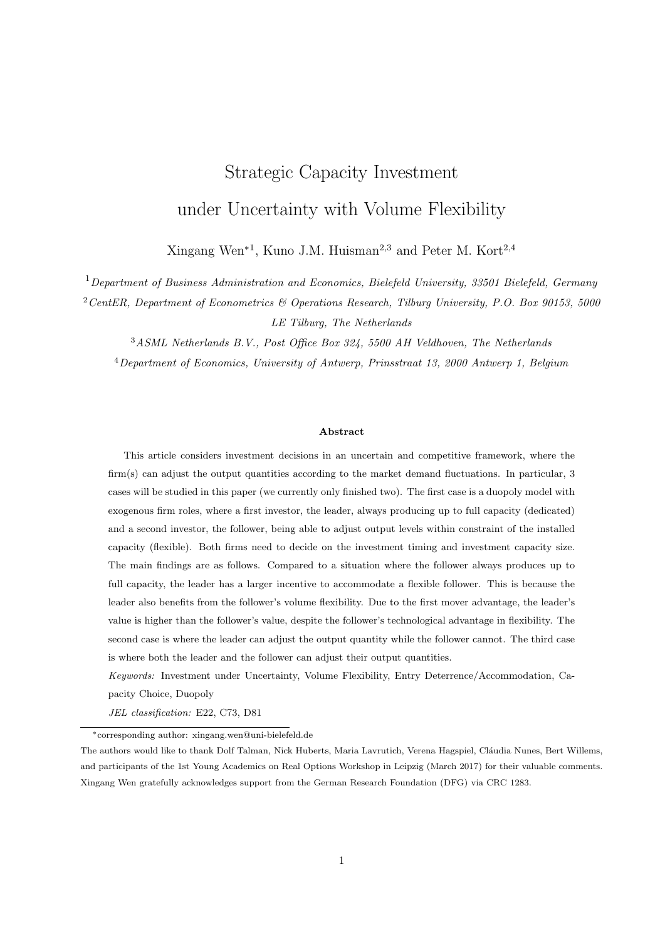

Figure A.2: Illustration of negative  $G(X, K)$  changing with  $\alpha$ ,  $\sigma$ ,  $r$ ,  $c$ ,  $\delta$ , and  $\gamma$ . Default parameter values are  $\alpha=0.02,\,r=0.1,\,\sigma=0.2,\,c=2,\,\delta=10,\,\gamma=0.05.$ 

$$
\frac{\mathrm{d}N(K_D)X_F^{\beta_2-\beta_1}}{\mathrm{d}K_D} = \frac{(1-\gamma K_D - \beta_1 \gamma K_D)N(K_D)}{K_D(1-\gamma K_D)}X_F^{\beta_2-\beta_1},
$$

and

$$
\frac{\mathrm{d}}{\mathrm{d} K_D} K_D K_F X_F^{-1-\beta_1} = \frac{1-\gamma K_D-\beta_1\gamma K_D}{K_D(1-\gamma K_D)} K_D K_F X_F^{-1-\beta_1}.
$$

Thus,

$$
\frac{\mathrm{d}B_2(K_D)}{\mathrm{d}K_D} = \frac{1 - \gamma K_D}{K_D(1 - \gamma K_D)} B_2(K_D).
$$

## 1. Entry Deterrence Strategy

The optimal capacity by the dedicated leader,  $K_D^{det}(X)$ , satisfies the first order condition

$$
\frac{\partial V_D(X, K_D) \quad \delta K_D}{\partial K_D} = \frac{\mathrm{d}B_2(K_D)}{\mathrm{d}K_D} X^{\beta_1} + \frac{1 - 2\gamma K_D}{r} X \quad \frac{c_D}{r} \quad \delta_D
$$
\n
$$
= \frac{1 - \gamma K_D}{K_D(1 - \gamma K_D)} B_2(K_D) X^{\beta_1} + \frac{1 - 2\gamma K_D}{r} X \quad \frac{c_D}{r} \quad \delta_D = 0 \text{(A.32)}
$$

The entry deterrence strategy cannot happen if  $K_D^{det}(X) < \hat{K}_D(X)$ . If the dedicated leader invests at X, then the deterrence strategy is only possible when  $X < X_2^{det}$ .  $X_2^{det}$ ,  $K_D^{det}(X_2^{det})$ , and  $K_F(K_D^{det})$ satisfy (12), (13), and (A.32), with  $X_F(K_D^{det}) = X_2^{det}$ . Similar to the case that the flexible follower produces below capacity right after investment, the deterrence strategy is not possible if  $K_D^{det} < 0$ , which results that  $X > X_1^{det}$  with  $X_1^{det}$  satisfying

$$
\frac{c}{2(\beta_1 - \beta_2)} \left(\frac{X_1^{det}}{X_F(0)}\right)^{\beta_1} \left(\left(\frac{\beta_1}{r - \alpha} - \frac{\beta_1}{r}\right) \left[\left(\frac{X_F(0)}{c}\right)^{\beta_2} - \left(\frac{X_F(0)(1 - 2\gamma K_F(0))}{c}\right)^{\beta_2}\right] \newline \frac{\beta_1 - \beta_2}{r - \alpha} \frac{2\gamma X_F(0)K_F(0)}{c}\right) + \frac{X_1^{det}}{r - \alpha} - \frac{c_D}{r} \quad \delta_D = 0, \quad (A.33)
$$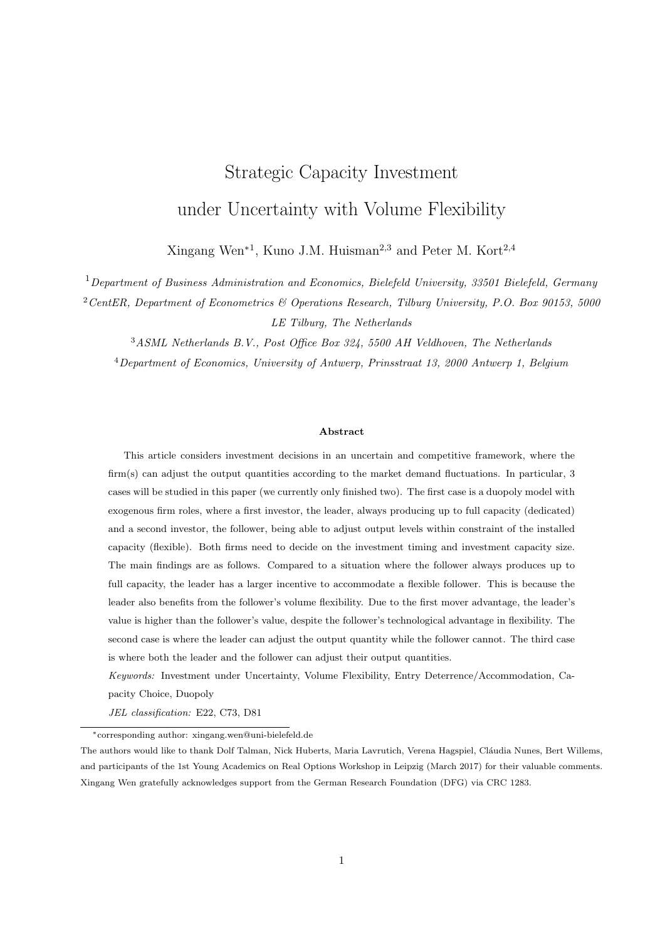where  $K_F(0)$  and  $X_F(0)$  satisfy (12) and (13). Thus, the entry deterrence strategy is only possible if  $X \supseteq (X_1^{det}, X_2^{det})$ . If the leader applies the entry deterrence strategy and invests at  $X^{det}(K_D)$  with capacity level  $K_D$ , then the value function before and after investment is

$$
V_D(X, K_D) = \begin{cases} A(K_D)X^{\beta_1} & X < X^{det}(K_D), \\ B_2(K_D)X^{\beta_1} + \frac{K_D(1 - \gamma K_D)}{r - \alpha}X & \frac{c_D K_D}{r} \\ N(K_D)X^{\beta_2} + \frac{K_D(1 - \gamma K_D - \gamma K_F(K_D))}{r - \alpha}X & \frac{c_D K_D}{r} & X - X_F(K_D). \end{cases}
$$
(A.34)

For a given capacity level  $K_D$ , from value matching and smooth pasting at  $X^{det}(K_D)$ ,  $X^{det}(K_D)$  must satisfy

$$
A(K_D)X^{\beta_1} = B_2(K_D)X^{\beta_1} + \frac{K_D(1 - \gamma K_D)}{r}X \frac{c_D K_D}{r} \delta_D K_D,
$$
  

$$
\beta_1 A(K_D)X^{\beta_1 - 1} = \beta_1 B_2(K_D)X^{\beta_1 - 1} + \frac{K_D(1 - \gamma K_D)}{r}.
$$

It can be derived that

$$
X^{det}(K_D) = \frac{\beta_1(r \quad \alpha)}{(\beta_1 \quad 1)(1 \quad \gamma K_D)} \left(\frac{c_D}{r} + \delta_D\right). \tag{A.35}
$$

 $K_D^{det}$  and  $X^{det}(K_D^{det})$  satisfy (A.32), thus the optimal investment capacity  $K_D^{det}$  and investment threshold  $X^{det}(K_D^{det})$  are

$$
K_D^{det} \qquad K_D^{det}(X^{det}(K_D^{det})) = \frac{1}{(\beta_1 + 1)\gamma},
$$
  

$$
X^{det}(K_D^{det}) = \frac{(\beta_1 + 1)(r - \alpha)}{\beta_1 - 1} \left(\frac{c_D}{r} + \delta_D\right).
$$

#### 2. Entry Accommodation Strategy

The investment capacity by the dedicated leader  $K_D^{acc}(X)$  for a given level of X satisfies the first order condition

$$
\frac{\partial V_D(X, K_D) \quad \delta K_D}{\partial K_D} = \frac{\mathrm{d}N(K_D)}{\mathrm{d}K_D} X^{\beta_2} + \frac{X(1 - \gamma K_D - \gamma K_F(K_D))(1 - 2\gamma K_D)}{(r - \alpha)(1 - \gamma K_D)} \frac{c_D}{r} \quad \delta_D
$$
\n
$$
= \frac{(1 - \gamma K_D - \beta_2 \gamma K_D)N(K_D)}{K_D(1 - \gamma K_D)} X^{\beta_2} + \frac{X(1 - \gamma K_D - \gamma K_F(K_D))(1 - 2\gamma K_D)}{(r - \alpha)(1 - \gamma K_D)}
$$
\n
$$
\frac{c_D}{r} \quad \delta_D = 0. \tag{A.36}
$$

The entry accommodation strategy only happens when the market has grown large enough to hold the two firms, i.e.,  $X = X_F(K_D)$ . Define  $X_1^{acc} = X_F(K_D^{acc}(X_1^{acc}))$ , then  $X_1^{acc}, K_D^{acc}(X_1^{acc})$ , and  $K_F(K_D^{acc})$ satisfy (12), (13), and (A.36). Suppose the dedicated leader uses the entry accommodation strategy and invests at  $X^{acc}(K_D)$  with capacity  $K_D$ , then the leader's value function is

$$
V_D(X, K_D) = \begin{cases} A(K_D)X^{\beta_1} & X < X^{acc}(K_D), \\ N(K_D)X^{\beta_2} + \frac{K_D(1 - \gamma K_D - \gamma K_F(K_D))}{r - \alpha}X & \xrightarrow{c_D K_D} X & X_F(K_D) - X^{acc}(K_D). \end{cases}
$$
(A.37)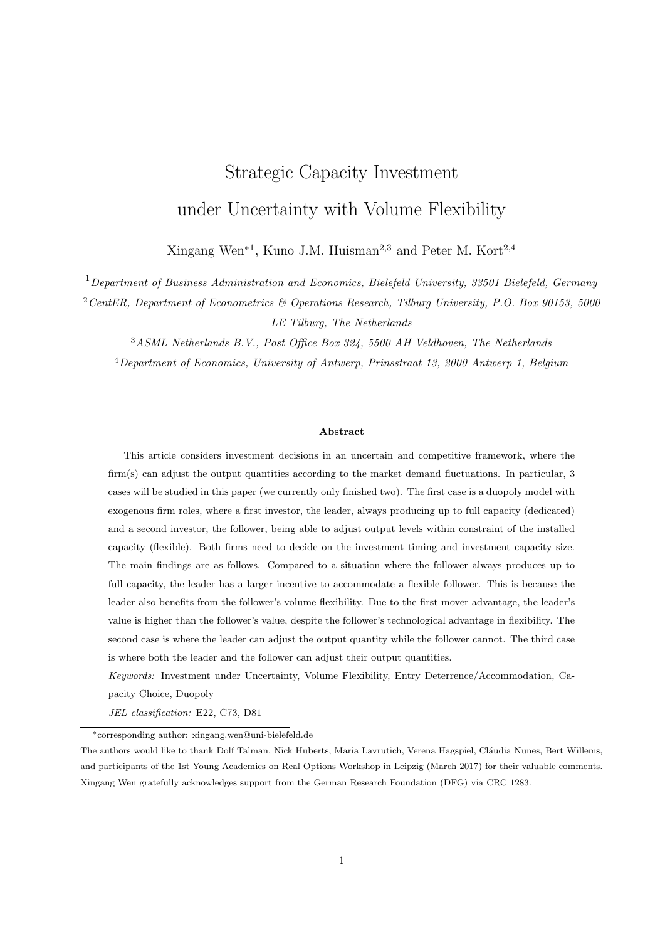From value matching and smooth pasting, I get that the investment threshold  $X^{acc}(K_D)$  satisfies

$$
A(K_D)X^{\beta_1} = N(K_D)X^{\beta_2} + \frac{K_D(1 - \gamma K_D - \gamma K_F(K_D))}{r \alpha}X - \frac{c_D K_D}{r} \delta_D K_D,
$$
  

$$
\beta_1 A(K_D)X^{\beta_1 - 1} = \beta_2 N(K_D)X^{\beta_2 - 1} + \frac{K_D(1 - \gamma K_D - \gamma K_F(K_D))}{r \alpha}.
$$

Thus, it holds that  $X^{acc}(K_D)$  must satisfy

$$
\frac{\beta_1}{\beta_1} \frac{\beta_2}{N(K_D)X^{\beta_2}} + \frac{\beta_1}{\beta_1(r-\alpha)} XK_D \left(1 \quad \gamma K_D \quad \gamma K_F(K_D)\right) \quad \frac{c_D K_D}{r} \quad \delta_D K_D = 0. \tag{A.38}
$$

Rewrite (A.36) and (A.38), then  $X^{acc}(K_D^{acc})$  and  $K_D^{acc}$  satisfy

$$
\frac{1-\gamma K_D \beta_2 \gamma K_D}{1-\gamma K_D} \frac{cX^{\beta_2}}{2(\beta_1-\beta_2)} \left(\frac{\beta_1}{r-\alpha} - \frac{\beta_1}{r}\right) \left(X_1^{-\beta_2} - X_2^{-\beta_2}\right) + \frac{X(1-\gamma K_D - \gamma K_F(K_D))}{r-\alpha} \frac{1-2\gamma K_D}{1-\gamma K_D} - \frac{c_D}{r} - \delta_D = 0,
$$

and

$$
\frac{cX^{\beta_2}}{2\beta_1}\left(\frac{\beta_1}{r}\frac{1}{\alpha}-\frac{\beta_1}{r}\right)\left(X_1^{-\beta_2}-X_2^{-\beta_2}\right)+\frac{X(1-\gamma K_D-\gamma F_{-}(K_D))}{r-\alpha}\frac{\beta_1}{\beta_1}-\frac{1}{r}-\frac{c_D}{r}-\delta_D=0.
$$

From

$$
\frac{1}{(\beta_1 - \beta_2)(1 - \gamma K_D)} = \frac{1}{\beta_1},
$$

and

$$
\frac{1-2\gamma K_D}{1-\gamma K_D}=\frac{\beta_1-1}{\beta_1},
$$

it follows that the optimal investment capacity is

$$
K_D^{acc} \qquad K_D^{acc}(X^{acc}(K_D^{acc})) = \frac{1}{(\beta_1 + 1)\gamma}.
$$

# A.7 Proof of Proposition 4

Given in the text.

# A.8 Proof of Proposition 5

When the follower is flexible, from Proposition 2 and Proposition 3, the leader's entry deterrence strategy is the same regardless of whether the follower produces below or up to capacity right after investment. When there is no flexibility, the leader's entry deterrence (and entry accommodation strategy) can be found in Appendix B. The leader's entry deterrence strategy are the same regardless of with or without the follower flexibility. From Proposition 2 and Proposition 3, it also holds that the leader's investment capacity under entry accommodation strategy is  $K_D^{acc} = \frac{1}{(\beta+1)\gamma}$ , regardless of whether the follower produces below or up to capacity right after investment. This capacity level is the same as that when there is no follower flexibility.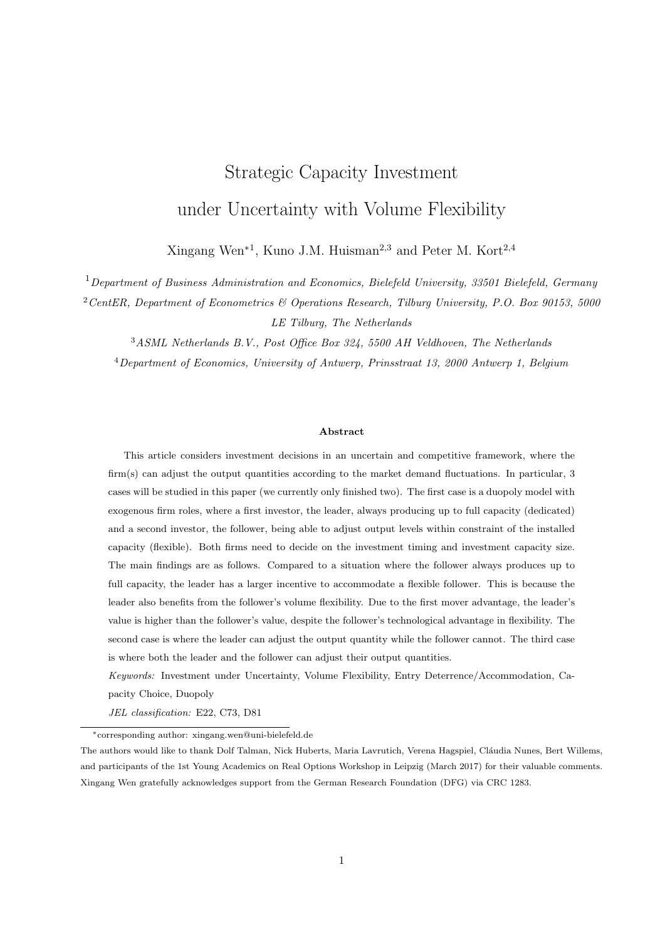# B No Flexibility

This section analyzes what the follower and leader's decisions are when there is no flexibility. It means that both firms would always produce up to full capacity. For the follower, given that the leader invests and always produces  $K_D$  and the follower invests and always produces  $K_F$ , the profit flow at time t equals

$$
\pi_F(t) = (X(t) (1 \quad \gamma (K_D + K_F)) \quad c) K_F.
$$

Here, I do not allow production suspension. So for a low level X, i.e.,  $X(1 - \gamma(K_D + K_F)) < c$ , the firms may have negative profit flows. Given the initial geometric Brownian motion level  $X$ , the value of the follower is

$$
V_F(X, K_D, K_F) = E\left[\int_{t=0}^{\tau} K_F(X(t)(1 - \gamma (K_D + K_F))) c) \exp(-rt)dt \, jX(0) = X\right]
$$
  
= 
$$
\frac{X K_F(1 - \gamma (K_D + K_F))}{r - \alpha} - \frac{cK_F}{r}.
$$

The follower's investment capacity maximizes

$$
\max_{K_F>0} V_F(X, K_D, K_F) \quad \delta K_F,
$$

thus, given  $X$  and  $K_D$ ,

$$
K_F(X, K_D) = \frac{1}{2\gamma} \left( 1 \quad \gamma K_D \quad \frac{r}{X} \left( \frac{c}{r} + \delta \right) \right). \tag{B.1}
$$

Before the investment, the follower holds an option to invest. Suppose the option value is

$$
V_F(X, K_D) = A_F(K_L)X^{\beta_1}.
$$

According to value matching and smooth pasting, the investment threshold  $X_F(K_D, K_F)$  when investing with  $K_F$  satisfies

$$
A_F X_F^{\beta_1} = \frac{X_F K_F (1 - \gamma (K_D + K_F))}{r - \alpha} - \frac{cK_F}{r} - \delta K_F,
$$
  

$$
\beta_1 A_F X_F^{\beta_1 - 1} = \frac{K_F (1 - \gamma (K_D + K_F))}{r - \alpha}.
$$

Thus,

$$
X_F(K_D, K_F) = \frac{\beta_1(r - \alpha)}{(\beta_1 - 1)(1 - \gamma K_D - \gamma K_F)} \left(\frac{c}{r} + \delta\right). \tag{B.2}
$$

Combining (B.1) and (B.2), the follower's optimal investment capacity and threshold are

$$
K_F(K_D) = \frac{1 - \gamma K_D}{(1 + \beta_1)\gamma},\tag{B.3}
$$

$$
X_F(K_D) = \frac{(\beta_1 + 1)(r - \alpha)}{(\beta_1 - 1)(1 - \gamma K_D)} \left(\frac{c}{r} + \delta\right). \tag{B.4}
$$

If  $X_F(K_D)$   $X(0)$ , then the follower would invest immediately at  $t = 0$  with capacity  $K_F(X(0), K_D)$ .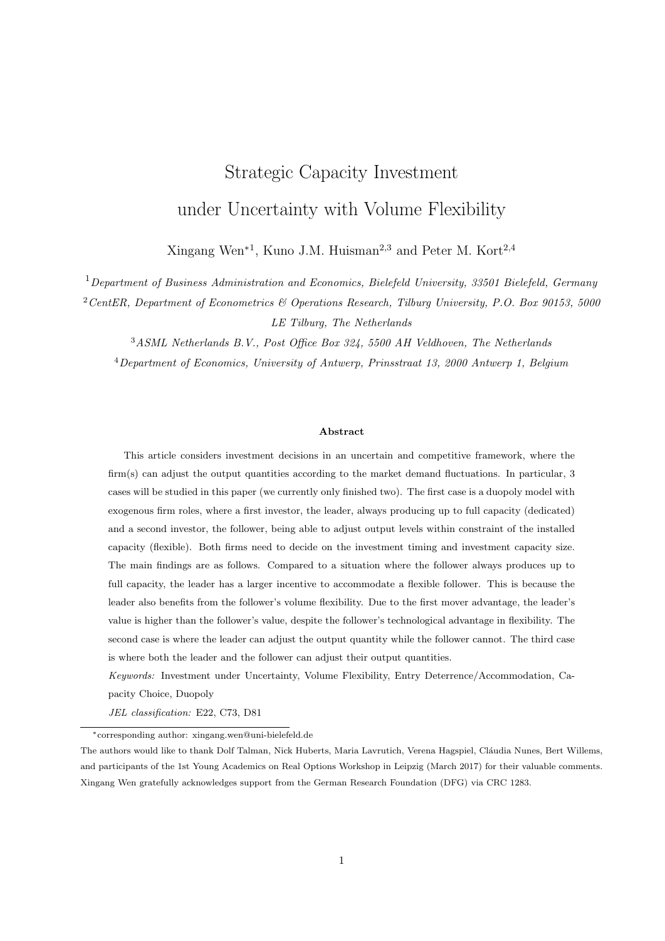For the leader, to deter or accommodate the entry of the follower would be dependent on the leader's critical capacity level

$$
\hat{K}_D(X) = \frac{1}{\gamma} \left( 1 - \frac{(\beta_1 + 1)(r - \alpha)}{(\beta_1 - 1)X} \left( \frac{c}{r} + \delta \right) \right). \tag{B.5}
$$

.

**Entry Deterrence Strategy** If the leader invests a capacity larger than  $\hat{K}_D(X)$ , then the follower invests later. However, if the leader invests a capacity not larger than  $\hat{K}_D(X)$ , then the follower invests at the same time with the leader. Suppose the investment threshold is  $X_{D}^{det}(K_{D})$  when investing capacity  $K_{D}$ , then the leader's value under entry deterrence strategy is assumed to be

$$
V_D(X, K_D) = \begin{cases} A_D(K_D)X^{\beta_1} & \text{if } X < X_D^{det}(K_D), \\ B_D(K_D)X^{\beta_1} + \frac{X K_D(1 - \gamma K_D)}{r - \alpha} & \frac{c_D K_D}{r} & \text{if } X_D^{det}(K_D) \le X < X_F(K_D), \\ \frac{\beta_1 X K_D(1 - \gamma K_D)}{(1 + \beta_1)(1 - \alpha)} & \frac{c_D K_D}{r} & \text{if } X = X_F(K_D). \end{cases}
$$

By value matching at  $X_F(K_D)$ , I get

$$
B_D(K_D)X_F^{\beta_1} + \frac{X_F K_D(1 - \gamma K_D)}{r - \alpha} = \frac{\beta_1 X_F K_D(1 - \gamma K_D)}{(\beta_1 + 1)(r - \alpha)}
$$

Thus,

$$
B_D(K_D) = \frac{K_D(1-\gamma K_D)X_F}{(\beta_1+1)(r-\alpha)}X_F^{-\beta_1} = \frac{K_D}{\beta_1-1}\left(\frac{c}{r}+\delta\right)\left(\frac{(\beta_1+1)(r-\alpha)}{(\beta_1-1)(1-\gamma K_D)}\left(\frac{c}{r}+\delta\right)\right)^{-\beta_1}.
$$

Suppose the leader invests at X, then the investment capacity under the deterrence strategy,  $K_D^{det}(X)$ , satisfies

$$
\frac{1}{(\beta_1 - 1)(1 - \gamma K_D)} \left(\frac{c}{r} + \delta\right) \left(\frac{X(\beta_1 - 1)(1 - \gamma K_D)}{(\beta_1 + 1)(r - \alpha)\left(\frac{c}{r} + \delta\right)}\right)^{\beta_1} + \frac{X(1 - 2\gamma K_D)}{r - \alpha} \frac{c_D}{r} \quad \delta_D = 0. \tag{B.6}
$$

The corresponding value for the leader's entry deterrence strategy is

$$
V_D^{det}(X) = \frac{K_D^{det}(X)}{\beta_1 \ 1} \left(\frac{c}{r} + \delta\right) \left(\frac{X(\beta_1 \ 1)(1 \ \gamma K_D^{det}(X))}{(\beta_1 + 1)(r \ \alpha) \left(\frac{c}{r} + \delta\right)}\right)^{\beta_1} + \frac{XK_D^{det}(X)(1 \ \gamma K_D^{det}(X))}{r \ \alpha} \frac{c_D K_D^{det}(X)}{r} \delta_D K_D^{det}(X).
$$
 (B.7)

If  $X$  is sufficiently small, then the optimal investment threshold is

$$
X_D^{det} = \frac{\beta_1(r \alpha)}{(\beta_1 \ 1)(1 \ \gamma K_D^{det})} \left(\frac{c_D}{r} + \delta_D\right). \tag{B.8}
$$

Substitute (B.8) into (B.6) gives

1 
$$
(\beta_1 + 1)\gamma K_D^{det} = (1 \quad (\beta_1 + 1)\gamma K_D^{det}) \left(\frac{\beta_1}{\beta_1 + 1} \frac{c_D + r\delta_D}{c + r\delta}\right)^{\beta_1}.
$$

Thus,

$$
K_D^{det} = \frac{1}{(\beta_1 + 1)\gamma},
$$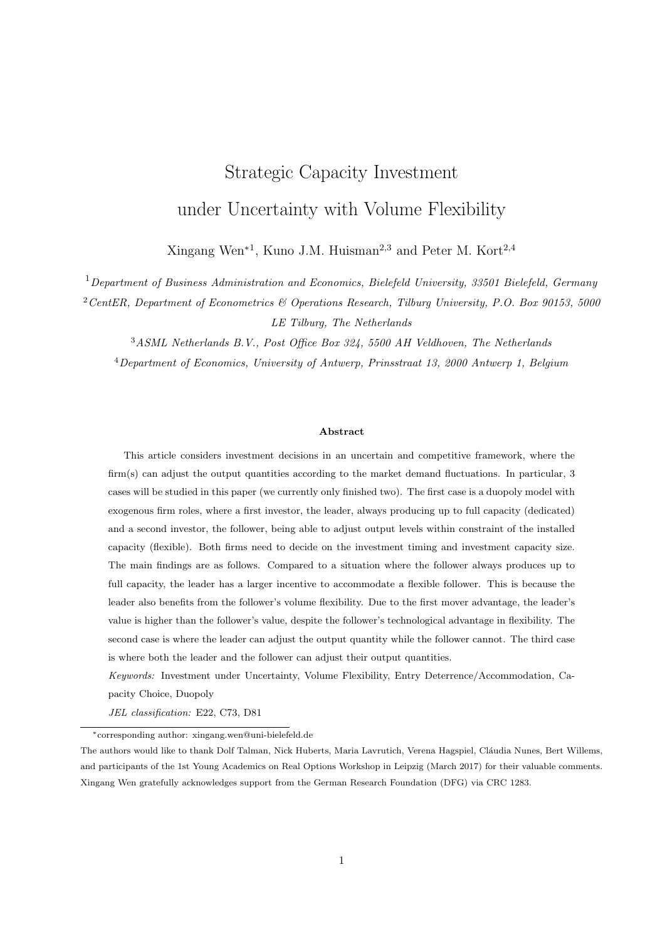$$
X_D^{det} \qquad X_D^{det}(K_D^{det}) = \frac{(\beta_1 + 1)(r - \alpha)}{\beta_1 - 1} \left(\frac{c_D}{r} + \delta_D\right).
$$

The corresponding follower's investment decisions are

$$
K_F(K_D^{det}) = \frac{\beta_1}{(\beta_1 + 1)^2 \gamma},
$$
  
\n
$$
X_F(K_D^{det}) = \frac{(\beta_1 + 1)^2 (r - \alpha)}{\beta_1 (\beta_1 - 1)} \left(\frac{c}{r} + \delta\right).
$$

Moreover, the entry deterrence strategy can not happen for

$$
0 \quad \hat{K}_D(X) < K_D^{det},
$$

i.e.,

$$
X_1^{det} \quad X \quad X_2^{det},
$$

where

$$
X_2^{det} = \frac{(\beta_1 + 1)(r - \alpha)}{\beta_1 - 1} \left( (\beta + 1) \left( \frac{c}{r} + \delta \right) - (\beta_1 - 1) \left( \frac{c_D}{r} + \delta_D \right) \right)
$$

and  $X_1^{det}$  satisfies

$$
\frac{1}{\beta_1 - 1} \left( \frac{c}{r} + \delta \right) \left( \frac{X(\beta_1 - 1)}{(\beta_1 + 1)(r - \alpha) \left( \frac{c}{r} + \delta \right)} \right)^{\beta_1} + \frac{X}{r - \alpha} \quad \frac{c_D}{r} \quad \delta_D = 0. \tag{B.9}
$$

If  $X_D^{det}$  $\mathcal{L}_{D}^{det}$  X, then the deterrence strategy is implemented immediately with capacity  $K_{D}^{det}(X)$  satisfying (B.6).

Entry Accommodation Strategy Under the entry accommodation strategy, the follower invests at the same time as the leader. Suppose the investment threshold is  $X_D^{acc}(K_D)$  when investing capacity  $K_D$ , then the leader's value under entry accommodation strategy is assumed to be

$$
V_D(X, K_D) = \begin{cases} A_D(K_D)X^{\beta_1} & \text{if } X < X_D^{acc}(K_D), \\ \frac{XK_D(1 - \gamma K_D)}{2(r - \alpha)} + \frac{K_D}{2} \left(\frac{c}{r} + \delta - 2\left(\frac{c_D}{r} + \delta_D\right)\right) & \text{if } X = X_D^{acc}(K_D). \end{cases}
$$

For a given level of  $X$ , the investment capacity under the entry accommodation strategy is

$$
K_D^{acc}(X) = \frac{1}{2\gamma} \left( 1 + \frac{r - \alpha}{X} \left( \frac{c}{r} + \delta - 2 \left( \frac{c_D}{r} + \delta_D \right) \right) \right).
$$

The accommodation strategy can only be chosen when  $K_D^{acc}(X)$   $\hat{K}_D(X)$ , which means that it is only possible when

$$
X \t X_1^{acc} = (r \t \alpha) \left( \frac{3\beta_1 + 1}{\beta_1} \left( \frac{c}{r} + \delta \right) \t 2 \left( \frac{c_D}{r} + \delta_D \right) \right).
$$

Moreover, the value matching and smoothing pasting conditions yield that for the given capacity  $K_D$ , the investment threshold  $X_D^{acc}(K_D)$  satisfies

$$
A_D(K_D)X^{\beta_1} = \frac{XK_D(1 \quad \gamma K_D)}{2(r \quad \alpha)} + \frac{K_D}{2}\left(\frac{c}{r} + \delta \quad 2\left(\frac{c_D}{r} + \delta_D\right)\right),
$$